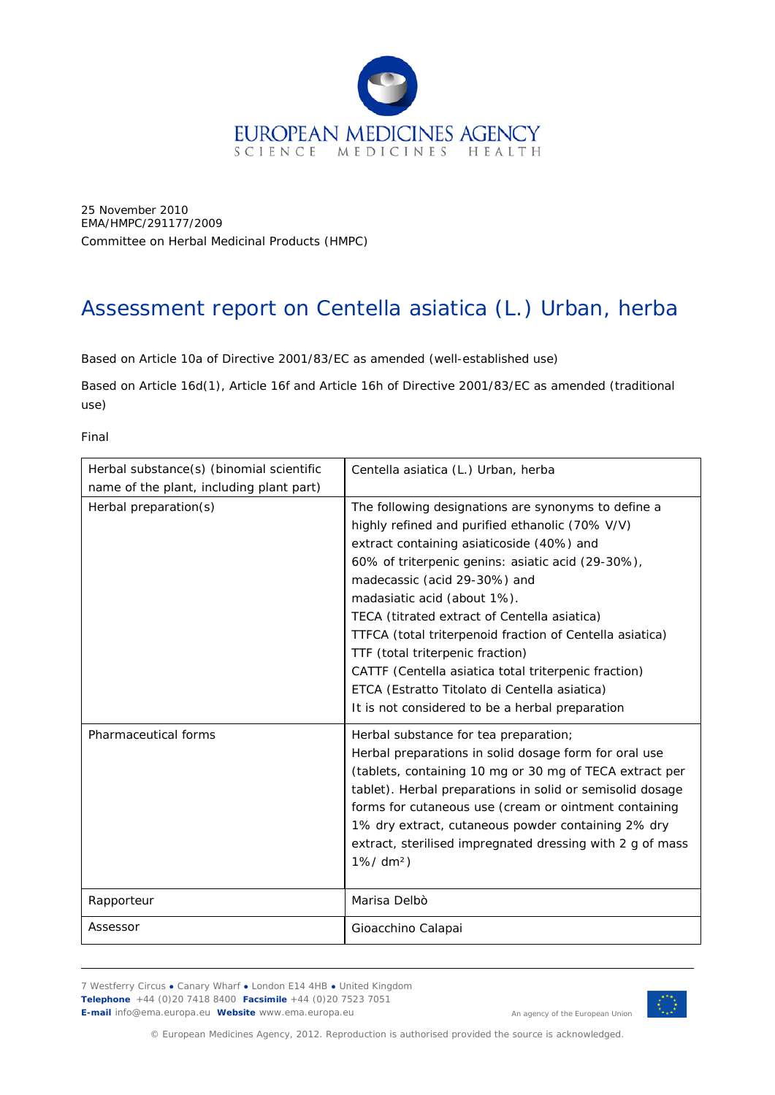

25 November 2010 EMA/HMPC/291177/2009 Committee on Herbal Medicinal Products (HMPC)

# Assessment report on *Centella asiatica* (L.) Urban, herba

Based on Article 10a of Directive 2001/83/EC as amended (well-established use)

Based on Article 16d(1), Article 16f and Article 16h of Directive 2001/83/EC as amended (traditional use)

Final

| Herbal substance(s) (binomial scientific | Centella asiatica (L.) Urban, herba                                                                                                                                                                                                                                                                                                                                                                                                                                                                                                                                                 |
|------------------------------------------|-------------------------------------------------------------------------------------------------------------------------------------------------------------------------------------------------------------------------------------------------------------------------------------------------------------------------------------------------------------------------------------------------------------------------------------------------------------------------------------------------------------------------------------------------------------------------------------|
| name of the plant, including plant part) |                                                                                                                                                                                                                                                                                                                                                                                                                                                                                                                                                                                     |
| Herbal preparation(s)                    | The following designations are synonyms to define a<br>highly refined and purified ethanolic (70% V/V)<br>extract containing asiaticoside (40%) and<br>60% of triterpenic genins: asiatic acid (29-30%),<br>madecassic (acid 29-30%) and<br>madasiatic acid (about 1%).<br>TECA (titrated extract of Centella asiatica)<br>TTFCA (total triterpenoid fraction of Centella asiatica)<br>TTF (total triterpenic fraction)<br>CATTF (Centella asiatica total triterpenic fraction)<br>ETCA (Estratto Titolato di Centella asiatica)<br>It is not considered to be a herbal preparation |
| Pharmaceutical forms                     | Herbal substance for tea preparation;<br>Herbal preparations in solid dosage form for oral use<br>(tablets, containing 10 mg or 30 mg of TECA extract per<br>tablet). Herbal preparations in solid or semisolid dosage<br>forms for cutaneous use (cream or ointment containing<br>1% dry extract, cutaneous powder containing 2% dry<br>extract, sterilised impregnated dressing with 2 g of mass<br>$1\% / dm^2$                                                                                                                                                                  |
| Rapporteur                               | Marisa Delbò                                                                                                                                                                                                                                                                                                                                                                                                                                                                                                                                                                        |
| Assessor                                 | Gioacchino Calapai                                                                                                                                                                                                                                                                                                                                                                                                                                                                                                                                                                  |

7 Westferry Circus **●** Canary Wharf **●** London E14 4HB **●** United Kingdom **Telephone** +44 (0)20 7418 8400 **Facsimile** +44 (0)20 7523 7051 **E-mail** info@ema.europa.eu **Website** www.ema.europa.eu



An agency of the European Union

© European Medicines Agency, 2012. Reproduction is authorised provided the source is acknowledged.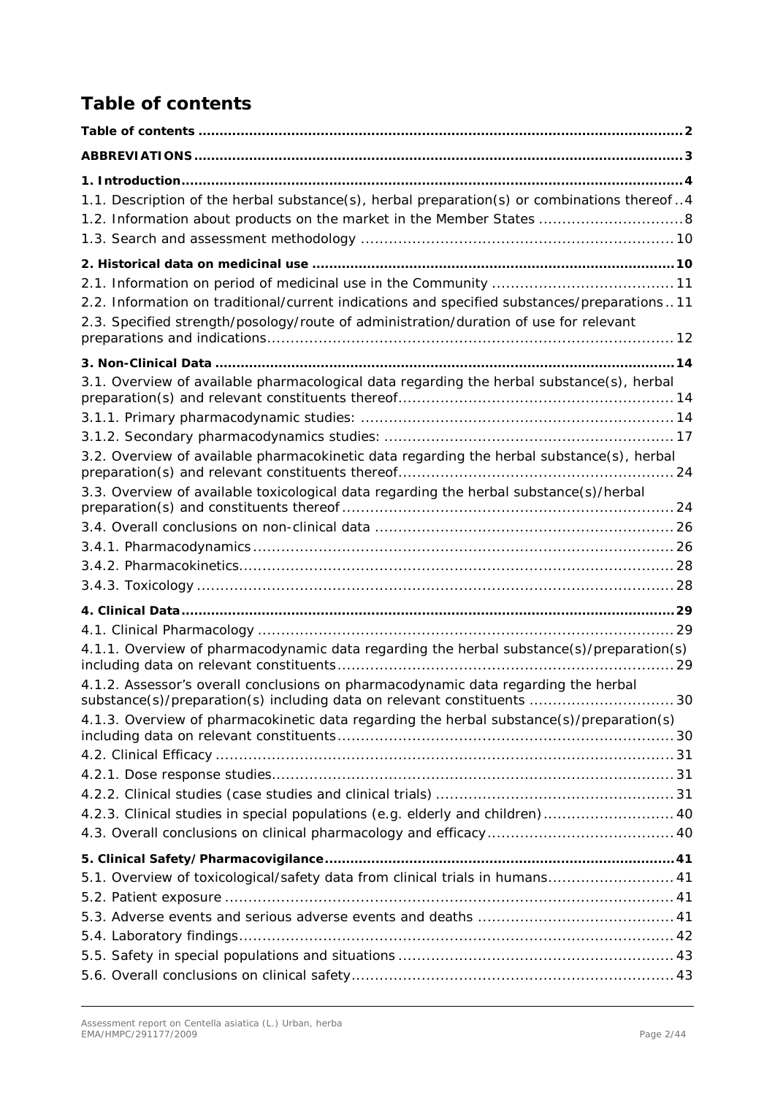# <span id="page-1-0"></span>*Table of contents*

| 1.1. Description of the herbal substance(s), herbal preparation(s) or combinations thereof4 |    |
|---------------------------------------------------------------------------------------------|----|
| 1.2. Information about products on the market in the Member States  8                       |    |
|                                                                                             |    |
|                                                                                             |    |
|                                                                                             |    |
| 2.2. Information on traditional/current indications and specified substances/preparations11 |    |
| 2.3. Specified strength/posology/route of administration/duration of use for relevant       |    |
|                                                                                             |    |
| 3.1. Overview of available pharmacological data regarding the herbal substance(s), herbal   |    |
|                                                                                             |    |
|                                                                                             |    |
|                                                                                             |    |
| 3.2. Overview of available pharmacokinetic data regarding the herbal substance(s), herbal   |    |
| 3.3. Overview of available toxicological data regarding the herbal substance(s)/herbal      |    |
|                                                                                             |    |
|                                                                                             |    |
|                                                                                             |    |
|                                                                                             |    |
|                                                                                             |    |
|                                                                                             |    |
| 4.1.1. Overview of pharmacodynamic data regarding the herbal substance(s)/preparation(s)    |    |
| 4.1.2. Assessor's overall conclusions on pharmacodynamic data regarding the herbal          |    |
| substance(s)/preparation(s) including data on relevant constituents                         | 30 |
| 4.1.3. Overview of pharmacokinetic data regarding the herbal substance(s)/preparation(s)    |    |
|                                                                                             |    |
|                                                                                             |    |
|                                                                                             |    |
| 4.2.3. Clinical studies in special populations (e.g. elderly and children) 40               |    |
|                                                                                             |    |
|                                                                                             |    |
| 5.1. Overview of toxicological/safety data from clinical trials in humans 41                |    |
|                                                                                             |    |
|                                                                                             |    |
|                                                                                             |    |
|                                                                                             |    |
|                                                                                             |    |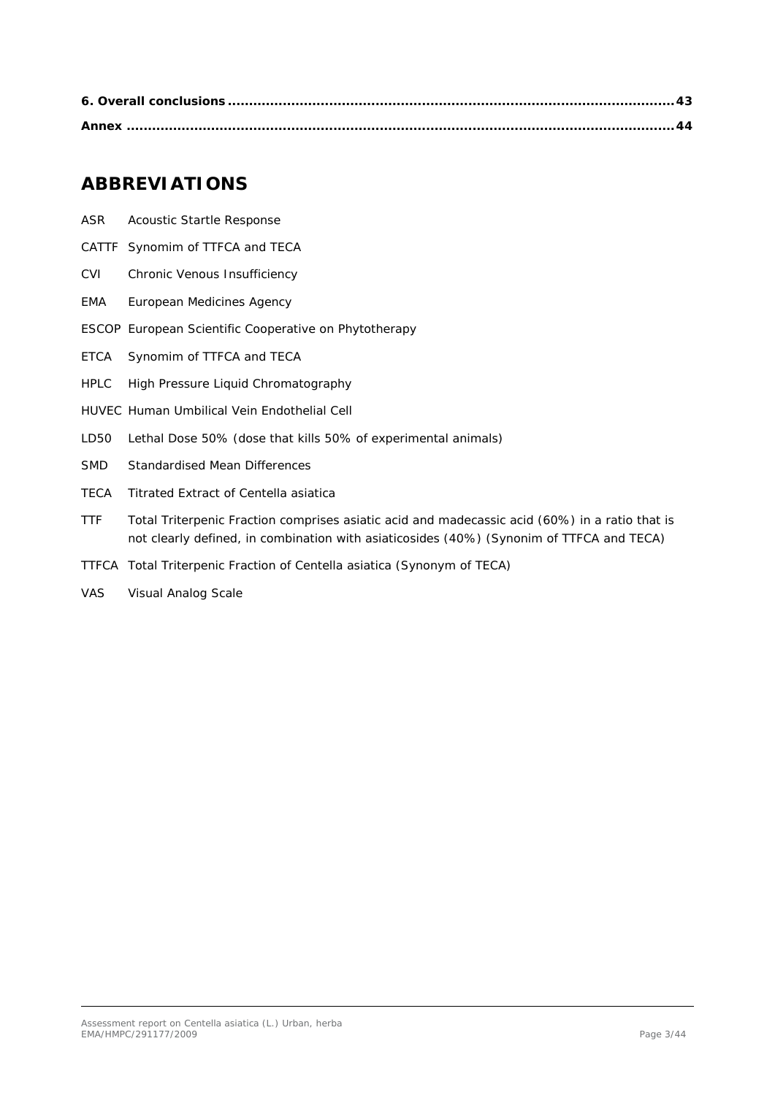## <span id="page-2-0"></span>**ABBREVIATIONS**

- ASR Acoustic Startle Response
- CATTF Synomim of TTFCA and TECA
- CVI Chronic Venous Insufficiency
- EMA European Medicines Agency
- ESCOP European Scientific Cooperative on Phytotherapy
- ETCA Synomim of TTFCA and TECA
- HPLC High Pressure Liquid Chromatography
- HUVEC Human Umbilical Vein Endothelial Cell
- LD50 Lethal Dose 50% (dose that kills 50% of experimental animals)
- SMD Standardised Mean Differences
- TECA Titrated Extract of *Centella asiatica*
- TTF Total Triterpenic Fraction comprises asiatic acid and madecassic acid (60%) in a ratio that is not clearly defined, in combination with asiaticosides (40%) (Synonim of TTFCA and TECA)
- TTFCA Total Triterpenic Fraction of *Centella asiatica* (Synonym of TECA)
- VAS Visual Analog Scale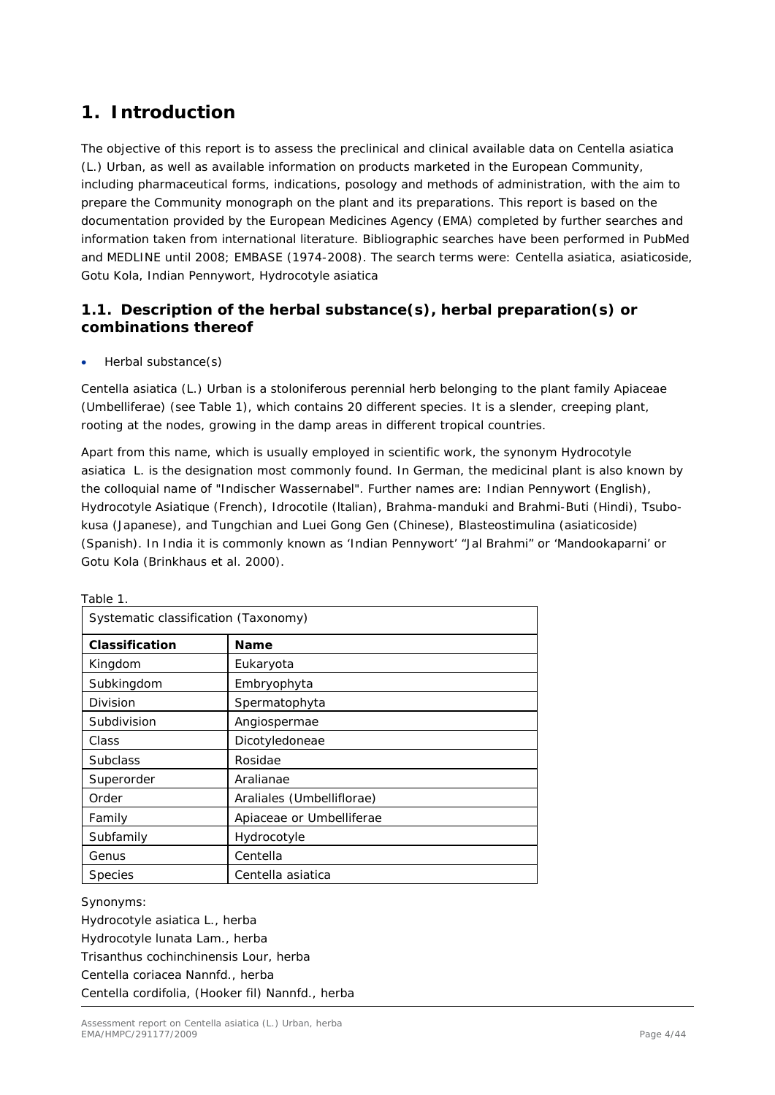# <span id="page-3-0"></span>**1. Introduction**

The objective of this report is to assess the preclinical and clinical available data on *Centella asiatica*  (L.) Urban, as well as available information on products marketed in the European Community, including pharmaceutical forms, indications, posology and methods of administration, with the aim to prepare the Community monograph on the plant and its preparations. This report is based on the documentation provided by the European Medicines Agency (EMA) completed by further searches and information taken from international literature. Bibliographic searches have been performed in PubMed and MEDLINE until 2008; EMBASE (1974-2008). The search terms were: *Centella asiatica*, asiaticoside, Gotu Kola, Indian Pennywort, *Hydrocotyle asiatica*

### <span id="page-3-1"></span>*1.1. Description of the herbal substance(s), herbal preparation(s) or combinations thereof*

• Herbal substance(s)

*Centella asiatica* (L.) Urban is a stoloniferous perennial herb belonging to the plant family *Apiaceae* (*Umbelliferae*) (see Table 1), which contains 20 different species. It is a slender, creeping plant, rooting at the nodes, growing in the damp areas in different tropical countries.

Apart from this name, which is usually employed in scientific work, the synonym *Hydrocotyle asiatica* L. is the designation most commonly found. In German, the medicinal plant is also known by the colloquial name of "Indischer Wassernabel". Further names are: Indian Pennywort (English), Hydrocotyle Asiatique (French), Idrocotile (ltalian), Brahma-manduki and Brahmi-Buti (Hindi), Tsubokusa (Japanese), and Tungchian and Luei Gong Gen (Chinese), Blasteostimulina (asiaticoside) (Spanish). In India it is commonly known as 'Indian Pennywort' "Jal Brahmi" or 'Mandookaparni' or Gotu Kola (Brinkhaus *et al.* 2000).

| Systematic classification (Taxonomy) |                           |  |  |  |  |
|--------------------------------------|---------------------------|--|--|--|--|
| Classification                       | <b>Name</b>               |  |  |  |  |
| Kingdom                              | Eukaryota                 |  |  |  |  |
| Subkingdom                           | Embryophyta               |  |  |  |  |
| Division                             | Spermatophyta             |  |  |  |  |
| Subdivision                          | Angiospermae              |  |  |  |  |
| Class                                | Dicotyledoneae            |  |  |  |  |
| <b>Subclass</b>                      | Rosidae                   |  |  |  |  |
| Superorder                           | Aralianae                 |  |  |  |  |
| Order                                | Araliales (Umbelliflorae) |  |  |  |  |
| Family                               | Apiaceae or Umbelliferae  |  |  |  |  |
| Subfamily                            | Hydrocotyle               |  |  |  |  |
| Genus                                | Centella                  |  |  |  |  |
| <b>Species</b>                       | Centella asiatica         |  |  |  |  |

Table 1.

*Synonyms:* 

*Hydrocotyle asiatica* L., herba *Hydrocotyle lunata* Lam., herba *Trisanthus cochinchinensis* Lour, herba *Centella coriacea* Nannfd., herba *Centella cordifolia,* (Hooker fil) Nannfd., herba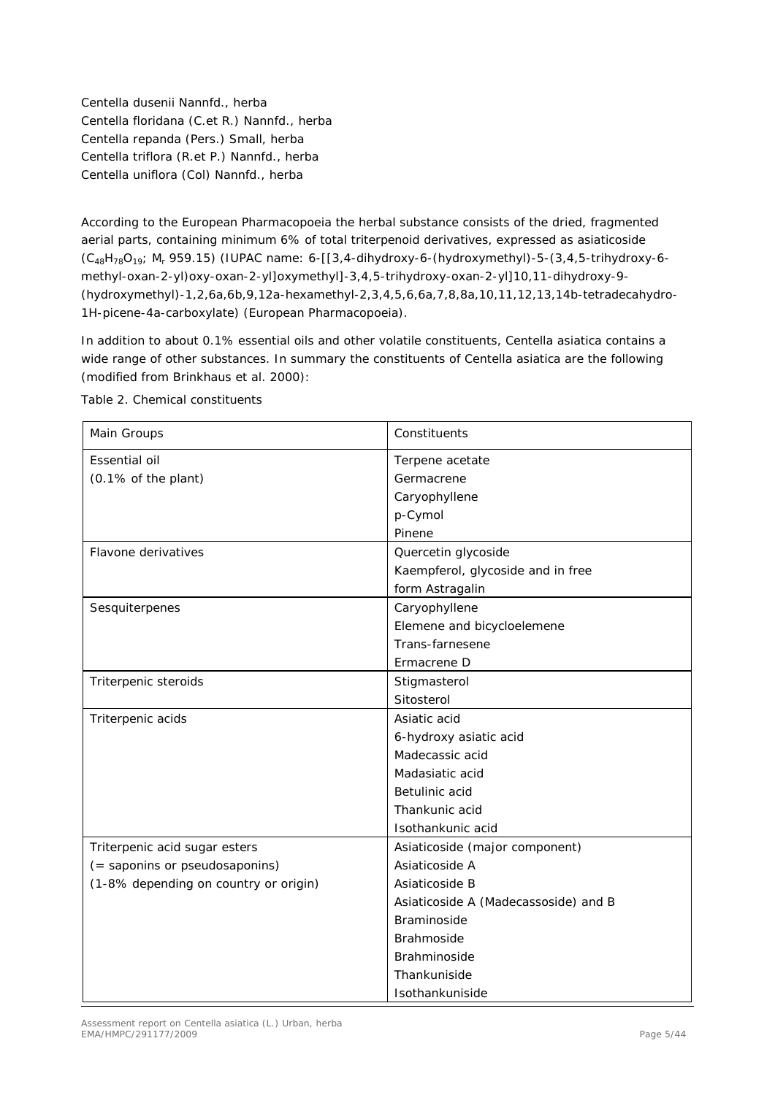*Centella dusenii* Nannfd., herba *Centella floridana* (C.et R.) Nannfd., herba *Centella repanda* (Pers.) Small, herba *Centella triflora* (R.et P.) Nannfd., herba *Centella uniflora* (Col) Nannfd., herba

According to the European Pharmacopoeia the herbal substance consists of the dried, fragmented aerial parts, containing minimum 6% of total triterpenoid derivatives, expressed as asiaticoside (C48H78O19; *M*<sup>r</sup> 959.15) (IUPAC name: 6-[[3,4-dihydroxy-6-(hydroxymethyl)-5-(3,4,5-trihydroxy-6 methyl-oxan-2-yl)oxy-oxan-2-yl]oxymethyl]-3,4,5-trihydroxy-oxan-2-yl]10,11-dihydroxy-9- (hydroxymethyl)-1,2,6a,6b,9,12a-hexamethyl-2,3,4,5,6,6a,7,8,8a,10,11,12,13,14b-tetradecahydro-1H-picene-4a-carboxylate) (European Pharmacopoeia).

In addition to about 0.1% essential oils and other volatile constituents, *Centella asiatica* contains a wide range of other substances. In summary the constituents of *Centella asiatica* are the following (modified from Brinkhaus *et al.* 2000):

| Main Groups                           | Constituents                         |
|---------------------------------------|--------------------------------------|
| Essential oil                         | Terpene acetate                      |
| (0.1% of the plant)                   | Germacrene                           |
|                                       | Caryophyllene                        |
|                                       | p-Cymol                              |
|                                       | Pinene                               |
| Flavone derivatives                   | Quercetin glycoside                  |
|                                       | Kaempferol, glycoside and in free    |
|                                       | form Astragalin                      |
| Sesquiterpenes                        | Caryophyllene                        |
|                                       | Elemene and bicycloelemene           |
|                                       | Trans-farnesene                      |
|                                       | Ermacrene D                          |
| Triterpenic steroids                  | Stigmasterol                         |
|                                       | Sitosterol                           |
| Triterpenic acids                     | Asiatic acid                         |
|                                       | 6-hydroxy asiatic acid               |
|                                       | Madecassic acid                      |
|                                       | Madasiatic acid                      |
|                                       | Betulinic acid                       |
|                                       | Thankunic acid                       |
|                                       | Isothankunic acid                    |
| Triterpenic acid sugar esters         | Asiaticoside (major component)       |
| (= saponins or pseudosaponins)        | Asiaticoside A                       |
| (1-8% depending on country or origin) | Asiaticoside B                       |
|                                       | Asiaticoside A (Madecassoside) and B |
|                                       | <b>Braminoside</b>                   |
|                                       | Brahmoside                           |
|                                       | Brahminoside                         |
|                                       | Thankuniside                         |
|                                       | Isothankuniside                      |

Table 2. Chemical constituents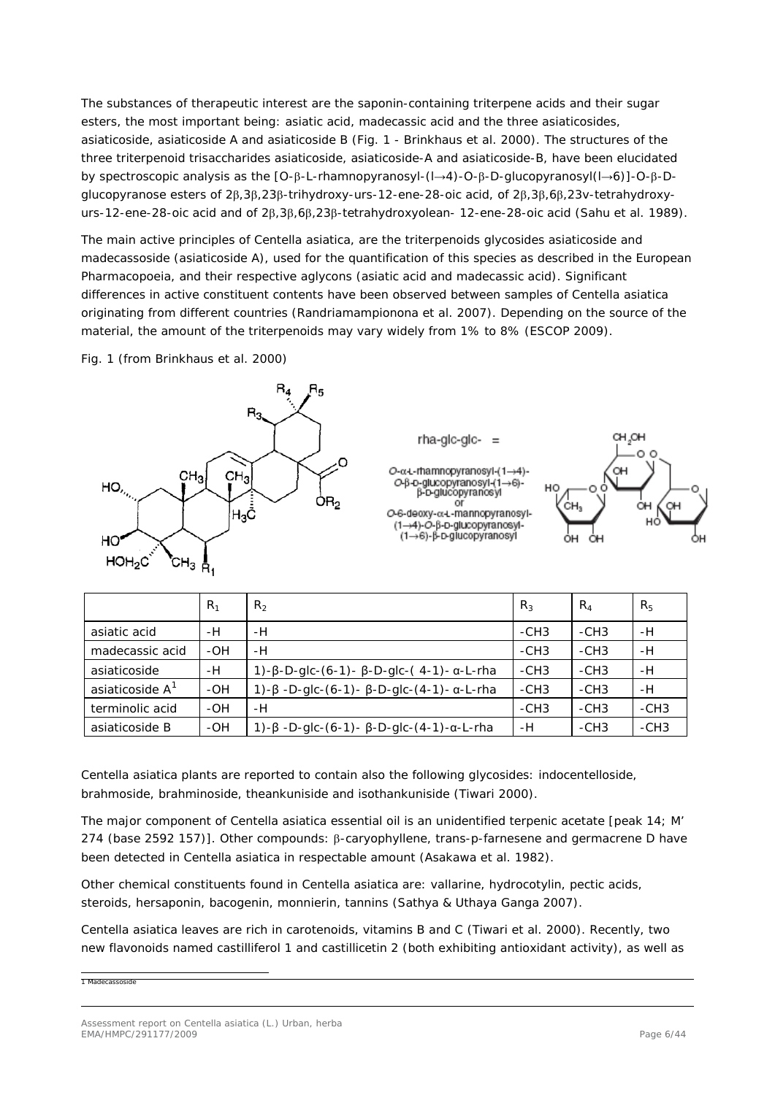The substances of therapeutic interest are the saponin-containing triterpene acids and their sugar esters, the most important being: asiatic acid, madecassic acid and the three asiaticosides, asiaticoside, asiaticoside A and asiaticoside B (Fig. 1 - Brinkhaus *et al.* 2000). The structures of the three triterpenoid trisaccharides asiaticoside, asiaticoside-A and asiaticoside-B, have been elucidated by spectroscopic analysis as the [O-β-L-rhamnopyranosyl-(l→4)-O-β-D-glucopyranosyl(l→6)]-O-β-Dglucopyranose esters of 2β,3β,23β-trihydroxy-urs-12-ene-28-oic acid, of 2β,3β,6β,23v-tetrahydroxyurs-12-ene-28-oic acid and of 2β,3β,6β,23β-tetrahydroxyolean- 12-ene-28-oic acid (Sahu *et al.* 1989).

The main active principles of *Centella asiatica*, are the triterpenoids glycosides asiaticoside and madecassoside (asiaticoside A), used for the quantification of this species as described in the European Pharmacopoeia, and their respective aglycons (asiatic acid and madecassic acid). Significant differences in active constituent contents have been observed between samples of *Centella asiatica*  originating from different countries (Randriamampionona *et al.* 2007). Depending on the source of the material, the amount of the triterpenoids may vary widely from 1% to 8% (ESCOP 2009).

Fig. 1 (from Brinkhaus *et al.* 2000)





|                             | $R_1$ | R <sub>2</sub>                                                 | $R_3$  | $R_4$  | R <sub>5</sub> |
|-----------------------------|-------|----------------------------------------------------------------|--------|--------|----------------|
| asiatic acid                | -H    | -H                                                             | $-CH3$ | $-CH3$ | -H             |
| madecassic acid             | -OH   | -H                                                             | $-CH3$ | $-CH3$ | -H             |
| asiaticoside                | -H    | $1)-\beta$ -D-glc-(6-1)- $\beta$ -D-glc-(4-1)- $\alpha$ -L-rha | $-CH3$ | $-CH3$ | -H             |
| asiaticoside A <sup>1</sup> | -OH   | $1)-\beta$ -D-glc-(6-1)- $\beta$ -D-glc-(4-1)- $\alpha$ -L-rha | $-CH3$ | $-CH3$ | -H             |
| terminolic acid             | -OH   | -H                                                             | $-CH3$ | $-CH3$ | $-CH3$         |
| asiaticoside B              | -OH   | $1)-\beta$ -D-glc-(6-1)- $\beta$ -D-glc-(4-1)- $\alpha$ -L-rha | -H     | $-CH3$ | $-CH3$         |

*Centella asiatica* plants are reported to contain also the following glycosides: indocentelloside, brahmoside, brahminoside, theankuniside and isothankuniside (Tiwari 2000).

The major component of *Centella asiatica* essential oil is an unidentified terpenic acetate [peak 14; M' 274 (base 2592 157)]. Other compounds: β-caryophyllene, trans-p-farnesene and germacrene D have been detected in *Centella asiatica* in respectable amount (Asakawa *et al.* 1982).

Other chemical constituents found in *Centella asiatica* are: vallarine, hydrocotylin, pectic acids, steroids, hersaponin, bacogenin, monnierin, tannins (Sathya & Uthaya Ganga 2007).

*Centella asiatica* leaves are rich in carotenoids, vitamins B and C (Tiwari *et al.* 2000). Recently, two new flavonoids named castilliferol 1 and castillicetin 2 (both exhibiting antioxidant activity), as well as

<span id="page-5-0"></span>1 Madecassoside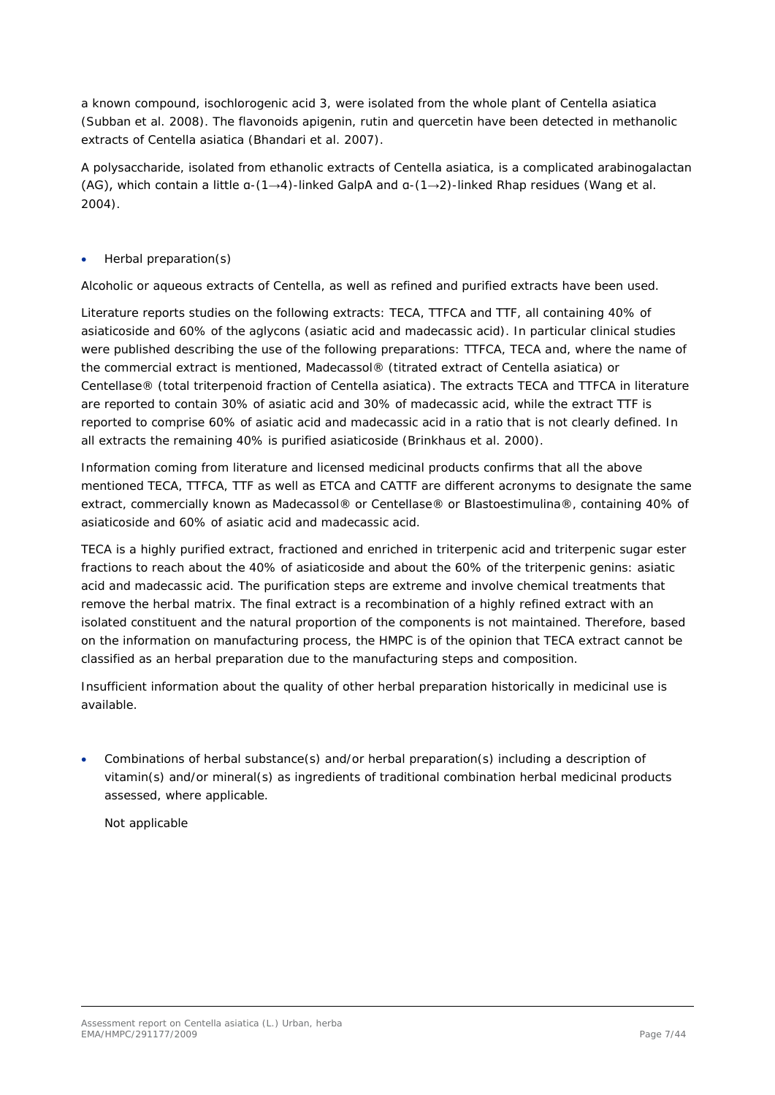a known compound, isochlorogenic acid 3, were isolated from the whole plant of *Centella asiatica*  (Subban *et al.* 2008). The flavonoids apigenin, rutin and quercetin have been detected in methanolic extracts of *Centella asiatica* (Bhandari *et al.* 2007).

A polysaccharide, isolated from ethanolic extracts of *Centella asiatica*, is a complicated arabinogalactan (AG), which contain a little α-(1→4)-linked Gal*p*A and α-(1→2)-linked Rha*p* residues (Wang *et al.* 2004).

• Herbal preparation(s)

Alcoholic or aqueous extracts of *Centella*, as well as refined and purified extracts have been used.

Literature reports studies on the following extracts: TECA, TTFCA and TTF, all containing 40% of asiaticoside and 60% of the aglycons (asiatic acid and madecassic acid). In particular clinical studies were published describing the use of the following preparations: TTFCA, TECA and, where the name of the commercial extract is mentioned, Madecassol® (titrated extract of *Centella asiatica*) or Centellase® (total triterpenoid fraction of *Centella asiatica)*. The extracts TECA and TTFCA in literature are reported to contain 30% of asiatic acid and 30% of madecassic acid, while the extract TTF is reported to comprise 60% of asiatic acid and madecassic acid in a ratio that is not clearly defined. In all extracts the remaining 40% is purified asiaticoside (Brinkhaus *et al.* 2000).

Information coming from literature and licensed medicinal products confirms that all the above mentioned TECA, TTFCA, TTF as well as ETCA and CATTF are different acronyms to designate the same extract, commercially known as Madecassol® or Centellase® or Blastoestimulina®, containing 40% of asiaticoside and 60% of asiatic acid and madecassic acid.

TECA is a highly purified extract, fractioned and enriched in triterpenic acid and triterpenic sugar ester fractions to reach about the 40% of asiaticoside and about the 60% of the triterpenic genins: asiatic acid and madecassic acid. The purification steps are extreme and involve chemical treatments that remove the herbal matrix. The final extract is a recombination of a highly refined extract with an isolated constituent and the natural proportion of the components is not maintained. Therefore, based on the information on manufacturing process, the HMPC is of the opinion that TECA extract cannot be classified as an herbal preparation due to the manufacturing steps and composition.

Insufficient information about the quality of other herbal preparation historically in medicinal use is available.

• Combinations of herbal substance(s) and/or herbal preparation(s) including a description of vitamin(s) and/or mineral(s) as ingredients of traditional combination herbal medicinal products assessed, where applicable.

Not applicable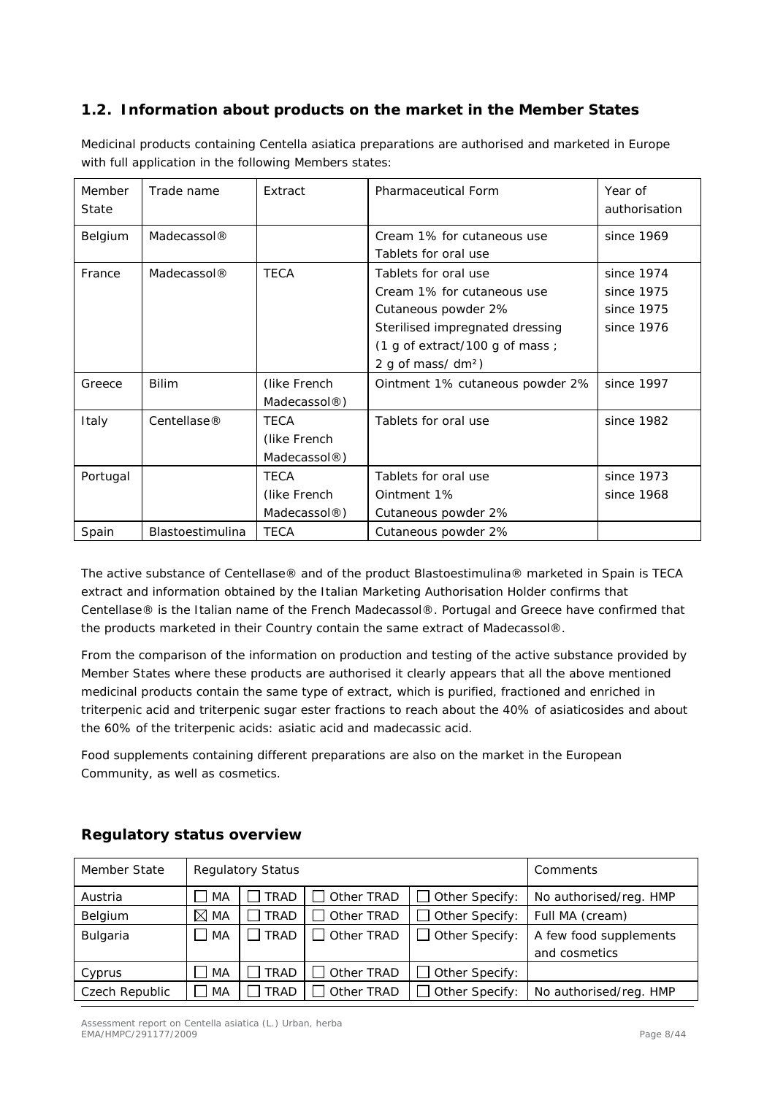### <span id="page-7-0"></span>*1.2. Information about products on the market in the Member States*

| Member<br>State | Trade name              | Extract                  | <b>Pharmaceutical Form</b>      | Year of<br>authorisation |
|-----------------|-------------------------|--------------------------|---------------------------------|--------------------------|
| Belgium         | Madecassol <sup>®</sup> |                          | Cream 1% for cutaneous use      | since 1969               |
|                 |                         |                          | Tablets for oral use            |                          |
| France          | Madecassol <sup>®</sup> | <b>TECA</b>              | Tablets for oral use            | since 1974               |
|                 |                         |                          | Cream 1% for cutaneous use      | since 1975               |
|                 |                         |                          | Cutaneous powder 2%             | since 1975               |
|                 |                         |                          | Sterilised impregnated dressing | since 1976               |
|                 |                         |                          | (1 g of extract/100 g of mass ; |                          |
|                 |                         |                          | 2 g of mass/ dm <sup>2</sup> )  |                          |
| Greece          | <b>Bilim</b>            | (like French             | Ointment 1% cutaneous powder 2% | since 1997               |
|                 |                         | Madecassol®)             |                                 |                          |
| Italy           | Centellase <sup>®</sup> | <b>TECA</b>              | Tablets for oral use            | since 1982               |
|                 |                         | (like French             |                                 |                          |
|                 |                         | Madecassol®)             |                                 |                          |
| Portugal        |                         | <b>TECA</b>              | Tablets for oral use            | since 1973               |
|                 |                         | (like French             | Ointment 1%                     | since 1968               |
|                 |                         | Madecassol $\circledR$ ) | Cutaneous powder 2%             |                          |
| Spain           | <b>Blastoestimulina</b> | <b>TECA</b>              | Cutaneous powder 2%             |                          |

Medicinal products containing *Centella asiatica* preparations are authorised and marketed in Europe with full application in the following Members states:

The active substance of Centellase® and of the product Blastoestimulina® marketed in Spain is TECA extract and information obtained by the Italian Marketing Authorisation Holder confirms that Centellase® is the Italian name of the French Madecassol®. Portugal and Greece have confirmed that the products marketed in their Country contain the same extract of Madecassol®.

From the comparison of the information on production and testing of the active substance provided by Member States where these products are authorised it clearly appears that all the above mentioned medicinal products contain the same type of extract, which is purified, fractioned and enriched in triterpenic acid and triterpenic sugar ester fractions to reach about the 40% of asiaticosides and about the 60% of the triterpenic acids: asiatic acid and madecassic acid.

Food supplements containing different preparations are also on the market in the European Community, as well as cosmetics.

| Member State   |                | <b>Regulatory Status</b> | Comments               |                       |                        |
|----------------|----------------|--------------------------|------------------------|-----------------------|------------------------|
| Austria        | MA             | <b>TRAD</b>              | No authorised/reg. HMP |                       |                        |
| Belgium        | $\boxtimes$ MA | <b>TRAD</b>              | Other TRAD             | Other Specify:        | Full MA (cream)        |
| Bulgaria       | MA             | TRAD                     | $\Box$ Other TRAD      | $\Box$ Other Specify: | A few food supplements |
|                |                |                          |                        |                       | and cosmetics          |
| Cyprus         | MA             | <b>TRAD</b>              | Other TRAD             | $\Box$ Other Specify: |                        |
| Czech Republic | l MA           | TRAD                     | Other TRAD             | Other Specify:        | No authorised/reg. HMP |

### **Regulatory status overview**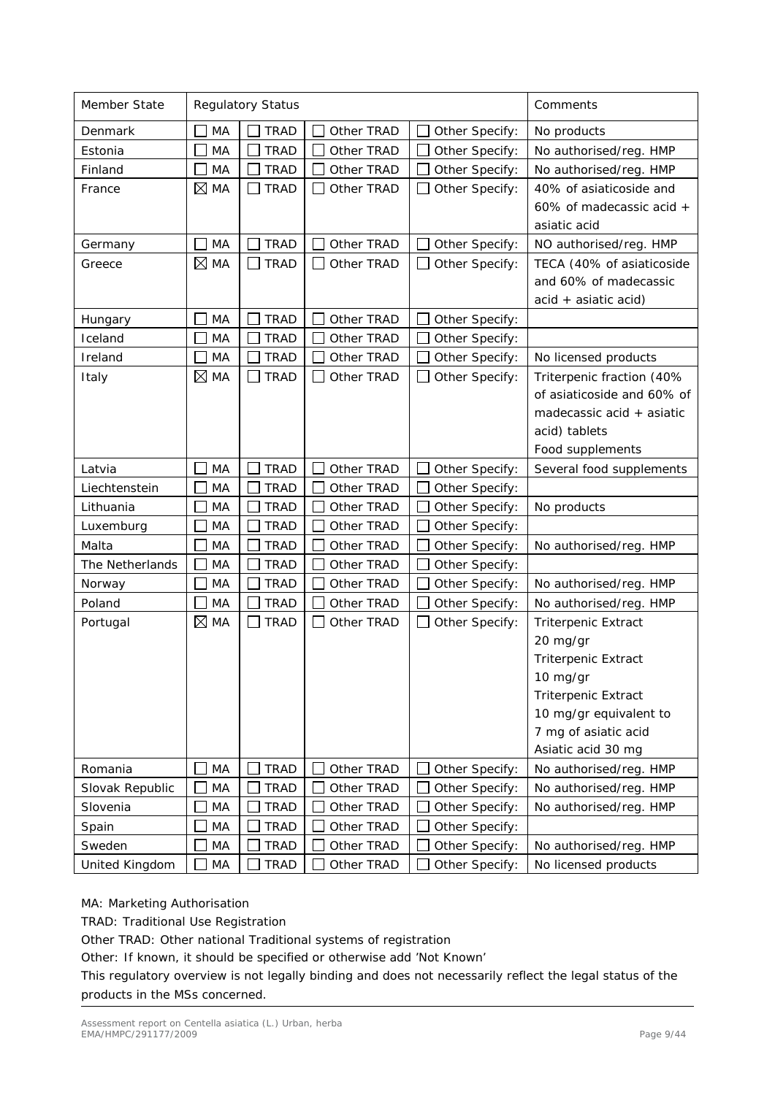| Member State    |                | <b>Regulatory Status</b> | Comments                   |                |                            |
|-----------------|----------------|--------------------------|----------------------------|----------------|----------------------------|
| Denmark         | MA             | <b>TRAD</b>              | Other TRAD                 | Other Specify: | No products                |
| Estonia         | MA             | <b>TRAD</b>              | Other TRAD                 | Other Specify: | No authorised/reg. HMP     |
| Finland         | MA             | <b>TRAD</b>              | Other TRAD                 | Other Specify: | No authorised/reg. HMP     |
| France          | $\boxtimes$ MA | <b>TRAD</b>              | Other TRAD                 | Other Specify: | 40% of asiaticoside and    |
|                 |                |                          |                            |                | 60% of madecassic acid +   |
|                 |                |                          |                            |                | asiatic acid               |
| Germany         | MA             | <b>TRAD</b>              | Other TRAD                 | Other Specify: | NO authorised/reg. HMP     |
| Greece          | $\boxtimes$ MA | <b>TRAD</b>              | Other TRAD<br>$\mathbf{I}$ | Other Specify: | TECA (40% of asiaticoside  |
|                 |                |                          |                            |                | and 60% of madecassic      |
|                 |                |                          |                            |                | acid + asiatic acid)       |
| Hungary         | MA             | <b>TRAD</b>              | Other TRAD                 | Other Specify: |                            |
| Iceland         | MA             | <b>TRAD</b>              | Other TRAD                 | Other Specify: |                            |
| Ireland         | MA             | <b>TRAD</b>              | Other TRAD                 | Other Specify: | No licensed products       |
| Italy           | $\boxtimes$ MA | <b>TRAD</b>              | Other TRAD                 | Other Specify: | Triterpenic fraction (40%  |
|                 |                |                          |                            |                | of asiaticoside and 60% of |
|                 |                |                          |                            |                | madecassic acid + asiatic  |
|                 |                |                          |                            |                | acid) tablets              |
|                 |                |                          |                            |                | Food supplements           |
| Latvia          | MA             | <b>TRAD</b>              | Other TRAD                 | Other Specify: | Several food supplements   |
| Liechtenstein   | MA             | <b>TRAD</b>              | Other TRAD                 | Other Specify: |                            |
| Lithuania       | MA             | <b>TRAD</b>              | Other TRAD                 | Other Specify: | No products                |
| Luxemburg       | MA             | <b>TRAD</b>              | Other TRAD                 | Other Specify: |                            |
| Malta           | MA             | <b>TRAD</b>              | Other TRAD                 | Other Specify: | No authorised/reg. HMP     |
| The Netherlands | MA             | <b>TRAD</b>              | Other TRAD                 | Other Specify: |                            |
| Norway          | MA             | <b>TRAD</b>              | Other TRAD                 | Other Specify: | No authorised/reg. HMP     |
| Poland          | MA             | <b>TRAD</b>              | Other TRAD                 | Other Specify: | No authorised/reg. HMP     |
| Portugal        | $\boxtimes$ MA | <b>TRAD</b>              | Other TRAD                 | Other Specify: | <b>Triterpenic Extract</b> |
|                 |                |                          |                            |                | 20 mg/gr                   |
|                 |                |                          |                            |                | <b>Triterpenic Extract</b> |
|                 |                |                          |                            |                | 10 mg/gr                   |
|                 |                |                          |                            |                | <b>Triterpenic Extract</b> |
|                 |                |                          |                            |                | 10 mg/gr equivalent to     |
|                 |                |                          |                            |                | 7 mg of asiatic acid       |
|                 |                |                          |                            |                | Asiatic acid 30 mg         |
| Romania         | MA             | <b>TRAD</b>              | Other TRAD                 | Other Specify: | No authorised/reg. HMP     |
| Slovak Republic | MA             | <b>TRAD</b>              | Other TRAD                 | Other Specify: | No authorised/reg. HMP     |
| Slovenia        | MA             | <b>TRAD</b>              | Other TRAD                 | Other Specify: | No authorised/reg. HMP     |
| Spain           | MA             | <b>TRAD</b>              | Other TRAD                 | Other Specify: |                            |
| Sweden          | MA             | <b>TRAD</b>              | Other TRAD                 | Other Specify: | No authorised/reg. HMP     |
| United Kingdom  | MA             | <b>TRAD</b>              | Other TRAD                 | Other Specify: | No licensed products       |

#### MA: Marketing Authorisation

TRAD: Traditional Use Registration

Other TRAD: Other national Traditional systems of registration

Other: If known, it should be specified or otherwise add 'Not Known'

This regulatory overview is not legally binding and does not necessarily reflect the legal status of the products in the MSs concerned.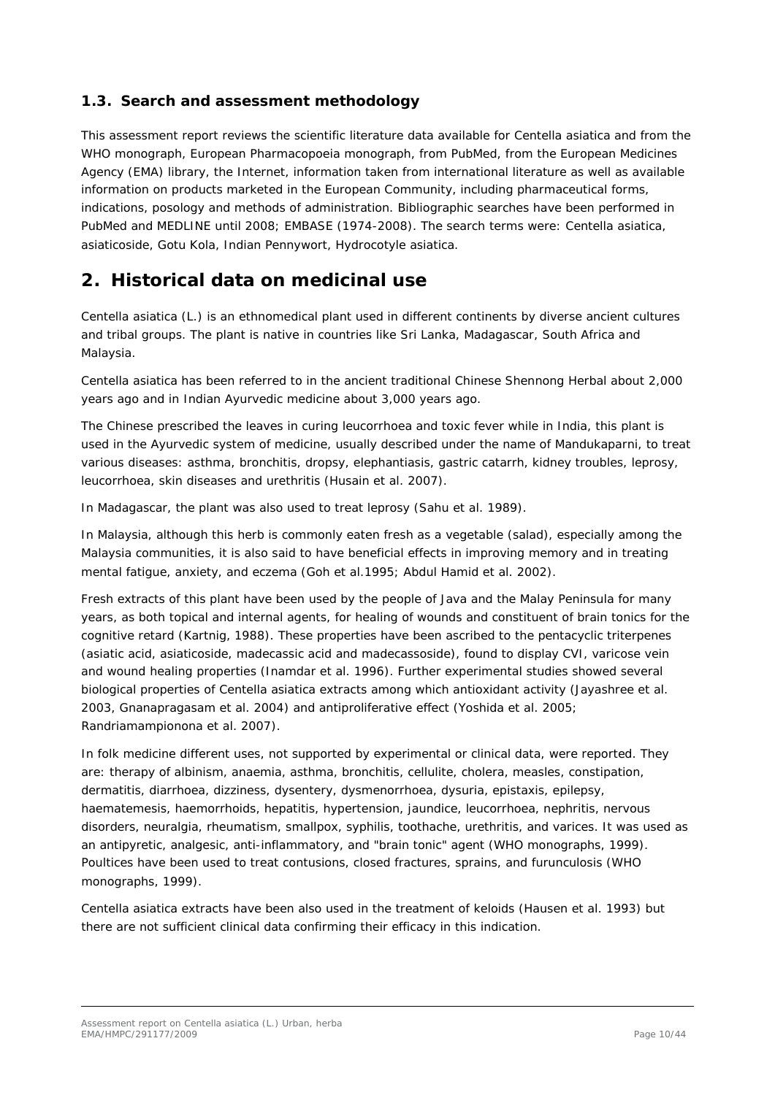### <span id="page-9-0"></span>*1.3. Search and assessment methodology*

This assessment report reviews the scientific literature data available for *Centella asiatica* and from the WHO monograph, European Pharmacopoeia monograph, from PubMed, from the European Medicines Agency (EMA) library, the Internet, information taken from international literature as well as available information on products marketed in the European Community, including pharmaceutical forms, indications, posology and methods of administration. Bibliographic searches have been performed in PubMed and MEDLINE until 2008; EMBASE (1974-2008). The search terms were: *Centella asiatica*, asiaticoside, Gotu Kola, Indian Pennywort, *Hydrocotyle asiatica.*

## <span id="page-9-1"></span>**2. Historical data on medicinal use**

*Centella asiatica* (L.) is an ethnomedical plant used in different continents by diverse ancient cultures and tribal groups. The plant is native in countries like Sri Lanka, Madagascar, South Africa and Malaysia.

*Centella asiatica* has been referred to in the ancient traditional Chinese Shennong Herbal about 2,000 years ago and in Indian Ayurvedic medicine about 3,000 years ago.

The Chinese prescribed the leaves in curing leucorrhoea and toxic fever while in India, this plant is used in the Ayurvedic system of medicine, usually described under the name of Mandukaparni, to treat various diseases: asthma, bronchitis, dropsy, elephantiasis, gastric catarrh, kidney troubles, leprosy, leucorrhoea, skin diseases and urethritis (Husain *et al*. 2007).

In Madagascar, the plant was also used to treat leprosy (Sahu *et al.* 1989).

In Malaysia, although this herb is commonly eaten fresh as a vegetable (salad), especially among the Malaysia communities, it is also said to have beneficial effects in improving memory and in treating mental fatigue, anxiety, and eczema (Goh *et al.*1995; Abdul Hamid *et al.* 2002).

Fresh extracts of this plant have been used by the people of Java and the Malay Peninsula for many years, as both topical and internal agents, for healing of wounds and constituent of brain tonics for the cognitive retard (Kartnig, 1988). These properties have been ascribed to the pentacyclic triterpenes (asiatic acid, asiaticoside, madecassic acid and madecassoside), found to display CVI, varicose vein and wound healing properties (Inamdar *et al.* 1996). Further experimental studies showed several biological properties of *Centella asiatica* extracts among which antioxidant activity (Jayashree *et al.* 2003, Gnanapragasam *et al.* 2004) and antiproliferative effect (Yoshida *et al.* 2005; Randriamampionona *et al.* 2007).

In folk medicine different uses, not supported by experimental or clinical data, were reported. They are: therapy of albinism, anaemia, asthma, bronchitis, cellulite, cholera, measles, constipation, dermatitis, diarrhoea, dizziness, dysentery, dysmenorrhoea, dysuria, epistaxis, epilepsy, haematemesis, haemorrhoids, hepatitis, hypertension, jaundice, leucorrhoea, nephritis, nervous disorders, neuralgia, rheumatism, smallpox, syphilis, toothache, urethritis, and varices. It was used as an antipyretic, analgesic, anti-inflammatory, and "brain tonic" agent (WHO monographs, 1999). Poultices have been used to treat contusions, closed fractures, sprains, and furunculosis (WHO monographs, 1999).

*Centella asiatica* extracts have been also used in the treatment of keloids (Hausen *et al.* 1993) but there are not sufficient clinical data confirming their efficacy in this indication.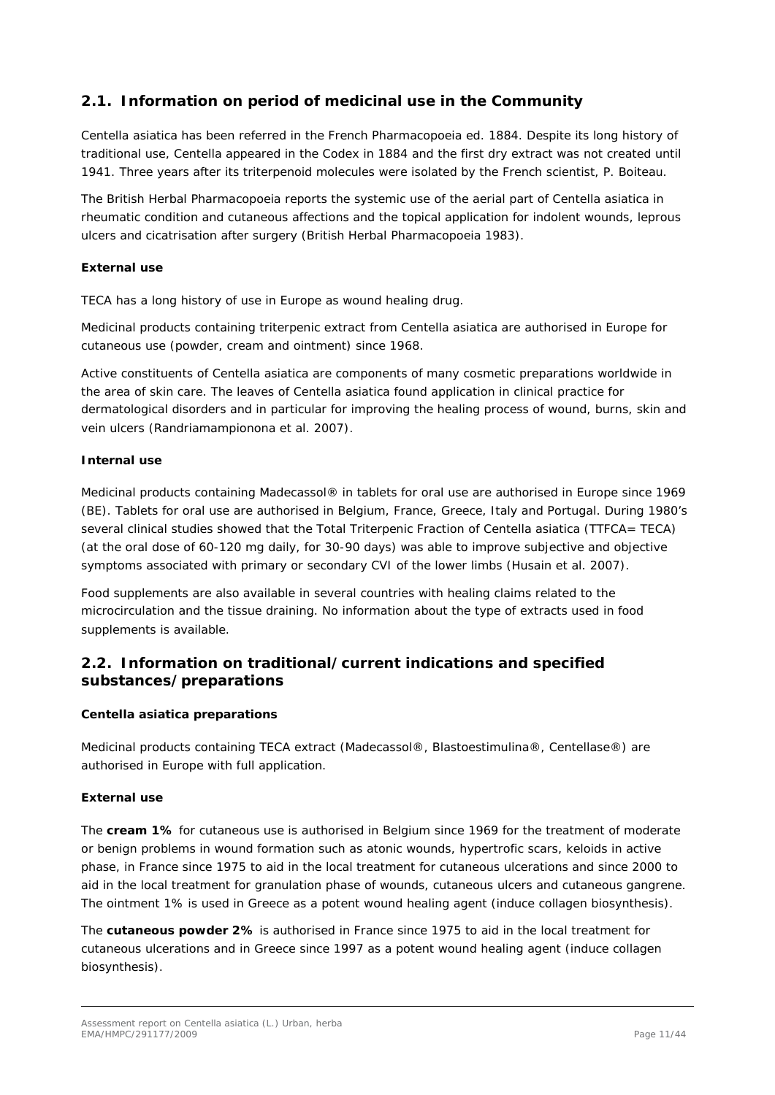### <span id="page-10-0"></span>*2.1. Information on period of medicinal use in the Community*

*Centella asiatica* has been referred in the French Pharmacopoeia ed. 1884. Despite its long history of traditional use, *Centella* appeared in the Codex in 1884 and the first dry extract was not created until 1941. Three years after its triterpenoid molecules were isolated by the French scientist, P. Boiteau.

The British Herbal Pharmacopoeia reports the systemic use of the aerial part of *Centella asiatica* in rheumatic condition and cutaneous affections and the topical application for indolent wounds, leprous ulcers and cicatrisation after surgery (British Herbal Pharmacopoeia 1983).

#### **External use**

TECA has a long history of use in Europe as wound healing drug.

Medicinal products containing triterpenic extract from *Centella asiatica* are authorised in Europe for cutaneous use (powder, cream and ointment) since 1968.

Active constituents of *Centella asiatica* are components of many cosmetic preparations worldwide in the area of skin care. The leaves of *Centella asiatica* found application in clinical practice for dermatological disorders and in particular for improving the healing process of wound, burns, skin and vein ulcers (Randriamampionona *et al.* 2007).

#### **Internal use**

Medicinal products containing Madecassol® in tablets for oral use are authorised in Europe since 1969 (BE). Tablets for oral use are authorised in Belgium, France, Greece, Italy and Portugal. During 1980's several clinical studies showed that the Total Triterpenic Fraction of *Centella asiatica* (TTFCA= TECA) (at the oral dose of 60-120 mg daily, for 30-90 days) was able to improve subjective and objective symptoms associated with primary or secondary CVI of the lower limbs (Husain *et al.* 2007).

Food supplements are also available in several countries with healing claims related to the microcirculation and the tissue draining. No information about the type of extracts used in food supplements is available.

### <span id="page-10-1"></span>*2.2. Information on traditional/current indications and specified substances/preparations*

#### *Centella asiatica preparations*

Medicinal products containing TECA extract (Madecassol®, Blastoestimulina®, Centellase®) are authorised in Europe with full application.

#### **External use**

The **cream 1%** for cutaneous use is authorised in Belgium since 1969 for the treatment of moderate or benign problems in wound formation such as atonic wounds, hypertrofic scars, keloids in active phase, in France since 1975 to aid in the local treatment for cutaneous ulcerations and since 2000 to aid in the local treatment for granulation phase of wounds, cutaneous ulcers and cutaneous gangrene. The ointment 1% is used in Greece as a potent wound healing agent (induce collagen biosynthesis).

The **cutaneous powder 2%** is authorised in France since 1975 to aid in the local treatment for cutaneous ulcerations and in Greece since 1997 as a potent wound healing agent (induce collagen biosynthesis).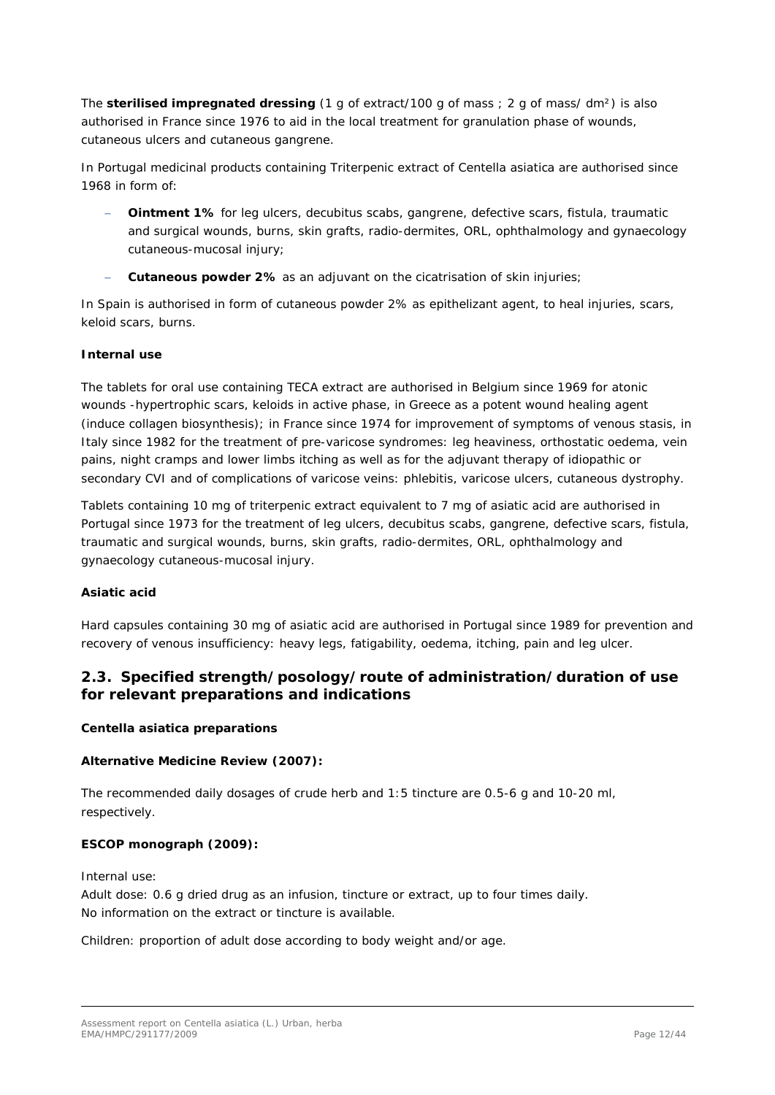The **sterilised impregnated dressing** (1 g of extract/100 g of mass ; 2 g of mass/ dm²) is also authorised in France since 1976 to aid in the local treatment for granulation phase of wounds, cutaneous ulcers and cutaneous gangrene.

In Portugal medicinal products containing Triterpenic extract of *Centella asiatica* are authorised since 1968 in form of:

- **Ointment 1%** for leg ulcers, decubitus scabs, gangrene, defective scars, fistula, traumatic and surgical wounds, burns, skin grafts, radio-dermites, ORL, ophthalmology and gynaecology cutaneous-mucosal injury;
- − **Cutaneous powder 2%** as an adjuvant on the cicatrisation of skin injuries;

In Spain is authorised in form of cutaneous powder 2% as epithelizant agent, to heal injuries, scars, keloid scars, burns.

#### **Internal use**

The tablets for oral use containing TECA extract are authorised in Belgium since 1969 for atonic wounds -hypertrophic scars, keloids in active phase, in Greece as a potent wound healing agent (induce collagen biosynthesis); in France since 1974 for improvement of symptoms of venous stasis, in Italy since 1982 for the treatment of pre-varicose syndromes: leg heaviness, orthostatic oedema, vein pains, night cramps and lower limbs itching as well as for the adjuvant therapy of idiopathic or secondary CVI and of complications of varicose veins: phlebitis, varicose ulcers, cutaneous dystrophy.

Tablets containing 10 mg of triterpenic extract equivalent to 7 mg of asiatic acid are authorised in Portugal since 1973 for the treatment of leg ulcers, decubitus scabs, gangrene, defective scars, fistula, traumatic and surgical wounds, burns, skin grafts, radio-dermites, ORL, ophthalmology and gynaecology cutaneous-mucosal injury.

#### *Asiatic acid*

Hard capsules containing 30 mg of asiatic acid are authorised in Portugal since 1989 for prevention and recovery of venous insufficiency: heavy legs, fatigability, oedema, itching, pain and leg ulcer.

### <span id="page-11-0"></span>*2.3. Specified strength/posology/route of administration/duration of use for relevant preparations and indications*

#### *Centella asiatica preparations*

#### **Alternative Medicine Review (2007):**

The recommended daily dosages of crude herb and 1:5 tincture are 0.5-6 g and 10-20 ml, respectively.

#### **ESCOP monograph (2009):**

Internal use:

Adult dose: 0.6 g dried drug as an infusion, tincture or extract, up to four times daily. No information on the extract or tincture is available.

Children: proportion of adult dose according to body weight and/or age.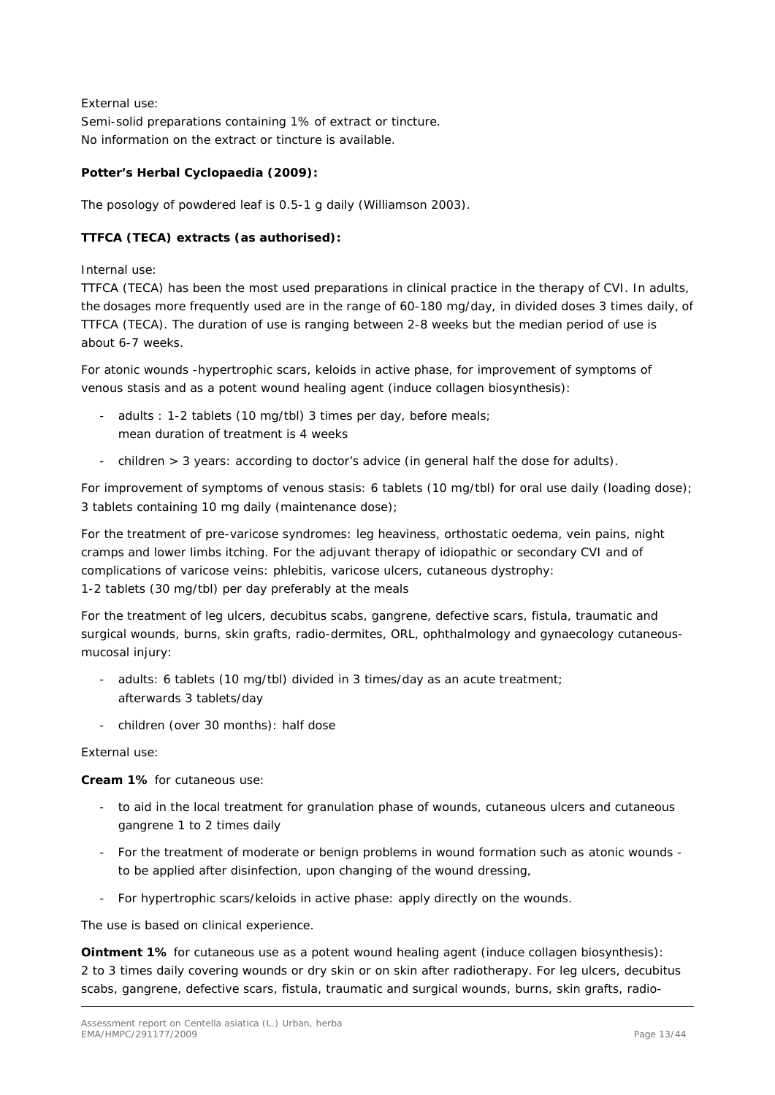External use: Semi-solid preparations containing 1% of extract or tincture. No information on the extract or tincture is available.

#### **Potter's Herbal Cyclopaedia (2009):**

The posology of powdered leaf is 0.5-1 g daily (Williamson 2003).

#### **TTFCA (TECA) extracts (as authorised):**

Internal use:

TTFCA (TECA) has been the most used preparations in clinical practice in the therapy of CVI. In adults, the dosages more frequently used are in the range of 60-180 mg/day, in divided doses 3 times daily, of TTFCA (TECA). The duration of use is ranging between 2-8 weeks but the median period of use is about 6-7 weeks.

For atonic wounds -hypertrophic scars, keloids in active phase, for improvement of symptoms of venous stasis and as a potent wound healing agent (induce collagen biosynthesis):

- adults : 1-2 tablets (10 mg/tbl) 3 times per day, before meals; mean duration of treatment is 4 weeks
- children > 3 years: according to doctor's advice (in general half the dose for adults).

For improvement of symptoms of venous stasis: 6 tablets (10 mg/tbl) for oral use daily (loading dose); 3 tablets containing 10 mg daily (maintenance dose);

For the treatment of pre-varicose syndromes: leg heaviness, orthostatic oedema, vein pains, night cramps and lower limbs itching. For the adjuvant therapy of idiopathic or secondary CVI and of complications of varicose veins: phlebitis, varicose ulcers, cutaneous dystrophy: 1-2 tablets (30 mg/tbl) per day preferably at the meals

For the treatment of leg ulcers, decubitus scabs, gangrene, defective scars, fistula, traumatic and surgical wounds, burns, skin grafts, radio-dermites, ORL, ophthalmology and gynaecology cutaneousmucosal injury:

- adults: 6 tablets (10 mg/tbl) divided in 3 times/day as an acute treatment; afterwards 3 tablets/day
- children (over 30 months): half dose

External use:

**Cream 1%** for cutaneous use:

- to aid in the local treatment for granulation phase of wounds, cutaneous ulcers and cutaneous gangrene 1 to 2 times daily
- For the treatment of moderate or benign problems in wound formation such as atonic wounds to be applied after disinfection, upon changing of the wound dressing,
- For hypertrophic scars/keloids in active phase: apply directly on the wounds.

The use is based on clinical experience.

**Ointment 1%** for cutaneous use as a potent wound healing agent (induce collagen biosynthesis): 2 to 3 times daily covering wounds or dry skin or on skin after radiotherapy. For leg ulcers, decubitus scabs, gangrene, defective scars, fistula, traumatic and surgical wounds, burns, skin grafts, radio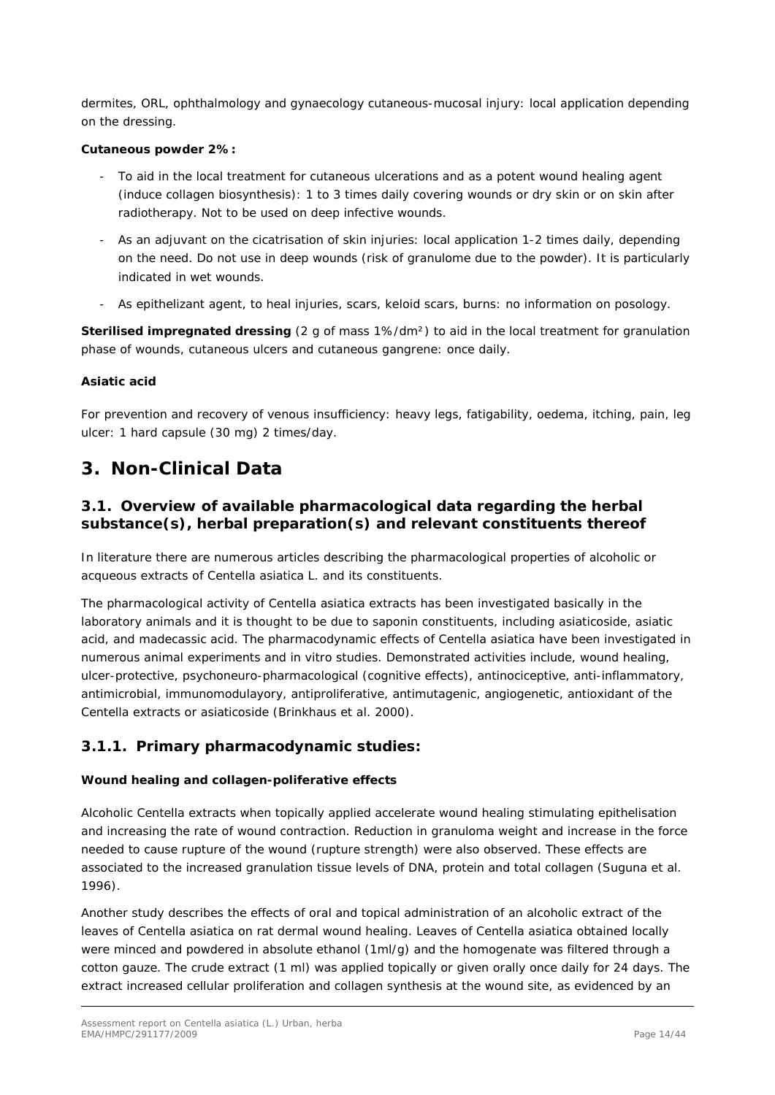dermites, ORL, ophthalmology and gynaecology cutaneous-mucosal injury: local application depending on the dressing.

#### **Cutaneous powder 2%:**

- To aid in the local treatment for cutaneous ulcerations and as a potent wound healing agent (induce collagen biosynthesis): 1 to 3 times daily covering wounds or dry skin or on skin after radiotherapy. Not to be used on deep infective wounds.
- As an adjuvant on the cicatrisation of skin injuries: local application 1-2 times daily, depending on the need. Do not use in deep wounds (risk of granulome due to the powder). It is particularly indicated in wet wounds.
- As epithelizant agent, to heal injuries, scars, keloid scars, burns: no information on posology.

**Sterilised impregnated dressing** (2 g of mass 1%/dm²) to aid in the local treatment for granulation phase of wounds, cutaneous ulcers and cutaneous gangrene: once daily.

#### *Asiatic acid*

For prevention and recovery of venous insufficiency: heavy legs, fatigability, oedema, itching, pain, leg ulcer: 1 hard capsule (30 mg) 2 times/day.

## <span id="page-13-0"></span>**3. Non-Clinical Data**

### <span id="page-13-1"></span>*3.1. Overview of available pharmacological data regarding the herbal substance(s), herbal preparation(s) and relevant constituents thereof*

In literature there are numerous articles describing the pharmacological properties of alcoholic or acqueous extracts of *Centella asiatica* L. and its constituents.

The pharmacological activity of *Centella asiatica* extracts has been investigated basically in the laboratory animals and it is thought to be due to saponin constituents, including asiaticoside, asiatic acid, and madecassic acid. The pharmacodynamic effects of *Centella asiatica* have been investigated in numerous animal experiments and *in vitro* studies. Demonstrated activities include, wound healing, ulcer-protective, psychoneuro-pharmacological (cognitive effects), antinociceptive, anti-inflammatory, antimicrobial, immunomodulayory, antiproliferative, antimutagenic, angiogenetic, antioxidant of the *Centella* extracts or asiaticoside (Brinkhaus *et al.* 2000).

### <span id="page-13-2"></span>**3.1.1. Primary pharmacodynamic studies:**

#### *Wound healing and collagen-poliferative effects*

Alcoholic *Centella* extracts when topically applied accelerate wound healing stimulating epithelisation and increasing the rate of wound contraction. Reduction in granuloma weight and increase in the force needed to cause rupture of the wound (rupture strength) were also observed. These effects are associated to the increased granulation tissue levels of DNA, protein and total collagen (Suguna *et al.* 1996).

Another study describes the effects of oral and topical administration of an alcoholic extract of the leaves of *Centella asiatica* on rat dermal wound healing. Leaves of *Centella asiatica* obtained locally were minced and powdered in absolute ethanol (1ml/g) and the homogenate was filtered through a cotton gauze. The crude extract (1 ml) was applied topically or given orally once daily for 24 days. The extract increased cellular proliferation and collagen synthesis at the wound site, as evidenced by an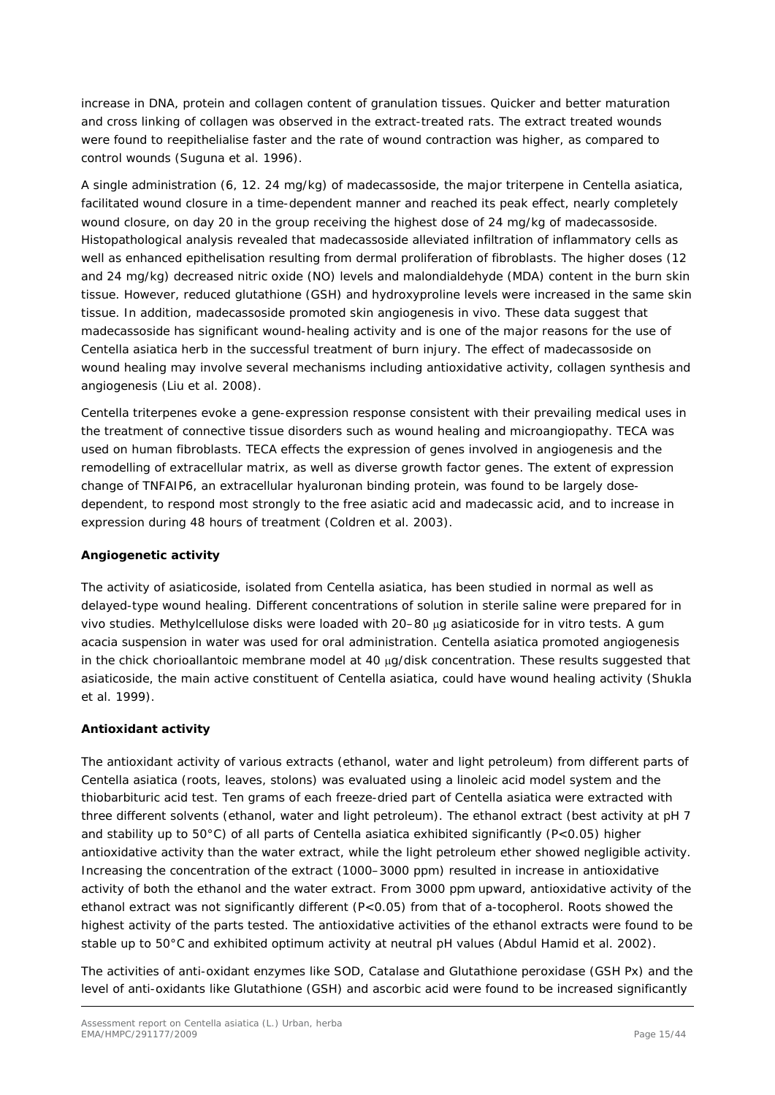increase in DNA, protein and collagen content of granulation tissues. Quicker and better maturation and cross linking of collagen was observed in the extract-treated rats. The extract treated wounds were found to reepithelialise faster and the rate of wound contraction was higher, as compared to control wounds (Suguna *et al.* 1996).

A single administration (6, 12. 24 mg/kg*)* of madecassoside, the major triterpene in *Centella asiatica*, facilitated wound closure in a time-dependent manner and reached its peak effect, nearly completely wound closure, on day 20 in the group receiving the highest dose of 24 mg/kg of madecassoside. Histopathological analysis revealed that madecassoside alleviated infiltration of inflammatory cells as well as enhanced epithelisation resulting from dermal proliferation of fibroblasts. The higher doses (12 and 24 mg/kg) decreased nitric oxide (NO) levels and malondialdehyde (MDA) content in the burn skin tissue. However, reduced glutathione (GSH) and hydroxyproline levels were increased in the same skin tissue. In addition, madecassoside promoted skin angiogenesis *in vivo.* These data suggest that madecassoside has significant wound-healing activity and is one of the major reasons for the use of *Centella asiatica* herb in the successful treatment of burn injury. The effect of madecassoside on wound healing may involve several mechanisms including antioxidative activity, collagen synthesis and angiogenesis (Liu *et al.* 2008).

*Centella* triterpenes evoke a gene-expression response consistent with their prevailing medical uses in the treatment of connective tissue disorders such as wound healing and microangiopathy. TECA was used on human fibroblasts. TECA effects the expression of genes involved in angiogenesis and the remodelling of extracellular matrix, as well as diverse growth factor genes. The extent of expression change of TNFAIP6, an extracellular hyaluronan binding protein, was found to be largely dosedependent, to respond most strongly to the free asiatic acid and madecassic acid, and to increase in expression during 48 hours of treatment (Coldren *et al.* 2003).

#### **Angiogenetic activity**

The activity of asiaticoside, isolated from *Centella asiatica*, has been studied in normal as well as delayed-type wound healing. Different concentrations of solution in sterile saline were prepared for *in vivo* studies. Methylcellulose disks were loaded with 20–80 µg asiaticoside for *in vitro* tests. A gum acacia suspension in water was used for oral administration. *Centella asiatica* promoted angiogenesis in the chick chorioallantoic membrane model at 40 µg/disk concentration. These results suggested that asiaticoside, the main active constituent of *Centella asiatica*, could have wound healing activity (Shukla *et al.* 1999).

#### **Antioxidant activity**

The antioxidant activity of various extracts (ethanol, water and light petroleum) from different parts of *Centella asiatica* (roots, leaves, stolons) was evaluated using a linoleic acid model system and the thiobarbituric acid test. Ten grams of each freeze-dried part of *Centella asiatica* were extracted with three different solvents (ethanol, water and light petroleum). The ethanol extract (best activity at pH 7 and stability up to 50°C) of all parts of *Centella asiatica* exhibited significantly (P<0.05) higher antioxidative activity than the water extract, while the light petroleum ether showed negligible activity. Increasing the concentration of the extract (1000–3000 ppm) resulted in increase in antioxidative activity of both the ethanol and the water extract. From 3000 ppm upward, antioxidative activity of the ethanol extract was not significantly different (P<0.05) from that of a-tocopherol. Roots showed the highest activity of the parts tested. The antioxidative activities of the ethanol extracts were found to be stable up to 50°C and exhibited optimum activity at neutral pH values (Abdul Hamid *et al.* 2002).

The activities of anti-oxidant enzymes like SOD, Catalase and Glutathione peroxidase (GSH Px) and the level of anti-oxidants like Glutathione (GSH) and ascorbic acid were found to be increased significantly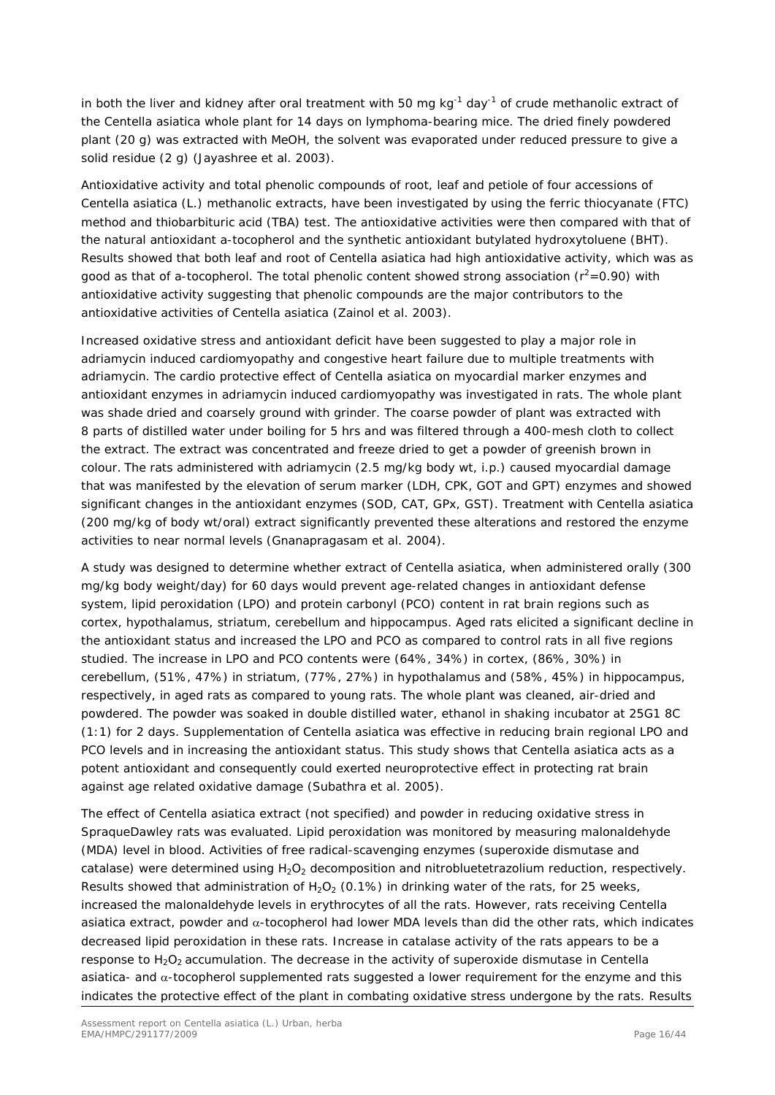in both the liver and kidney after oral treatment with 50 mg kg<sup>-1</sup> day<sup>-1</sup> of crude methanolic extract of the *Centella asiatica* whole plant for 14 days on lymphoma-bearing mice. The dried finely powdered plant (20 g) was extracted with MeOH, the solvent was evaporated under reduced pressure to give a solid residue (2 g) (Jayashree *et al.* 2003).

Antioxidative activity and total phenolic compounds of root, leaf and petiole of four accessions of *Centella asiatica* (L.) methanolic extracts, have been investigated by using the ferric thiocyanate (FTC) method and thiobarbituric acid (TBA) test. The antioxidative activities were then compared with that of the natural antioxidant a-tocopherol and the synthetic antioxidant butylated hydroxytoluene (BHT). Results showed that both leaf and root of *Centella asiatica* had high antioxidative activity, which was as good as that of a-tocopherol. The total phenolic content showed strong association ( $r^2$ =0.90) with antioxidative activity suggesting that phenolic compounds are the major contributors to the antioxidative activities of *Centella asiatica* (Zainol *et al.* 2003).

Increased oxidative stress and antioxidant deficit have been suggested to play a major role in adriamycin induced cardiomyopathy and congestive heart failure due to multiple treatments with adriamycin. The cardio protective effect of *Centella asiatica* on myocardial marker enzymes and antioxidant enzymes in adriamycin induced cardiomyopathy was investigated in rats. The whole plant was shade dried and coarsely ground with grinder. The coarse powder of plant was extracted with 8 parts of distilled water under boiling for 5 hrs and was filtered through a 400-mesh cloth to collect the extract. The extract was concentrated and freeze dried to get a powder of greenish brown in colour. The rats administered with adriamycin (2.5 mg/kg body wt, i.p.) caused myocardial damage that was manifested by the elevation of serum marker (LDH, CPK, GOT and GPT) enzymes and showed significant changes in the antioxidant enzymes (SOD, CAT, GPx, GST). Treatment with *Centella asiatica*  (200 mg/kg of body wt/oral) extract significantly prevented these alterations and restored the enzyme activities to near normal levels (Gnanapragasam *et al.* 2004).

A study was designed to determine whether extract of *Centella asiatica*, when administered orally (300 mg/kg body weight/day) for 60 days would prevent age-related changes in antioxidant defense system, lipid peroxidation (LPO) and protein carbonyl (PCO) content in rat brain regions such as cortex, hypothalamus, striatum, cerebellum and hippocampus. Aged rats elicited a significant decline in the antioxidant status and increased the LPO and PCO as compared to control rats in all five regions studied. The increase in LPO and PCO contents were (64%, 34%) in cortex, (86%, 30%) in cerebellum, (51%, 47%) in striatum, (77%, 27%) in hypothalamus and (58%, 45%) in hippocampus, respectively, in aged rats as compared to young rats. The whole plant was cleaned, air-dried and powdered. The powder was soaked in double distilled water, ethanol in shaking incubator at 25G1 8C (1:1) for 2 days. Supplementation of *Centella asiatica* was effective in reducing brain regional LPO and PCO levels and in increasing the antioxidant status. This study shows that *Centella asiatica* acts as a potent antioxidant and consequently could exerted neuroprotective effect in protecting rat brain against age related oxidative damage (Subathra *et al.* 2005).

The effect of *Centella asiatica* extract (not specified) and powder in reducing oxidative stress in SpraqueDawley rats was evaluated. Lipid peroxidation was monitored by measuring malonaldehyde (MDA) level in blood. Activities of free radical-scavenging enzymes (superoxide dismutase and catalase) were determined using  $H_2O_2$  decomposition and nitrobluetetrazolium reduction, respectively. Results showed that administration of  $H_2O_2$  (0.1%) in drinking water of the rats, for 25 weeks, increased the malonaldehyde levels in erythrocytes of all the rats. However, rats receiving *Centella asiatica* extract, powder and α-tocopherol had lower MDA levels than did the other rats, which indicates decreased lipid peroxidation in these rats. Increase in catalase activity of the rats appears to be a response to H<sub>2</sub>O<sub>2</sub> accumulation. The decrease in the activity of superoxide dismutase in *Centella asiatica-* and α-tocopherol supplemented rats suggested a lower requirement for the enzyme and this indicates the protective effect of the plant in combating oxidative stress undergone by the rats. Results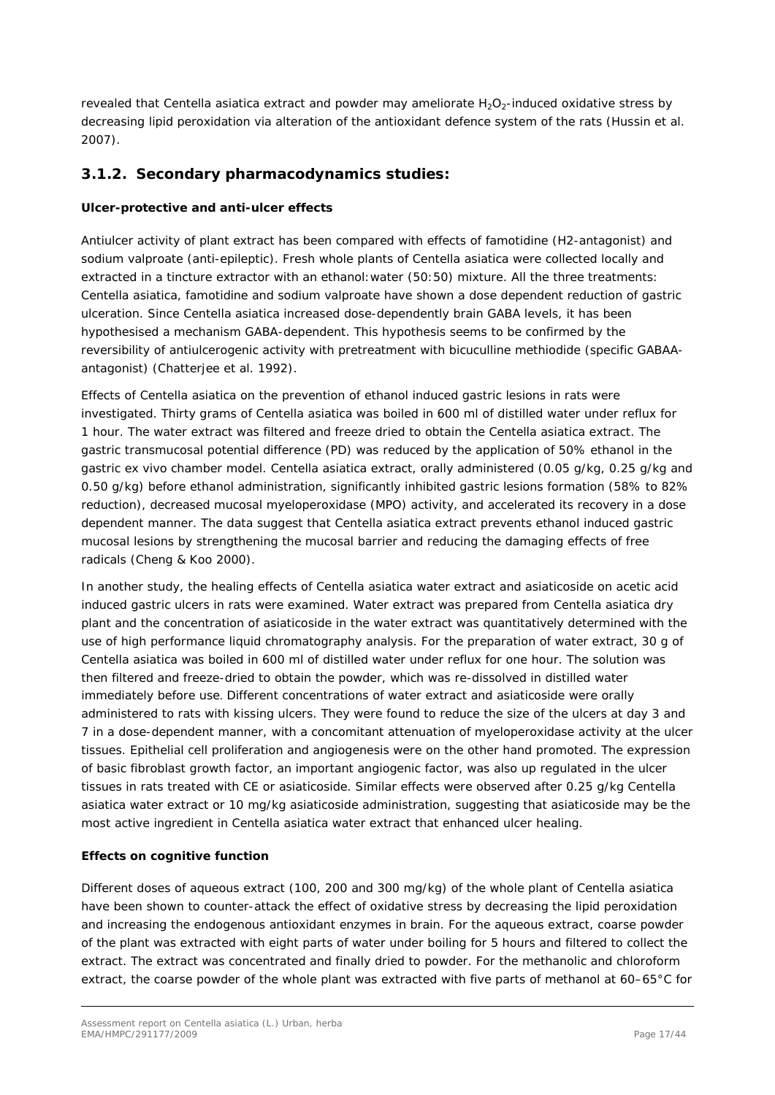revealed that *Centella asiatica* extract and powder may ameliorate H<sub>2</sub>O<sub>2</sub>-induced oxidative stress by decreasing lipid peroxidation via alteration of the antioxidant defence system of the rats (Hussin *et al.* 2007).

### <span id="page-16-0"></span>**3.1.2. Secondary pharmacodynamics studies:**

#### *Ulcer-protective and anti-ulcer effects*

Antiulcer activity of plant extract has been compared with effects of famotidine (H2-antagonist) and sodium valproate (anti-epileptic). Fresh whole plants of *Centella asiatica* were collected locally and extracted in a tincture extractor with an ethanol:water (50:50) mixture. All the three treatments: *Centella asiatica*, famotidine and sodium valproate have shown a dose dependent reduction of gastric ulceration. Since *Centella asiatica* increased dose-dependently brain GABA levels, it has been hypothesised a mechanism GABA-dependent. This hypothesis seems to be confirmed by the reversibility of antiulcerogenic activity with pretreatment with bicuculline methiodide (specific GABAAantagonist) (Chatterjee *et al.* 1992).

Effects of *Centella asiatica* on the prevention of ethanol induced gastric lesions in rats were investigated. Thirty grams of *Centella asiatica* was boiled in 600 ml of distilled water under reflux for 1 hour. The water extract was filtered and freeze dried to obtain the *Centella asiatica* extract. The gastric transmucosal potential difference (PD) was reduced by the application of 50% ethanol in the gastric *ex vivo* chamber model. *Centella asiatica* extract, orally administered (0.05 g/kg, 0.25 g/kg and 0.50 g/kg) before ethanol administration, significantly inhibited gastric lesions formation (58% to 82% reduction), decreased mucosal myeloperoxidase (MPO) activity, and accelerated its recovery in a dose dependent manner. The data suggest that *Centella asiatica* extract prevents ethanol induced gastric mucosal lesions by strengthening the mucosal barrier and reducing the damaging effects of free radicals (Cheng & Koo 2000).

In another study, the healing effects of *Centella asiatica* water extract and asiaticoside on acetic acid induced gastric ulcers in rats were examined. Water extract was prepared from *Centella asiatica* dry plant and the concentration of asiaticoside in the water extract was quantitatively determined with the use of high performance liquid chromatography analysis. For the preparation of water extract, 30 g of *Centella asiatica* was boiled in 600 ml of distilled water under reflux for one hour. The solution was then filtered and freeze-dried to obtain the powder, which was re-dissolved in distilled water immediately before use. Different concentrations of water extract and asiaticoside were orally administered to rats with kissing ulcers. They were found to reduce the size of the ulcers at day 3 and 7 in a dose-dependent manner, with a concomitant attenuation of myeloperoxidase activity at the ulcer tissues. Epithelial cell proliferation and angiogenesis were on the other hand promoted. The expression of basic fibroblast growth factor, an important angiogenic factor, was also up regulated in the ulcer tissues in rats treated with CE or asiaticoside. Similar effects were observed after 0.25 g/kg *Centella asiatica* water extract or 10 mg/kg asiaticoside administration, suggesting that asiaticoside may be the most active ingredient in *Centella asiatica* water extract that enhanced ulcer healing.

#### **Effects on cognitive function**

Different doses of aqueous extract (100, 200 and 300 mg/kg) of the whole plant of *Centella asiatica*  have been shown to counter-attack the effect of oxidative stress by decreasing the lipid peroxidation and increasing the endogenous antioxidant enzymes in brain. For the aqueous extract, coarse powder of the plant was extracted with eight parts of water under boiling for 5 hours and filtered to collect the extract. The extract was concentrated and finally dried to powder. For the methanolic and chloroform extract, the coarse powder of the whole plant was extracted with five parts of methanol at 60–65°C for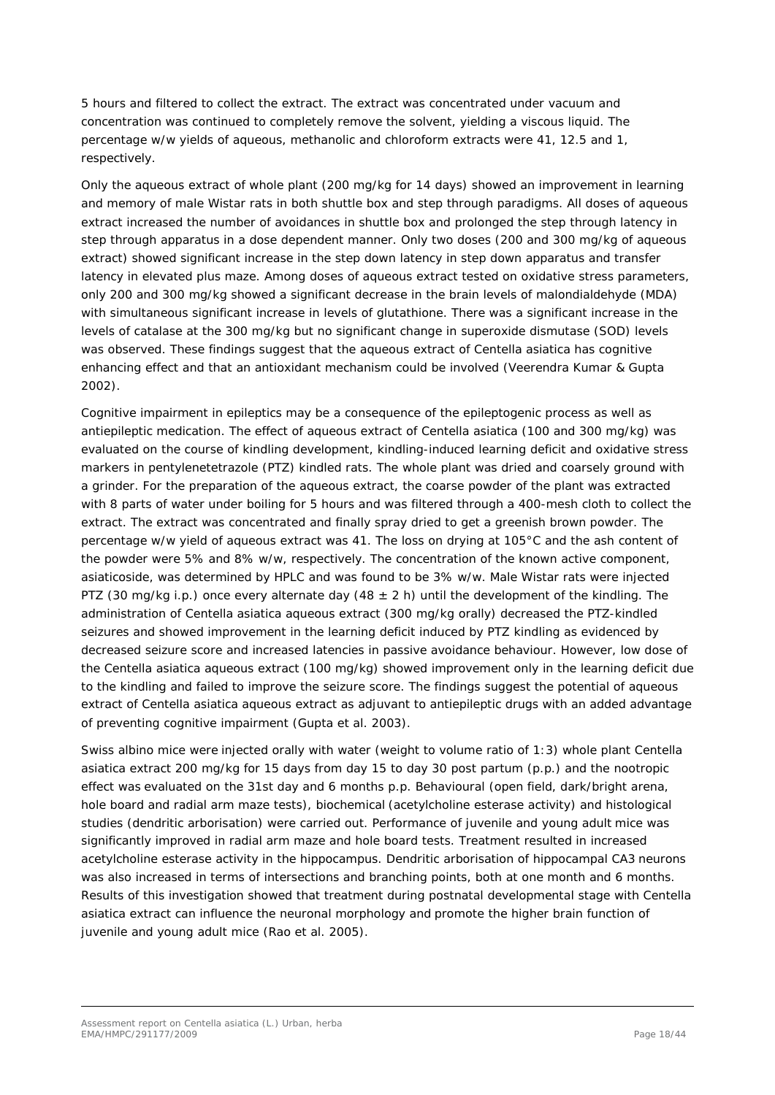5 hours and filtered to collect the extract. The extract was concentrated under vacuum and concentration was continued to completely remove the solvent, yielding a viscous liquid. The percentage w/w yields of aqueous, methanolic and chloroform extracts were 41, 12.5 and 1, respectively.

Only the aqueous extract of whole plant (200 mg/kg for 14 days) showed an improvement in learning and memory of male Wistar rats in both shuttle box and step through paradigms. All doses of aqueous extract increased the number of avoidances in shuttle box and prolonged the step through latency in step through apparatus in a dose dependent manner. Only two doses (200 and 300 mg/kg of aqueous extract) showed significant increase in the step down latency in step down apparatus and transfer latency in elevated plus maze. Among doses of aqueous extract tested on oxidative stress parameters, only 200 and 300 mg/kg showed a significant decrease in the brain levels of malondialdehyde (MDA) with simultaneous significant increase in levels of glutathione. There was a significant increase in the levels of catalase at the 300 mg/kg but no significant change in superoxide dismutase (SOD) levels was observed. These findings suggest that the aqueous extract of *Centella asiatica* has cognitive enhancing effect and that an antioxidant mechanism could be involved (Veerendra Kumar & Gupta 2002).

Cognitive impairment in epileptics may be a consequence of the epileptogenic process as well as antiepileptic medication. The effect of aqueous extract of *Centella asiatica* (100 and 300 mg/kg) was evaluated on the course of kindling development, kindling-induced learning deficit and oxidative stress markers in pentylenetetrazole (PTZ) kindled rats. The whole plant was dried and coarsely ground with a grinder. For the preparation of the aqueous extract, the coarse powder of the plant was extracted with 8 parts of water under boiling for 5 hours and was filtered through a 400-mesh cloth to collect the extract. The extract was concentrated and finally spray dried to get a greenish brown powder. The percentage w/w yield of aqueous extract was 41. The loss on drying at 105°C and the ash content of the powder were 5% and 8% w/w, respectively. The concentration of the known active component, asiaticoside, was determined by HPLC and was found to be 3% w/w. Male Wistar rats were injected PTZ (30 mg/kg i.p.) once every alternate day (48  $\pm$  2 h) until the development of the kindling. The administration of *Centella asiatica* aqueous extract (300 mg/kg orally) decreased the PTZ-kindled seizures and showed improvement in the learning deficit induced by PTZ kindling as evidenced by decreased seizure score and increased latencies in passive avoidance behaviour. However, low dose of the *Centella asiatica* aqueous extract (100 mg/kg) showed improvement only in the learning deficit due to the kindling and failed to improve the seizure score. The findings suggest the potential of aqueous extract of *Centella asiatica* aqueous extract as adjuvant to antiepileptic drugs with an added advantage of preventing cognitive impairment (Gupta *et al.* 2003).

Swiss albino mice were injected orally with water (weight to volume ratio of 1:3) whole plant *Centella asiatica* extract 200 mg/kg for 15 days from day 15 to day 30 post partum (p.p.) and the nootropic effect was evaluated on the 31st day and 6 months p.p. Behavioural (open field, dark/bright arena, hole board and radial arm maze tests), biochemical (acetylcholine esterase activity) and histological studies (dendritic arborisation) were carried out. Performance of juvenile and young adult mice was significantly improved in radial arm maze and hole board tests. Treatment resulted in increased acetylcholine esterase activity in the hippocampus. Dendritic arborisation of hippocampal CA3 neurons was also increased in terms of intersections and branching points, both at one month and 6 months. Results of this investigation showed that treatment during postnatal developmental stage with *Centella asiatica* extract can influence the neuronal morphology and promote the higher brain function of juvenile and young adult mice (Rao *et al.* 2005).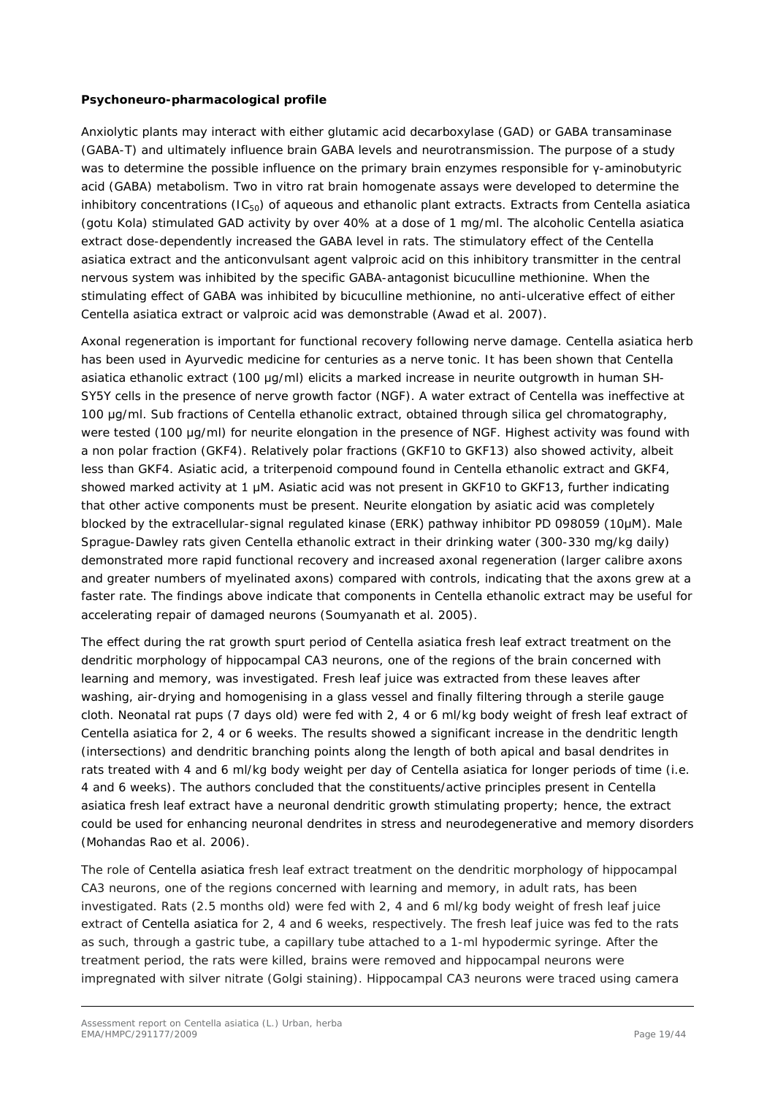#### **Psychoneuro-pharmacological profile**

Anxiolytic plants may interact with either glutamic acid decarboxylase (GAD) or GABA transaminase (GABA-T) and ultimately influence brain GABA levels and neurotransmission. The purpose of a study was to determine the possible influence on the primary brain enzymes responsible for y-aminobutyric acid (GABA) metabolism. Two *in vitro* rat brain homogenate assays were developed to determine the inhibitory concentrations (IC<sub>50</sub>) of aqueous and ethanolic plant extracts. Extracts from *Centella asiatica* (gotu Kola) stimulated GAD activity by over 40% at a dose of 1 mg/ml. The alcoholic *Centella asiatica* extract dose-dependently increased the GABA level in rats. The stimulatory effect of the *Centella asiatica* extract and the anticonvulsant agent valproic acid on this inhibitory transmitter in the central nervous system was inhibited by the specific GABA-antagonist bicuculline methionine. When the stimulating effect of GABA was inhibited by bicuculline methionine, no anti-ulcerative effect of either *Centella asiatica* extract or valproic acid was demonstrable (Awad *et al.* 2007).

Axonal regeneration is important for functional *recovery* following nerve damage. *Centella asiatica* herb has been used in Ayurvedic medicine for centuries as a nerve tonic. It has been shown that *Centella asiatica* ethanolic extract (100 μg/ml) elicits a marked increase in neurite outgrowth in human SH-SY5Y cells in the presence of nerve growth factor (NGF). A water extract of *Centella* was ineffective at 100 μg/ml. Sub fractions of *Centella* ethanolic extract, obtained through silica gel chromatography, were tested (100 μg/ml) for neurite elongation in the presence of NGF. Highest activity was found with a non polar fraction (GKF4). Relatively polar fractions (GKF10 to GKF13) also showed activity, albeit less than GKF4. Asiatic acid, a triterpenoid compound found in *Centella* ethanolic extract and GKF4, showed marked activity at 1 μM. Asiatic acid was not present in GKF10 to GKF13, further indicating that other active components must be present. Neurite elongation by asiatic acid was completely blocked by the extracellular-signal regulated kinase (ERK) pathway inhibitor PD 098059 (10μM). Male Sprague-Dawley rats given *Centella* ethanolic extract in their drinking water (300-330 mg/kg daily) demonstrated more rapid functional recovery and increased axonal regeneration (larger calibre axons and greater numbers of myelinated axons) compared with controls, indicating that the axons grew at a faster rate. The findings above indicate that components in *Centella* ethanolic extract may be useful for accelerating repair of damaged neurons (Soumyanath *et al.* 2005).

The effect during the rat growth spurt period of *Centella asiatica* fresh leaf extract treatment on the dendritic morphology of hippocampal CA3 neurons, one of the regions of the brain concerned with learning and memory, was investigated. Fresh leaf juice was extracted from these leaves after washing, air-drying and homogenising in a glass vessel and finally filtering through a sterile gauge cloth. Neonatal rat pups (7 days old) were fed with 2, 4 or 6 ml/kg body weight of fresh leaf extract of *Centella asiatica* for 2, 4 or 6 weeks. The results showed a significant increase in the dendritic length (intersections) and dendritic branching points along the length of both apical and basal dendrites in rats treated with 4 and 6 ml/kg body weight per day of *Centella asiatica* for longer periods of time (i.e. 4 and 6 weeks). The authors concluded that the constituents/active principles present in *Centella asiatica* fresh leaf extract have a neuronal dendritic growth stimulating property; hence, the extract could be used for enhancing neuronal dendrites in stress and neurodegenerative and memory disorders (Mohandas Rao *et al.* 2006).

The role of *Centella asiatica* fresh leaf extract treatment on the dendritic morphology of hippocampal CA3 neurons, one of the regions concerned with learning and memory, in adult rats, has been investigated. Rats (2.5 months old) were fed with 2, 4 and 6 ml/kg body weight of fresh leaf juice extract of *Centella asiatica* for 2, 4 and 6 weeks, respectively. The fresh leaf juice was fed to the rats as such, through a gastric tube, a capillary tube attached to a 1-ml hypodermic syringe. After the treatment period, the rats were killed, brains were removed and hippocampal neurons were impregnated with silver nitrate (Golgi staining). Hippocampal CA3 neurons were traced using camera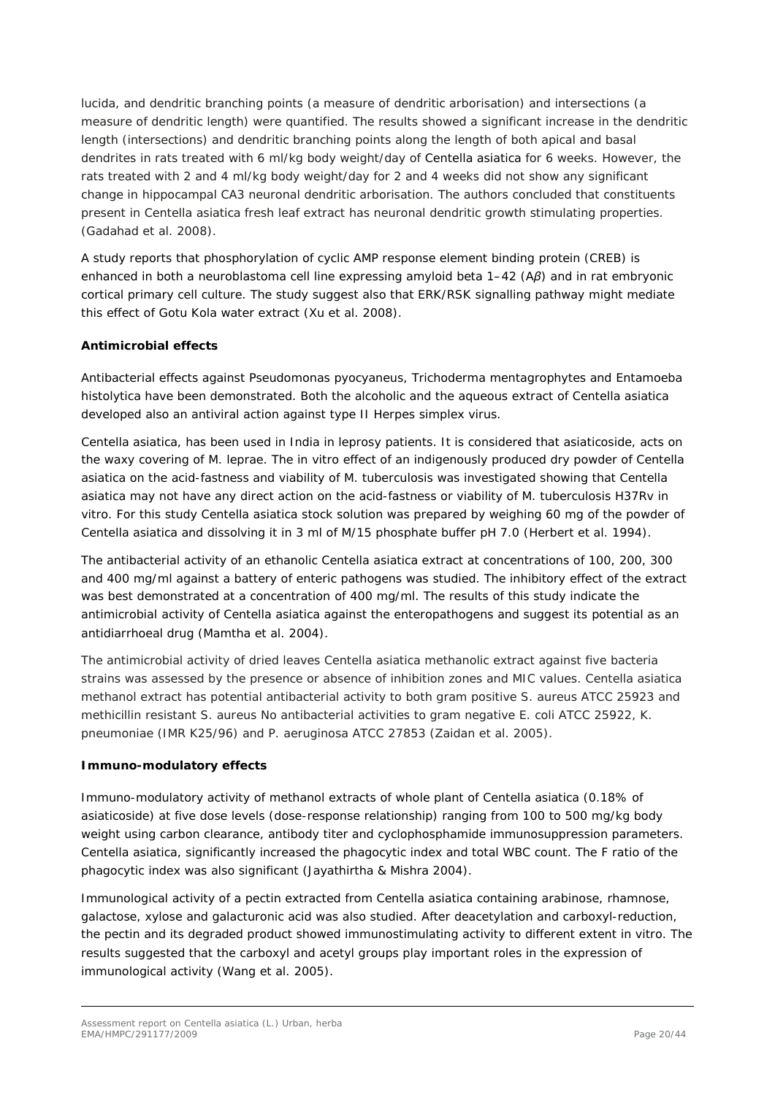lucida, and dendritic branching points (a measure of dendritic arborisation) and intersections (a measure of dendritic length) were quantified. The results showed a significant increase in the dendritic length (intersections) and dendritic branching points along the length of both apical and basal dendrites in rats treated with 6 ml/kg body weight/day of *Centella asiatica* for 6 weeks. However, the rats treated with 2 and 4 ml/kg body weight/day for 2 and 4 weeks did not show any significant change in hippocampal CA3 neuronal dendritic arborisation. The authors concluded that constituents present in *Centella asiatica* fresh leaf extract has neuronal dendritic growth stimulating properties. (Gadahad *et al.* 2008).

A study reports that phosphorylation of cyclic AMP response element binding protein (CREB) is enhanced in both a neuroblastoma cell line expressing amyloid beta 1–42 (A*β*) and in rat embryonic cortical primary cell culture. The study suggest also that ERK/RSK signalling pathway might mediate this effect of Gotu Kola water extract (Xu *et al.* 2008).

#### **Antimicrobial effects**

Antibacterial effects against *Pseudomonas pyocyaneus*, *Trichoderma mentagrophytes* and *Entamoeba histolytica* have been demonstrated. Both the alcoholic and the aqueous extract of *Centella asiatica*  developed also an antiviral action against type II *Herpes simplex* virus.

*Centella asiatica*, has been used in India in leprosy patients. It is considered that asiaticoside, acts on the waxy covering of *M. leprae*. The *in vitro* effect of an indigenously produced dry powder of *Centella asiatica* on the acid-fastness and viability of *M. tuberculosis* was investigated showing that *Centella asiatica* may not have any direct action on the acid-fastness or viability of *M. tuberculosis* H37Rv *in vitro*. For this study *Centella asiatica* stock solution was prepared by weighing 60 mg of the powder of *Centella asiatica* and dissolving it in 3 ml of M/15 phosphate buffer pH 7.0 (Herbert *et al.* 1994).

The antibacterial activity of an ethanolic *Centella asiatica* extract at concentrations of 100, 200, 300 and 400 mg/ml against a battery of enteric pathogens was studied. The inhibitory effect of the extract was best demonstrated at a concentration of 400 mg/ml. The results of this study indicate the antimicrobial activity of *Centella asiatica* against the enteropathogens and suggest its potential as an antidiarrhoeal drug (Mamtha *et al.* 2004).

The antimicrobial activity of dried leaves *Centella asiatica* methanolic extract against five bacteria strains was assessed by the presence or absence of inhibition zones and MIC values. *Centella asiatica*  methanol extract has potential antibacterial activity to both gram positive *S. aureus* ATCC 25923 and methicillin resistant *S. aureus* No antibacterial activities to gram negative *E. coli* ATCC 25922, *K*. *pneumoniae* (IMR K25/96) and *P. aeruginosa* ATCC 27853 (Zaidan *et al.* 2005).

#### **Immuno-modulatory effects**

Immuno-modulatory activity of methanol extracts of whole plant of *Centella asiatica* (0.18% of asiaticoside) at five dose levels (dose-response relationship) ranging from 100 to 500 mg/kg body weight using carbon clearance, antibody titer and cyclophosphamide immunosuppression parameters. *Centella asiatica*, significantly increased the phagocytic index and total WBC count. The F ratio of the phagocytic index was also significant [\(Jayathirtha &](http://www.ncbi.nlm.nih.gov/sites/entrez?Db=pubmed&Cmd=Search&Term=%22Jayathirtha%20MG%22%5BAuthor%5D&itool=EntrezSystem2.PEntrez.Pubmed.Pubmed_ResultsPanel.Pubmed_DiscoveryPanel.Pubmed_RVAbstractPlus) Mishra 2004).

Immunological activity of a pectin extracted from *Centella asiatica* containing arabinose, rhamnose, galactose, xylose and galacturonic acid was also studied. After deacetylation and carboxyl-reduction, the pectin and its degraded product showed immunostimulating activity to different extent *in vitro*. The results suggested that the carboxyl and acetyl groups play important roles in the expression of immunological activity (Wang *et al.* 2005).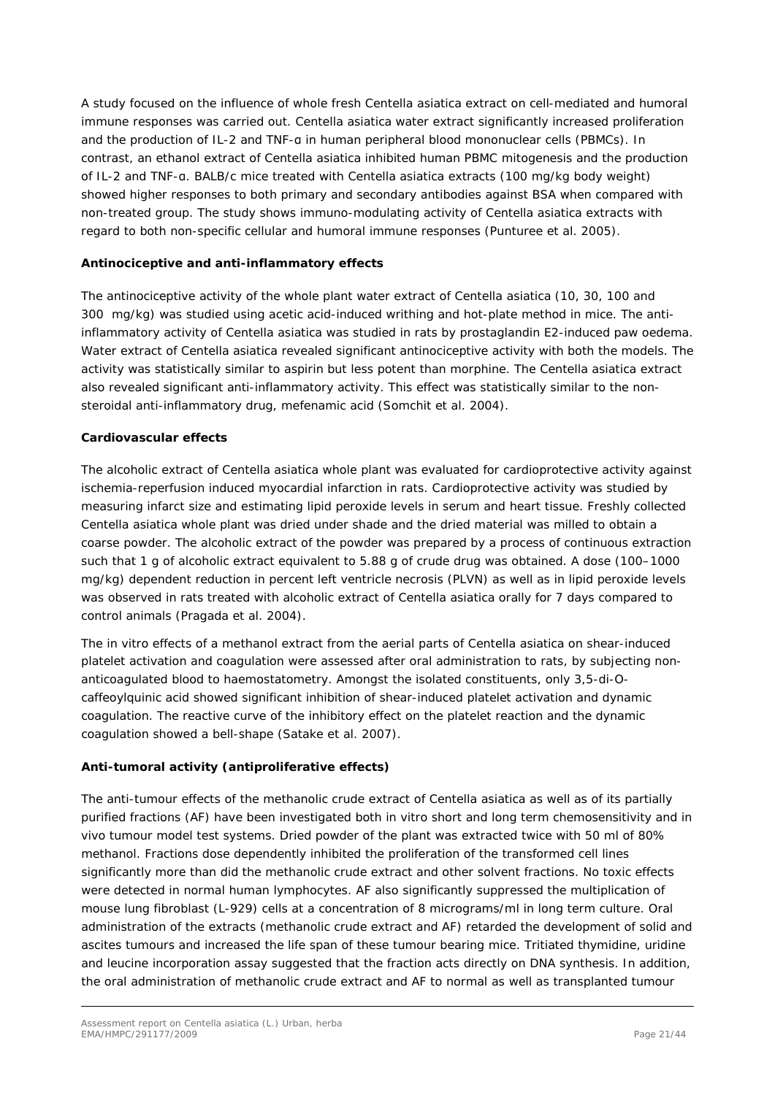A study focused on the influence of whole fresh *Centella asiatica* extract on cell-mediated and humoral immune responses was carried out. *Centella asiatica* water extract significantly increased proliferation and the production of IL-2 and TNF-a in human peripheral blood mononuclear cells (PBMCs). In contrast, an ethanol extract of *Centella asiatica* inhibited human PBMC mitogenesis and the production of IL-2 and TNF-α. BALB/c mice treated with *Centella asiatica* extracts (100 mg/kg body weight) showed higher responses to both primary and secondary antibodies against BSA when compared with non-treated group. The study shows immuno-modulating activity of *Centella asiatica* extracts with regard to both non-specific cellular and humoral immune responses (Punturee *et al.* 2005).

#### **Antinociceptive and anti-inflammatory effects**

The antinociceptive activity of the whole plant water extract of *Centella asiatica* (10, 30, 100 and 300 mg/kg) was studied using acetic acid-induced writhing and hot-plate method in mice. The antiinflammatory activity of *Centella asiatica* was studied in rats by prostaglandin E*2*-induced paw oedema. Water extract of *Centella asiatica* revealed significant antinociceptive activity with both the models. The activity was statistically similar to aspirin but less potent than morphine. The *Centella asiatica* extract also revealed significant anti-inflammatory activity. This effect was statistically similar to the nonsteroidal anti-inflammatory drug, mefenamic acid (Somchit *et al.* 2004).

#### **Cardiovascular effects**

The alcoholic extract of *Centella asiatica* whole plant was evaluated for cardioprotective activity against ischemia-reperfusion induced myocardial infarction in rats. Cardioprotective activity was studied by measuring infarct size and estimating lipid peroxide levels in serum and heart tissue. Freshly collected *Centella asiatica* whole plant was dried under shade and the dried material was milled to obtain a coarse powder. The alcoholic extract of the powder was prepared by a process of continuous extraction such that 1 g of alcoholic extract equivalent to 5.88 g of crude drug was obtained. A dose (100–1000 mg/kg) dependent reduction in percent left ventricle necrosis (PLVN) as well as in lipid peroxide levels was observed in rats treated with alcoholic extract of *Centella asiatica* orally for 7 days compared to control animals (Pragada *et al.* 2004).

The *in vitro* effects of a methanol extract from the aerial parts of *Centella asiatica* on shear-induced platelet activation and coagulation were assessed after oral administration to rats, by subjecting nonanticoagulated blood to haemostatometry. Amongst the isolated constituents, only 3,5-di-*O*caffeoylquinic acid showed significant inhibition of shear-induced platelet activation and dynamic coagulation. The reactive curve of the inhibitory effect on the platelet reaction and the dynamic coagulation showed a bell-shape (Satake *et al.* 2007).

#### **Anti-tumoral activity (antiproliferative effects)**

The anti-tumour effects of the methanolic crude extract of *Centella asiatica* as well as of its partially purified fractions (AF) have been investigated both *in vitro* short and long term chemosensitivity and *in vivo* tumour model test systems. Dried powder of the plant was extracted twice with 50 ml of 80% methanol. Fractions dose dependently inhibited the proliferation of the transformed cell lines significantly more than did the methanolic crude extract and other solvent fractions. No toxic effects were detected in normal human lymphocytes. AF also significantly suppressed the multiplication of mouse lung fibroblast (L-929) cells at a concentration of 8 micrograms/ml in long term culture. Oral administration of the extracts (methanolic crude extract and AF) retarded the development of solid and ascites tumours and increased the life span of these tumour bearing mice. Tritiated thymidine, uridine and leucine incorporation assay suggested that the fraction acts directly on DNA synthesis. In addition, the oral administration of methanolic crude extract and AF to normal as well as transplanted tumour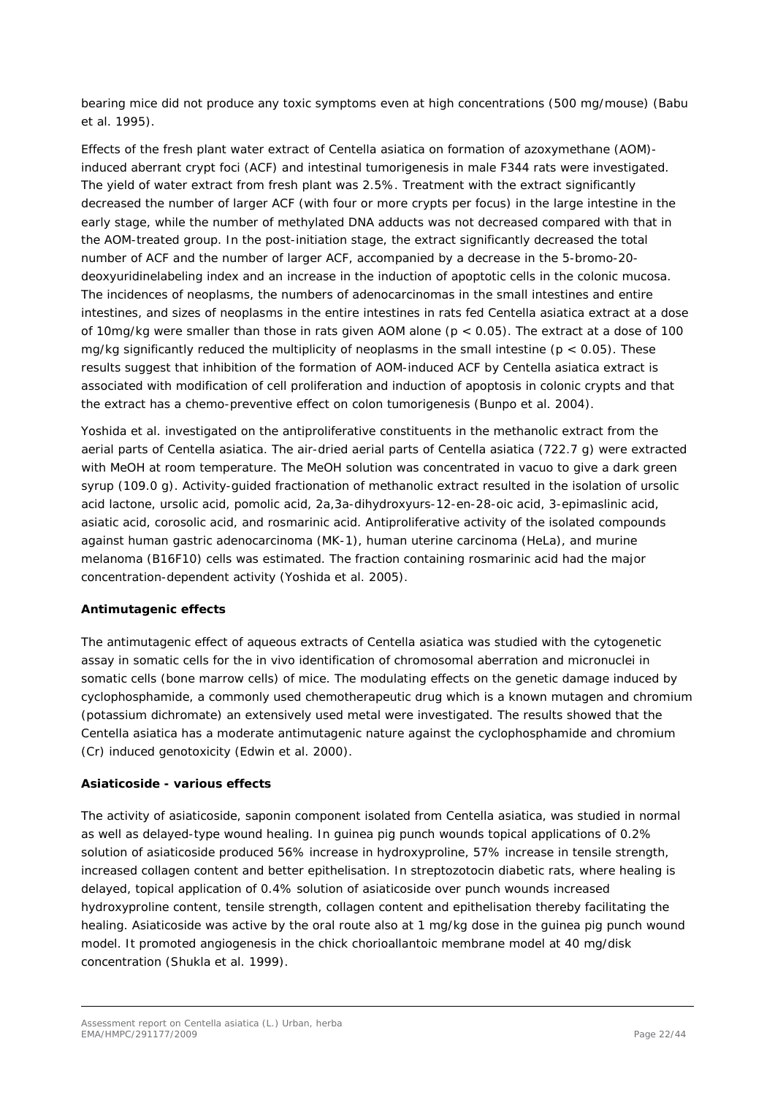bearing mice did not produce any toxic symptoms even at high concentrations (500 mg/mouse) (Babu *et al.* 1995).

Effects of the fresh plant water extract of *Centella asiatica* on formation of azoxymethane (AOM) induced aberrant crypt foci (ACF) and intestinal tumorigenesis in male F344 rats were investigated. The yield of water extract from fresh plant was 2.5%. Treatment with the extract significantly decreased the number of larger ACF (with four or more crypts per focus) in the large intestine in the early stage, while the number of methylated DNA adducts was not decreased compared with that in the AOM-treated group. In the post-initiation stage, the extract significantly decreased the total number of ACF and the number of larger ACF, accompanied by a decrease in the 5-bromo-20 deoxyuridinelabeling index and an increase in the induction of apoptotic cells in the colonic mucosa. The incidences of neoplasms, the numbers of adenocarcinomas in the small intestines and entire intestines, and sizes of neoplasms in the entire intestines in rats fed *Centella asiatica* extract at a dose of 10mg/kg were smaller than those in rats given AOM alone (p < 0.05). The extract at a dose of 100 mg/kg significantly reduced the multiplicity of neoplasms in the small intestine ( $p < 0.05$ ). These results suggest that inhibition of the formation of AOM-induced ACF by *Centella asiatica* extract is associated with modification of cell proliferation and induction of apoptosis in colonic crypts and that the extract has a chemo-preventive effect on colon tumorigenesis (Bunpo *et al.* 2004).

Yoshida *et al.* investigated on the antiproliferative constituents in the methanolic extract from the aerial parts of *Centella asiatica*. The air-dried aerial parts of *Centella asiatica* (722.7 g) were extracted with MeOH at room temperature. The MeOH solution was concentrated *in vacuo* to give a dark green syrup (109.0 g). Activity-guided fractionation of methanolic extract resulted in the isolation of ursolic acid lactone, ursolic acid, pomolic acid, 2a,3a-dihydroxyurs-12-en-28-oic acid, 3-epimaslinic acid, asiatic acid, corosolic acid, and rosmarinic acid. Antiproliferative activity of the isolated compounds against human gastric adenocarcinoma (MK-1), human uterine carcinoma (HeLa), and murine melanoma (B16F10) cells was estimated. The fraction containing rosmarinic acid had the major concentration-dependent activity (Yoshida *et al.* 2005).

#### **Antimutagenic effects**

The antimutagenic effect of aqueous extracts of *Centella asiatica* was studied with the cytogenetic assay in somatic cells for the *in vivo* identification of chromosomal aberration and micronuclei in somatic cells (bone marrow cells) of mice. The modulating effects on the genetic damage induced by cyclophosphamide, a commonly used chemotherapeutic drug which is a known mutagen and chromium (potassium dichromate) an extensively used metal were investigated. The results showed that the *Centella asiatica* has a moderate antimutagenic nature against the cyclophosphamide and chromium (Cr) induced genotoxicity (Edwin *et al.* 2000).

#### **Asiaticoside - various effects**

The activity of asiaticoside, saponin component isolated from *Centella asiatica,* was studied in normal as well as delayed-type wound healing. In guinea pig punch wounds topical applications of 0.2% solution of asiaticoside produced 56% increase in hydroxyproline, 57% increase in tensile strength, increased collagen content and better epithelisation. In streptozotocin diabetic rats, where healing is delayed, topical application of 0.4% solution of asiaticoside over punch wounds increased hydroxyproline content, tensile strength, collagen content and epithelisation thereby facilitating the healing. Asiaticoside was active by the oral route also at 1 mg/kg dose in the guinea pig punch wound model. It promoted angiogenesis in the chick chorioallantoic membrane model at 40 mg/disk concentration (Shukla *et al.* 1999).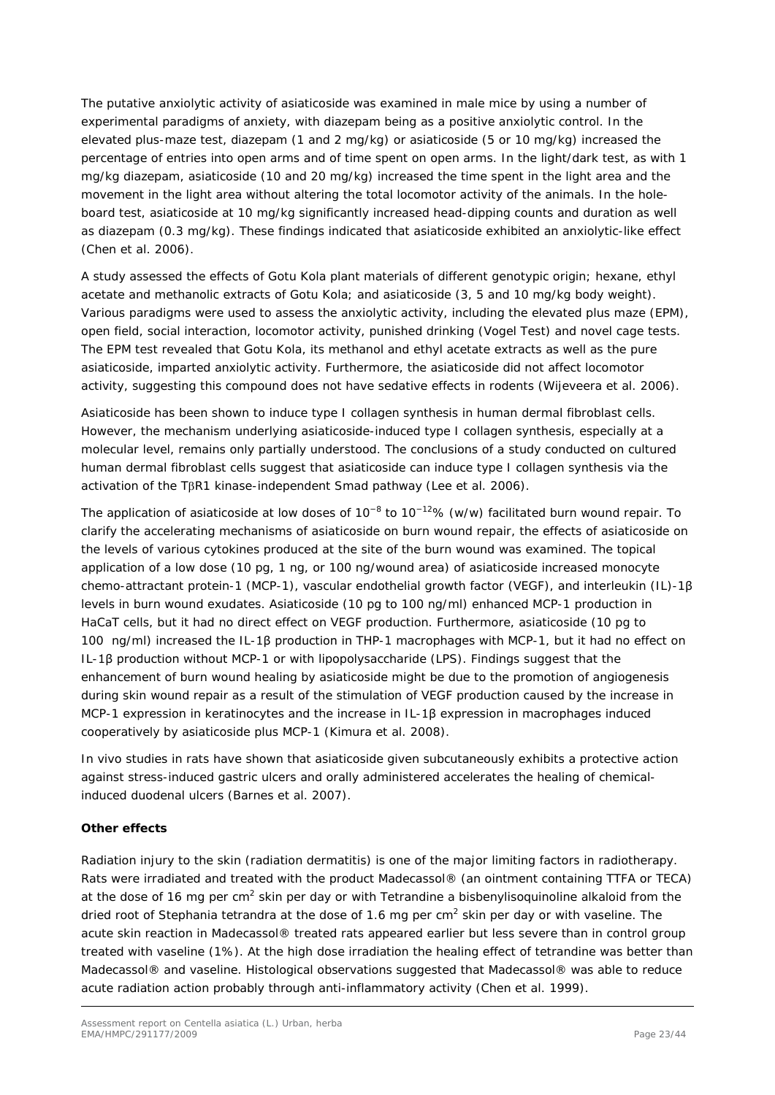The putative anxiolytic activity of asiaticoside was examined in male mice by using a number of experimental paradigms of anxiety, with diazepam being as a positive anxiolytic control. In the elevated plus-maze test, diazepam (1 and 2 mg/kg) or asiaticoside (5 or 10 mg/kg) increased the percentage of entries into open arms and of time spent on open arms. In the light/dark test, as with 1 mg/kg diazepam, asiaticoside (10 and 20 mg/kg) increased the time spent in the light area and the movement in the light area without altering the total locomotor activity of the animals. In the holeboard test, asiaticoside at 10 mg/kg significantly increased head-dipping counts and duration as well as diazepam (0.3 mg/kg). These findings indicated that asiaticoside exhibited an anxiolytic-like effect (Chen *et al.* 2006).

A study assessed the effects of Gotu Kola plant materials of different genotypic origin; hexane, ethyl acetate and methanolic extracts of Gotu Kola; and asiaticoside (3, 5 and 10 mg/kg body weight). Various paradigms were used to assess the anxiolytic activity, including the elevated plus maze (EPM), open field, social interaction, locomotor activity, punished drinking (Vogel Test) and novel cage tests. The EPM test revealed that Gotu Kola, its methanol and ethyl acetate extracts as well as the pure asiaticoside, imparted anxiolytic activity. Furthermore, the asiaticoside did not affect locomotor activity, suggesting this compound does not have sedative effects in rodents (Wijeveera *et al.* 2006).

Asiaticoside has been shown to induce type I collagen synthesis in human dermal fibroblast cells. However, the mechanism underlying asiaticoside-induced type I collagen synthesis, especially at a molecular level, remains only partially understood. The conclusions of a study conducted on cultured human dermal fibroblast cells suggest that asiaticoside can induce type I collagen synthesis via the activation of the TβR1 kinase-independent Smad pathway (Lee *et al.* 2006).

The application of asiaticoside at low doses of 10<sup>-8</sup> to 10<sup>-12</sup>% (w/w) facilitated burn wound repair. To clarify the accelerating mechanisms of asiaticoside on burn wound repair, the effects of asiaticoside on the levels of various cytokines produced at the site of the burn wound was examined. The topical application of a low dose (10 pg, 1 ng, or 100 ng/wound area) of asiaticoside increased monocyte chemo-attractant protein-1 (MCP-1), vascular endothelial growth factor (VEGF), and interleukin (IL)-1β levels in burn wound exudates. Asiaticoside (10 pg to 100 ng/ml) enhanced MCP-1 production in HaCaT cells, but it had no direct effect on VEGF production. Furthermore, asiaticoside (10 pg to 100 ng/ml) increased the IL-1β production in THP-1 macrophages with MCP-1, but it had no effect on IL-1β production without MCP-1 or with lipopolysaccharide (LPS). Findings suggest that the enhancement of burn wound healing by asiaticoside might be due to the promotion of angiogenesis during skin wound repair as a result of the stimulation of VEGF production caused by the increase in MCP-1 expression in keratinocytes and the increase in IL-1β expression in macrophages induced cooperatively by asiaticoside plus MCP-1 (Kimura *et al.* 2008).

*In vivo* studies in rats have shown that asiaticoside given subcutaneously exhibits a protective action against stress-induced gastric ulcers and orally administered accelerates the healing of chemicalinduced duodenal ulcers (Barnes *et al.* 2007).

#### **Other effects**

Radiation injury to the skin (radiation dermatitis) is one of the major limiting factors in radiotherapy. Rats were irradiated and treated with the product Madecassol® (an ointment containing TTFA or TECA) at the dose of 16 mg per cm<sup>2</sup> skin per day or with Tetrandine a bisbenylisoquinoline alkaloid from the dried root of *Stephania tetrandra* at the dose of 1.6 mg per cm2 skin per day or with vaseline. The acute skin reaction in Madecassol® treated rats appeared earlier but less severe than in control group treated with vaseline (1%). At the high dose irradiation the healing effect of tetrandine was better than Madecassol® and vaseline. Histological observations suggested that Madecassol® was able to reduce acute radiation action probably through anti-inflammatory activity (Chen *et al.* 1999).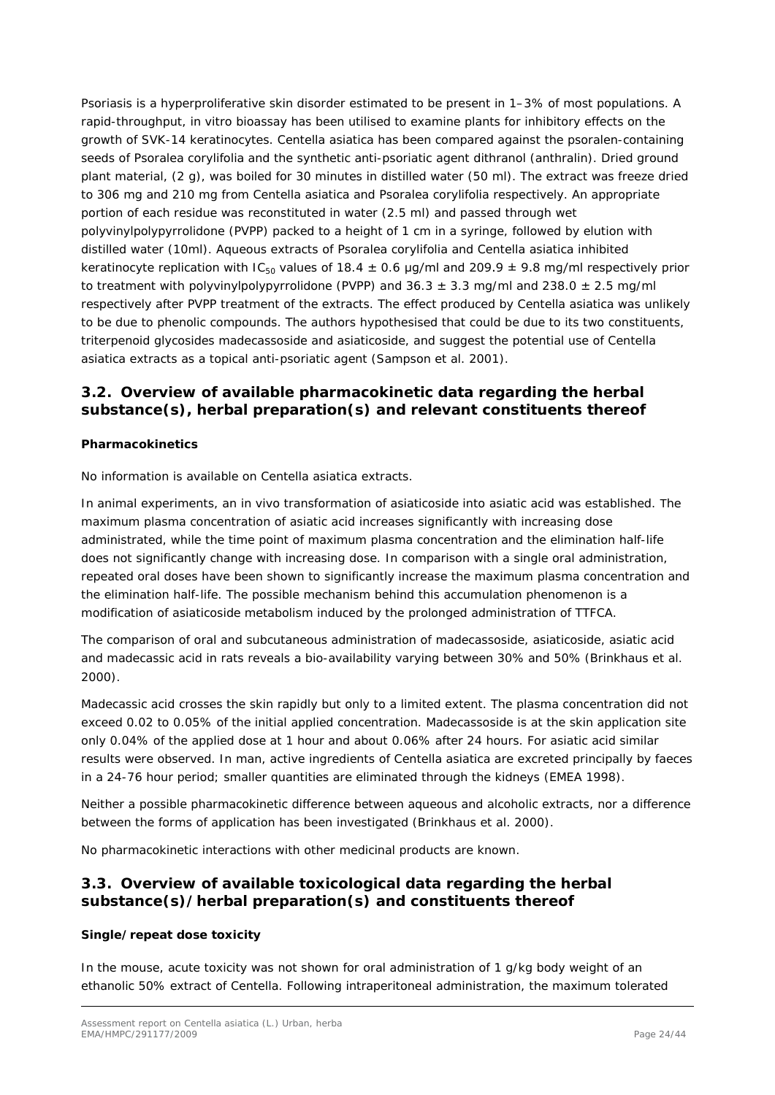Psoriasis is a hyperproliferative skin disorder estimated to be present in 1–3% of most populations. A rapid-throughput, *in vitro* bioassay has been utilised to examine plants for inhibitory effects on the growth of SVK-14 keratinocytes. *Centella asiatica* has been compared against the psoralen-containing seeds of *Psoralea corylifolia* and the synthetic anti-psoriatic agent dithranol (anthralin). Dried ground plant material, (2 g), was boiled for 30 minutes in distilled water (50 ml). The extract was freeze dried to 306 mg and 210 mg from *Centella asiatica* and *Psoralea corylifolia* respectively. An appropriate portion of each residue was reconstituted in water (2.5 ml) and passed through wet polyvinylpolypyrrolidone (PVPP) packed to a height of 1 cm in a syringe, followed by elution with distilled water (10ml). Aqueous extracts of *Psoralea corylifolia* and *Centella asiatica* inhibited keratinocyte replication with IC<sub>50</sub> values of 18.4  $\pm$  0.6 µg/ml and 209.9  $\pm$  9.8 mg/ml respectively prior to treatment with polyvinylpolypyrrolidone (PVPP) and  $36.3 \pm 3.3$  mg/ml and  $238.0 \pm 2.5$  mg/ml respectively after PVPP treatment of the extracts. The effect produced by *Centella asiatica* was unlikely to be due to phenolic compounds. The authors hypothesised that could be due to its two constituents, triterpenoid glycosides madecassoside and asiaticoside, and suggest the potential use of *Centella asiatica* extracts as a topical anti-psoriatic agent (Sampson *et al.* 2001).

### <span id="page-23-0"></span>*3.2. Overview of available pharmacokinetic data regarding the herbal substance(s), herbal preparation(s) and relevant constituents thereof*

#### **Pharmacokinetics**

No information is available on *Centella asiatica* extracts.

In animal experiments, an *in vivo* transformation of asiaticoside into asiatic acid was established. The maximum plasma concentration of asiatic acid increases significantly with increasing dose administrated, while the time point of maximum plasma concentration and the elimination half-life does not significantly change with increasing dose. In comparison with a single oral administration, repeated oral doses have been shown to significantly increase the maximum plasma concentration and the elimination half-life. The possible mechanism behind this accumulation phenomenon is a modification of asiaticoside metabolism induced by the prolonged administration of TTFCA.

The comparison of oral and subcutaneous administration of madecassoside, asiaticoside, asiatic acid and madecassic acid in rats reveals a bio-availability varying between 30% and 50% (Brinkhaus *et al.* 2000).

Madecassic acid crosses the skin rapidly but only to a limited extent. The plasma concentration did not exceed 0.02 to 0.05% of the initial applied concentration. Madecassoside is at the skin application site only 0.04% of the applied dose at 1 hour and about 0.06% after 24 hours. For asiatic acid similar results were observed. In man, active ingredients of *Centella asiatica* are excreted principally by faeces in a 24-76 hour period; smaller quantities are eliminated through the kidneys (EMEA 1998).

Neither a possible pharmacokinetic difference between aqueous and alcoholic extracts, nor a difference between the forms of application has been investigated (Brinkhaus *et al.* 2000).

No pharmacokinetic interactions with other medicinal products are known.

### <span id="page-23-1"></span>*3.3. Overview of available toxicological data regarding the herbal substance(s)/herbal preparation(s) and constituents thereof*

#### **Single/repeat dose toxicity**

In the mouse, acute toxicity was not shown for oral administration of 1 g/kg body weight of an ethanolic 50% extract of Centella. Following intraperitoneal administration, the maximum tolerated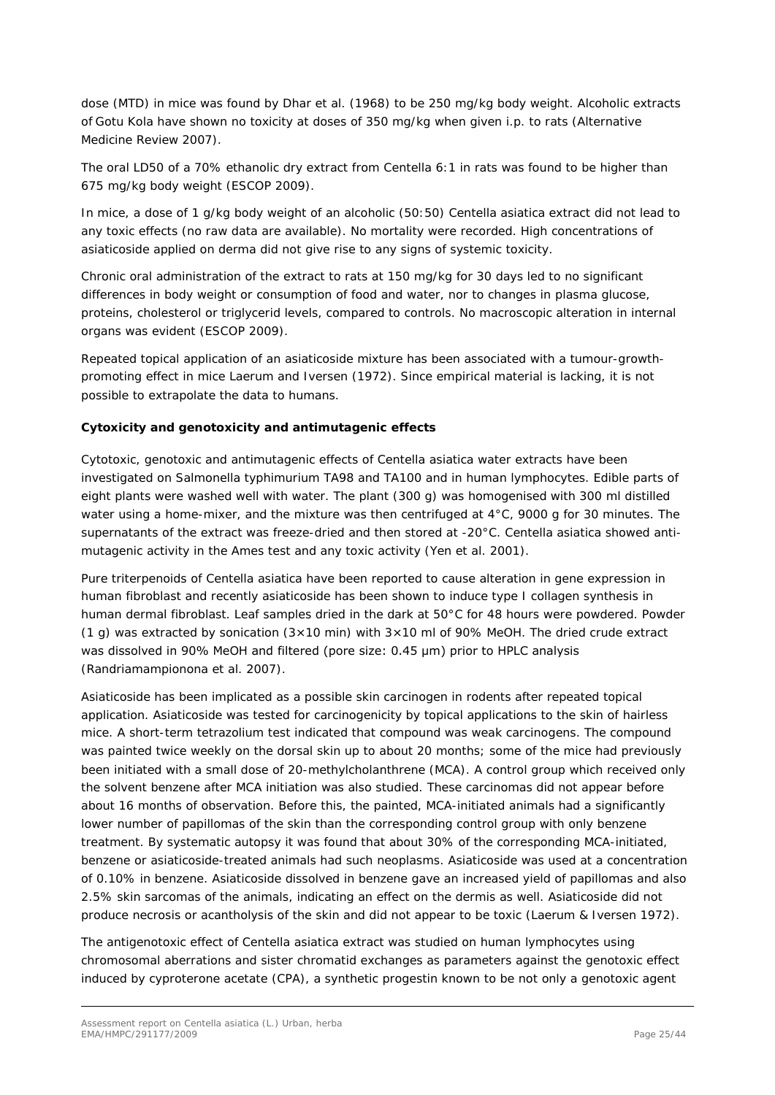dose (MTD) in mice was found by Dhar *et al.* (1968) to be 250 mg/kg body weight. Alcoholic extracts of Gotu Kola have shown no toxicity at doses of 350 mg/kg when given i.p. to rats (Alternative Medicine Review 2007).

The oral LD50 of a 70% ethanolic dry extract from Centella 6:1 in rats was found to be higher than 675 mg/kg body weight (ESCOP 2009).

In mice, a dose of 1 g/kg body weight of an alcoholic (50:50) *Centella asiatica* extract did not lead to any toxic effects (no raw data are available). No mortality were recorded. High concentrations of asiaticoside applied on derma did not give rise to any signs of systemic toxicity.

Chronic oral administration of the extract to rats at 150 mg/kg for 30 days led to no significant differences in body weight or consumption of food and water, nor to changes in plasma glucose, proteins, cholesterol or triglycerid levels, compared to controls. No macroscopic alteration in internal organs was evident (ESCOP 2009).

Repeated topical application of an asiaticoside mixture has been associated with a tumour-growthpromoting effect in mice Laerum and Iversen (1972). Since empirical material is lacking, it is not possible to extrapolate the data to humans.

#### **Cytoxicity and genotoxicity and antimutagenic effects**

Cytotoxic, genotoxic and antimutagenic effects of *Centella asiatica* water extracts have been investigated on *Salmonella typhimurium* TA98 and TA100 and in human lymphocytes. Edible parts of eight plants were washed well with water. The plant (300 g) was homogenised with 300 ml distilled water using a home-mixer, and the mixture was then centrifuged at 4°C, 9000 g for 30 minutes. The supernatants of the extract was freeze-dried and then stored at -20°C. *Centella asiatica* showed antimutagenic activity in the Ames test and any toxic activity (Yen *et al.* 2001).

Pure triterpenoids of *Centella asiatica* have been reported to cause alteration in gene expression in human fibroblast and recently asiaticoside has been shown to induce type I collagen synthesis in human dermal fibroblast. Leaf samples dried in the dark at 50°C for 48 hours were powdered. Powder (1 g) was extracted by sonication  $(3\times10$  min) with  $3\times10$  ml of 90% MeOH. The dried crude extract was dissolved in 90% MeOH and filtered (pore size: 0.45 μm) prior to HPLC analysis (Randriamampionona *et al.* 2007).

Asiaticoside has been implicated as a possible skin carcinogen in rodents after repeated topical application. Asiaticoside was tested for carcinogenicity by topical applications to the skin of hairless mice. A short-term tetrazolium test indicated that compound was weak carcinogens. The compound was painted twice weekly on the dorsal skin up to about 20 months; some of the mice had previously been initiated with a small dose of 20-methylcholanthrene (MCA). A control group which received only the solvent benzene after MCA initiation was also studied. These carcinomas did not appear before about 16 months of observation. Before this, the painted, MCA-initiated animals had a significantly lower number of papillomas of the skin than the corresponding control group with only benzene treatment. By systematic autopsy it was found that about 30% of the corresponding MCA-initiated, benzene or asiaticoside-treated animals had such neoplasms. Asiaticoside was used at a concentration of 0.10% in benzene. Asiaticoside dissolved in benzene gave an increased yield of papillomas and also 2.5% skin sarcomas of the animals, indicating an effect on the dermis as well. Asiaticoside did not produce necrosis or acantholysis of the skin and did not appear to be toxic (Laerum & Iversen 1972).

The antigenotoxic effect of *Centella asiatica* extract was studied on human lymphocytes using chromosomal aberrations and sister chromatid exchanges as parameters against the genotoxic effect induced by cyproterone acetate (CPA), a synthetic progestin known to be not only a genotoxic agent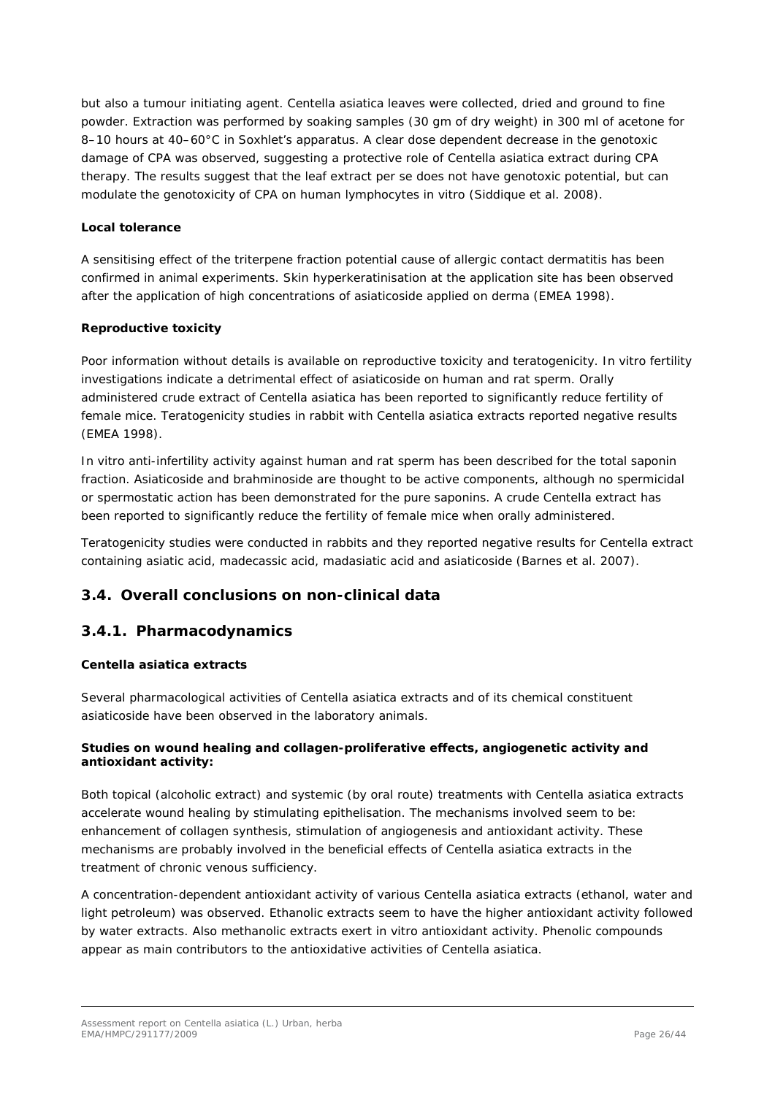but also a tumour initiating agent. *Centella asiatica* leaves were collected, dried and ground to fine powder. Extraction was performed by soaking samples (30 gm of dry weight) in 300 ml of acetone for 8-10 hours at 40-60°C in Soxhlet's apparatus. A clear dose dependent decrease in the genotoxic damage of CPA was observed, suggesting a protective role of *Centella asiatica* extract during CPA therapy. The results suggest that the leaf extract *per se* does not have genotoxic potential, but can modulate the genotoxicity of CPA on human lymphocytes *in vitro* (Siddique *et al.* 2008).

#### **Local tolerance**

A sensitising effect of the triterpene fraction potential cause of allergic contact dermatitis has been confirmed in animal experiments. Skin hyperkeratinisation at the application site has been observed after the application of high concentrations of asiaticoside applied on derma (EMEA 1998).

#### **Reproductive toxicity**

Poor information without details is available on reproductive toxicity and teratogenicity. *In vitro* fertility investigations indicate a detrimental effect of asiaticoside on human and rat sperm. Orally administered crude extract of *Centella asiatica* has been reported to significantly reduce fertility of female mice. Teratogenicity studies in rabbit with *Centella asiatica* extracts reported negative results (EMEA 1998).

*In vitro* anti-infertility activity against human and rat sperm has been described for the total saponin fraction. Asiaticoside and brahminoside are thought to be active components, although no spermicidal or spermostatic action has been demonstrated for the pure saponins. A crude Centella extract has been reported to significantly reduce the fertility of female mice when orally administered.

Teratogenicity studies were conducted in rabbits and they reported negative results for Centella extract containing asiatic acid, madecassic acid, madasiatic acid and asiaticoside (Barnes *et al.* 2007).

### <span id="page-25-0"></span>*3.4. Overall conclusions on non-clinical data*

### <span id="page-25-1"></span>**3.4.1. Pharmacodynamics**

#### *Centella asiatica extracts*

Several pharmacological activities of *Centella asiatica* extracts and of its chemical constituent asiaticoside have been observed in the laboratory animals.

#### **Studies on wound healing and collagen-proliferative effects, angiogenetic activity and antioxidant activity:**

Both topical (alcoholic extract) and systemic (by oral route) treatments with *Centella asiatica* extracts accelerate wound healing by stimulating epithelisation. The mechanisms involved seem to be: enhancement of collagen synthesis, stimulation of angiogenesis and antioxidant activity. These mechanisms are probably involved in the beneficial effects of *Centella asiatica* extracts in the treatment of chronic venous sufficiency.

A concentration-dependent antioxidant activity of various *Centella asiatica* extracts (ethanol, water and light petroleum) was observed. Ethanolic extracts seem to have the higher antioxidant activity followed by water extracts. Also methanolic extracts exert *in vitro* antioxidant activity. Phenolic compounds appear as main contributors to the antioxidative activities of *Centella asiatica*.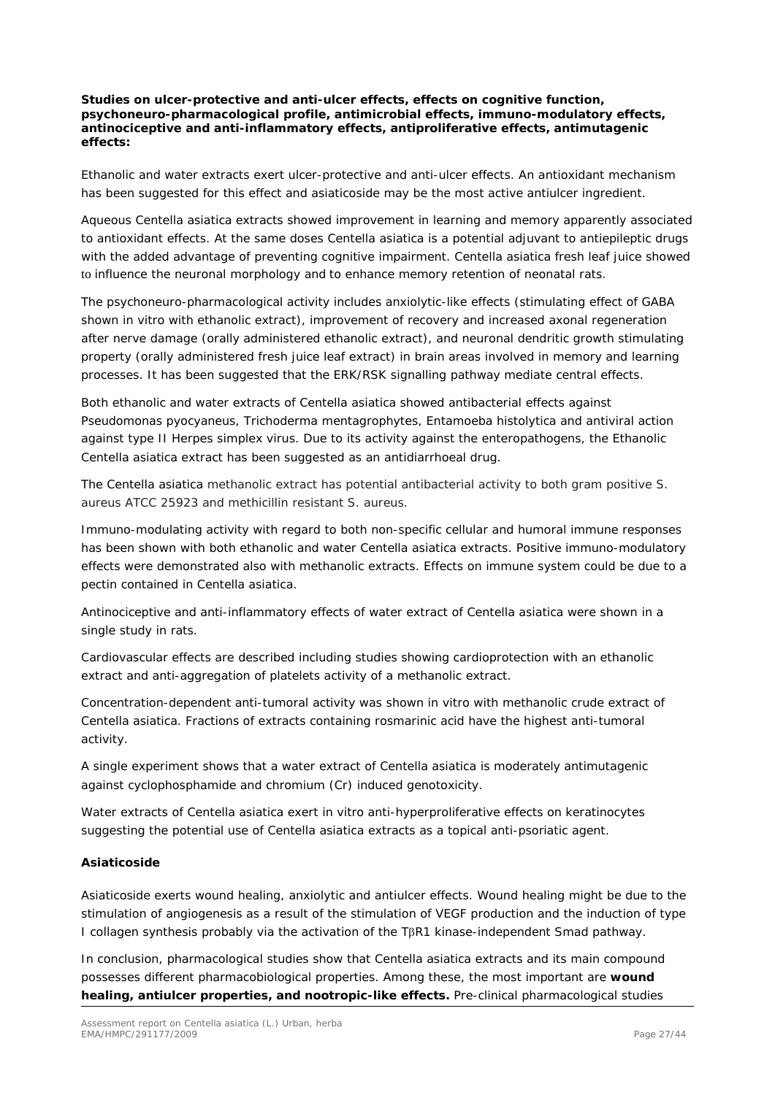**Studies on ulcer-protective and anti-ulcer effects, effects on cognitive function, psychoneuro-pharmacological profile, antimicrobial effects, immuno-modulatory effects, antinociceptive and anti-inflammatory effects, antiproliferative effects, antimutagenic effects:**

Ethanolic and water extracts exert ulcer-protective and anti-ulcer effects. An antioxidant mechanism has been suggested for this effect and asiaticoside may be the most active antiulcer ingredient.

Aqueous *Centella asiatica* extracts showed improvement in learning and memory apparently associated to antioxidant effects. At the same doses *Centella asiatica* is a potential adjuvant to antiepileptic drugs with the added advantage of preventing cognitive impairment. *Centella asiatica* fresh leaf juice showed to influence the neuronal morphology and to enhance memory retention of neonatal rats.

The psychoneuro-pharmacological activity includes anxiolytic-like effects (stimulating effect of GABA shown *in vitro* with ethanolic extract), improvement of recovery and increased axonal regeneration after nerve damage (orally administered ethanolic extract), and neuronal dendritic growth stimulating property (orally administered fresh juice leaf extract) in brain areas involved in memory and learning processes. It has been suggested that the ERK/RSK signalling pathway mediate central effects.

Both ethanolic and water extracts of *Centella asiatica* showed antibacterial effects against *Pseudomonas pyocyaneus*, *Trichoderma mentagrophytes*, *Entamoeba histolytica* and antiviral action against type II *Herpes simplex* virus. Due to its activity against the enteropathogens, the Ethanolic *Centella asiatica* extract has been suggested as an antidiarrhoeal drug.

*The Centella asiatica* methanolic extract has potential antibacterial activity to both gram positive *S. aureus* ATCC 25923 and methicillin resistant *S. aureus*.

Immuno-modulating activity with regard to both non-specific cellular and humoral immune responses has been shown with both ethanolic and water *Centella asiatica* extracts. Positive immuno-modulatory effects were demonstrated also with methanolic extracts. Effects on immune system could be due to a pectin contained in *Centella asiatica*.

Antinociceptive and anti-inflammatory effects of water extract of *Centella asiatica* were shown in a single study in rats.

Cardiovascular effects are described including studies showing cardioprotection with an ethanolic extract and anti-aggregation of platelets activity of a methanolic extract.

Concentration-dependent anti-tumoral activity was shown *in vitro* with methanolic crude extract of *Centella asiatica*. Fractions of extracts containing rosmarinic acid have the highest anti-tumoral activity.

A single experiment shows that a water extract of *Centella asiatica* is moderately antimutagenic against cyclophosphamide and chromium (Cr) induced genotoxicity.

Water extracts of *Centella asiatica* exert *in vitro* anti-hyperproliferative effects on keratinocytes suggesting the potential use of *Centella asiatica* extracts as a topical anti-psoriatic agent.

#### *Asiaticoside*

Asiaticoside exerts wound healing, anxiolytic and antiulcer effects. Wound healing might be due to the stimulation of angiogenesis as a result of the stimulation of VEGF production and the induction of type I collagen synthesis probably via the activation of the TβR1 kinase-independent Smad pathway.

In conclusion, pharmacological studies show that *Centella asiatica* extracts and its main compound possesses different pharmacobiological properties. Among these, the most important are **wound healing, antiulcer properties, and nootropic-like effects.** Pre-clinical pharmacological studies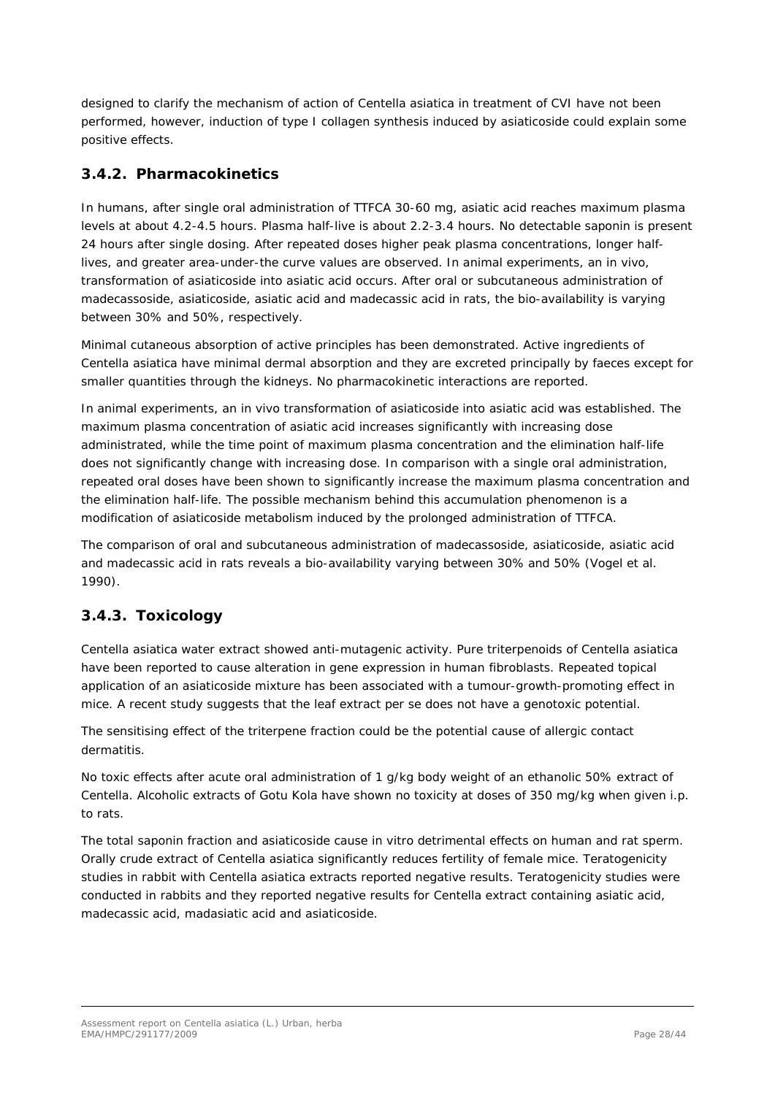designed to clarify the mechanism of action of *Centella asiatica* in treatment of CVI have not been performed, however, induction of type I collagen synthesis induced by asiaticoside could explain some positive effects.

### <span id="page-27-0"></span>**3.4.2. Pharmacokinetics**

In humans, after single oral administration of TTFCA 30-60 mg, asiatic acid reaches maximum plasma levels at about 4.2-4.5 hours. Plasma half-live is about 2.2-3.4 hours. No detectable saponin is present 24 hours after single dosing. After repeated doses higher peak plasma concentrations, longer halflives, and greater area-under-the curve values are observed. In animal experiments, an *in vivo*, transformation of asiaticoside into asiatic acid occurs. After oral or subcutaneous administration of madecassoside, asiaticoside, asiatic acid and madecassic acid in rats, the bio-availability is varying between 30% and 50%, respectively.

Minimal cutaneous absorption of active principles has been demonstrated. Active ingredients of *Centella asiatica* have minimal dermal absorption and they are excreted principally by faeces except for smaller quantities through the kidneys. No pharmacokinetic interactions are reported.

In animal experiments, an *in vivo* transformation of asiaticoside into asiatic acid was established. The maximum plasma concentration of asiatic acid increases significantly with increasing dose administrated, while the time point of maximum plasma concentration and the elimination half-life does not significantly change with increasing dose. In comparison with a single oral administration, repeated oral doses have been shown to significantly increase the maximum plasma concentration and the elimination half-life. The possible mechanism behind this accumulation phenomenon is a modification of asiaticoside metabolism induced by the prolonged administration of TTFCA.

The comparison of oral and subcutaneous administration of madecassoside, asiaticoside, asiatic acid and madecassic acid in rats reveals a bio-availability varying between 30% and 50% (Vogel *et al.* 1990).

### <span id="page-27-1"></span>**3.4.3. Toxicology**

*Centella asiatica* water extract showed anti-mutagenic activity. Pure triterpenoids of *Centella asiatica*  have been reported to cause alteration in gene expression in human fibroblasts. Repeated topical application of an asiaticoside mixture has been associated with a tumour-growth-promoting effect in mice. A recent study suggests that the leaf extract *per se* does not have a genotoxic potential.

The sensitising effect of the triterpene fraction could be the potential cause of allergic contact dermatitis.

No toxic effects after acute oral administration of 1 g/kg body weight of an ethanolic 50% extract of *Centella*. Alcoholic extracts of Gotu Kola have shown no toxicity at doses of 350 mg/kg when given i.p. to rats.

The total saponin fraction and asiaticoside cause *in vitro* detrimental effects on human and rat sperm. Orally crude extract of *Centella asiatica* significantly reduces fertility of female mice. Teratogenicity studies in rabbit with *Centella asiatica* extracts reported negative results. Teratogenicity studies were conducted in rabbits and they reported negative results for *Centella* extract containing asiatic acid, madecassic acid, madasiatic acid and asiaticoside.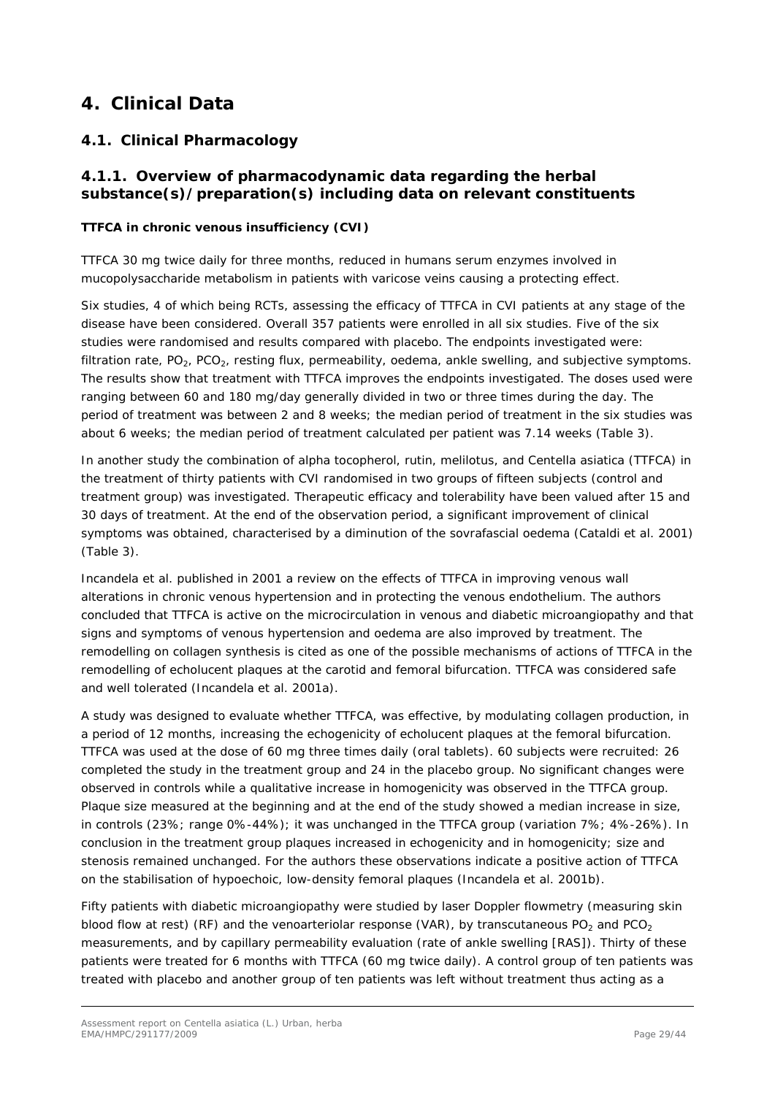# <span id="page-28-0"></span>**4. Clinical Data**

### <span id="page-28-1"></span>*4.1. Clinical Pharmacology*

### <span id="page-28-2"></span>**4.1.1. Overview of pharmacodynamic data regarding the herbal substance(s)/preparation(s) including data on relevant constituents**

### **TTFCA in chronic venous insufficiency (CVI)**

TTFCA 30 mg twice daily for three months, reduced in humans serum enzymes involved in mucopolysaccharide metabolism in patients with varicose veins causing a protecting effect.

Six studies, 4 of which being RCTs, assessing the efficacy of TTFCA in CVI patients at any stage of the disease have been considered. Overall 357 patients were enrolled in all six studies. Five of the six studies were randomised and results compared with placebo. The endpoints investigated were: filtration rate,  $PO_2$ ,  $PCO_2$ , resting flux, permeability, oedema, ankle swelling, and subjective symptoms. The results show that treatment with TTFCA improves the endpoints investigated. The doses used were ranging between 60 and 180 mg/day generally divided in two or three times during the day. The period of treatment was between 2 and 8 weeks; the median period of treatment in the six studies was about 6 weeks; the median period of treatment calculated per patient was 7.14 weeks (Table 3).

In another study the combination of alpha tocopherol, rutin, melilotus, and *Centella asiatica* (TTFCA) in the treatment of thirty patients with CVI randomised in two groups of fifteen subjects (control and treatment group) was investigated. Therapeutic efficacy and tolerability have been valued after 15 and 30 days of treatment. At the end of the observation period, a significant improvement of clinical symptoms was obtained, characterised by a diminution of the sovrafascial oedema [\(Cataldi](http://www.ncbi.nlm.nih.gov/sites/entrez?Db=pubmed&Cmd=Search&Term=%22Cataldi%20A%22%5BAuthor%5D&itool=EntrezSystem2.PEntrez.Pubmed.Pubmed_ResultsPanel.Pubmed_DiscoveryPanel.Pubmed_RVAbstractPlus) *et al.* 2001) (Table 3).

Incandela *et al.* published in 2001 a review on the effects of TTFCA in improving venous wall alterations in chronic venous hypertension and in protecting the venous endothelium. The authors concluded that TTFCA is active on the microcirculation in venous and diabetic microangiopathy and that signs and symptoms of venous hypertension and oedema are also improved by treatment. The remodelling on collagen synthesis is cited as one of the possible mechanisms of actions of TTFCA in the remodelling of echolucent plaques at the carotid and femoral bifurcation. TTFCA was considered safe and well tolerated [\(Incandela](http://www.ncbi.nlm.nih.gov/sites/entrez?Db=pubmed&Cmd=Search&Term=%22Incandela%20L%22%5BAuthor%5D&itool=EntrezSystem2.PEntrez.Pubmed.Pubmed_ResultsPanel.Pubmed_DiscoveryPanel.Pubmed_RVAbstractPlus) *et al.* 2001a).

A study was designed to evaluate whether TTFCA, was effective, by modulating collagen production, in a period of 12 months, increasing the echogenicity of echolucent plaques at the femoral bifurcation. TTFCA was used at the dose of 60 mg three times daily (oral tablets). 60 subjects were recruited: 26 completed the study in the treatment group and 24 in the placebo group. No significant changes were observed in controls while a qualitative increase in homogenicity was observed in the TTFCA group. Plaque size measured at the beginning and at the end of the study showed a median increase in size, in controls (23%; range 0%-44%); it was unchanged in the TTFCA group (variation 7%; 4%-26%). In conclusion in the treatment group plaques increased in echogenicity and in homogenicity; size and stenosis remained unchanged. For the authors these observations indicate a positive action of TTFCA on the stabilisation of hypoechoic, low-density femoral plaques [\(Incandela](http://www.ncbi.nlm.nih.gov/sites/entrez?Db=pubmed&Cmd=Search&Term=%22Incandela%20L%22%5BAuthor%5D&itool=EntrezSystem2.PEntrez.Pubmed.Pubmed_ResultsPanel.Pubmed_DiscoveryPanel.Pubmed_RVAbstractPlus) *et al.* 2001b).

Fifty patients with diabetic microangiopathy were studied by laser Doppler flowmetry (measuring skin blood flow at rest) (RF) and the venoarteriolar response (VAR), by transcutaneous PO<sub>2</sub> and PCO<sub>2</sub> measurements, and by capillary permeability evaluation (rate of ankle swelling [RAS]). Thirty of these patients were treated for 6 months with TTFCA (60 mg twice daily). A control group of ten patients was treated with placebo and another group of ten patients was left without treatment thus acting as a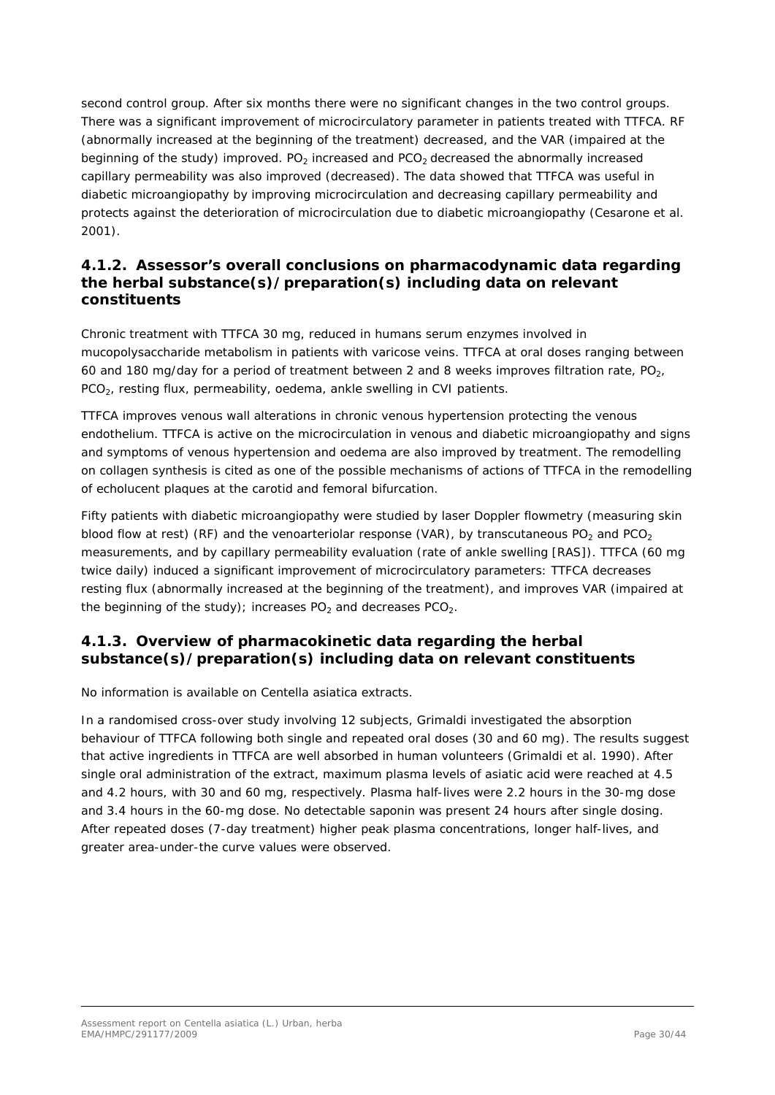second control group. After six months there were no significant changes in the two control groups. There was a significant improvement of microcirculatory parameter in patients treated with TTFCA. RF (abnormally increased at the beginning of the treatment) decreased, and the VAR (impaired at the beginning of the study) improved.  $PO<sub>2</sub>$  increased and  $PCO<sub>2</sub>$  decreased the abnormally increased capillary permeability was also improved (decreased). The data showed that TTFCA was useful in diabetic microangiopathy by improving microcirculation and decreasing capillary permeability and protects against the deterioration of microcirculation due to diabetic microangiopathy (Cesarone *et al.* 2001).

### <span id="page-29-0"></span>**4.1.2. Assessor's overall conclusions on pharmacodynamic data regarding the herbal substance(s)/preparation(s) including data on relevant constituents**

Chronic treatment with TTFCA 30 mg, reduced in humans serum enzymes involved in mucopolysaccharide metabolism in patients with varicose veins. TTFCA at oral doses ranging between 60 and 180 mg/day for a period of treatment between 2 and 8 weeks improves filtration rate,  $PQ<sub>2</sub>$ , PCO<sub>2</sub>, resting flux, permeability, oedema, ankle swelling in CVI patients.

TTFCA improves venous wall alterations in chronic venous hypertension protecting the venous endothelium. TTFCA is active on the microcirculation in venous and diabetic microangiopathy and signs and symptoms of venous hypertension and oedema are also improved by treatment. The remodelling on collagen synthesis is cited as one of the possible mechanisms of actions of TTFCA in the remodelling of echolucent plaques at the carotid and femoral bifurcation.

Fifty patients with diabetic microangiopathy were studied by laser Doppler flowmetry (measuring skin blood flow at rest) (RF) and the venoarteriolar response (VAR), by transcutaneous PO<sub>2</sub> and PCO<sub>2</sub> measurements, and by capillary permeability evaluation (rate of ankle swelling [RAS]). TTFCA (60 mg twice daily) induced a significant improvement of microcirculatory parameters: TTFCA decreases resting flux (abnormally increased at the beginning of the treatment), and improves VAR (impaired at the beginning of the study); increases  $PO<sub>2</sub>$  and decreases  $PCO<sub>2</sub>$ .

### <span id="page-29-1"></span>**4.1.3. Overview of pharmacokinetic data regarding the herbal substance(s)/preparation(s) including data on relevant constituents**

No information is available on *Centella asiatica* extracts.

In a randomised cross-over study involving 12 subjects, Grimaldi investigated the absorption behaviour of TTFCA following both single and repeated oral doses (30 and 60 mg). The results suggest that active ingredients in TTFCA are well absorbed in human volunteers (Grimaldi *et al.* 1990). After single oral administration of the extract, maximum plasma levels of asiatic acid were reached at 4.5 and 4.2 hours, with 30 and 60 mg, respectively. Plasma half-lives were 2.2 hours in the 30-mg dose and 3.4 hours in the 60-mg dose. No detectable saponin was present 24 hours after single dosing. After repeated doses (7-day treatment) higher peak plasma concentrations, longer half-lives, and greater area-under-the curve values were observed.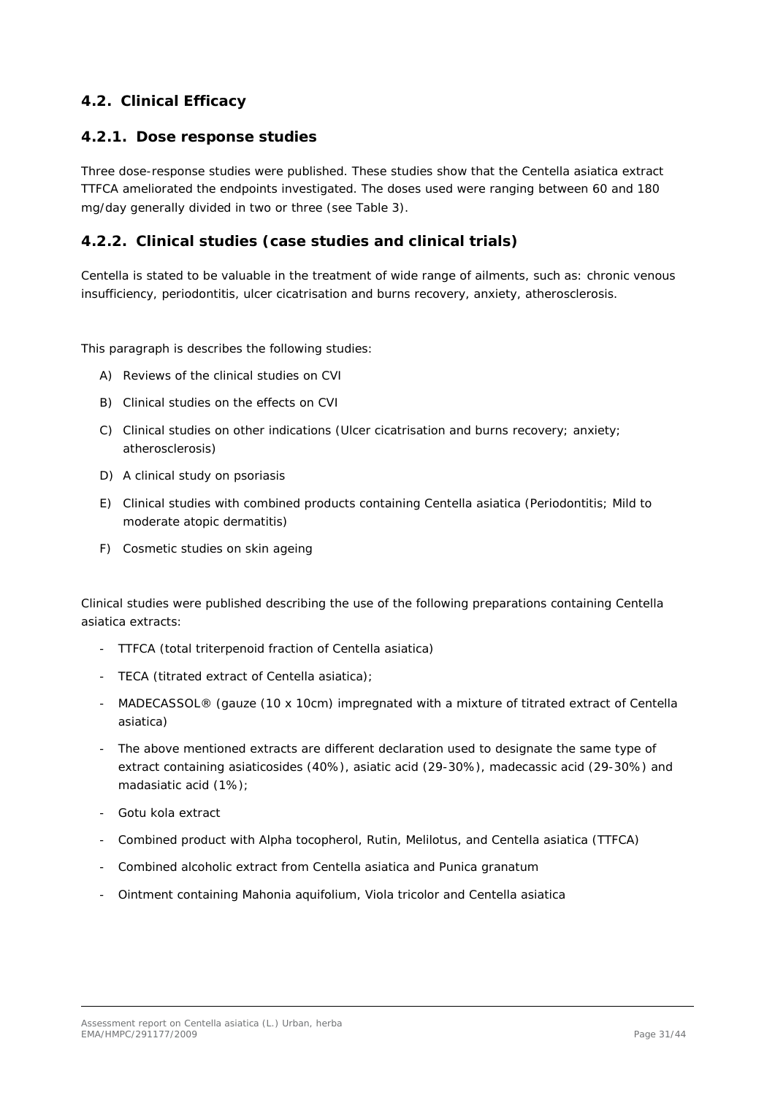### <span id="page-30-0"></span>*4.2. Clinical Efficacy*

### <span id="page-30-1"></span>**4.2.1. Dose response studies**

Three dose-response studies were published. These studies show that the *Centella asiatica* extract TTFCA ameliorated the endpoints investigated. The doses used were ranging between 60 and 180 mg/day generally divided in two or three (see Table 3).

### <span id="page-30-2"></span>**4.2.2. Clinical studies (case studies and clinical trials)**

*Centella* is stated to be valuable in the treatment of wide range of ailments, such as: chronic venous insufficiency, periodontitis, ulcer cicatrisation and burns recovery, anxiety, atherosclerosis.

This paragraph is describes the following studies:

- A) Reviews of the clinical studies on CVI
- B) Clinical studies on the effects on CVI
- C) Clinical studies on other indications (Ulcer cicatrisation and burns recovery; anxiety; atherosclerosis)
- D) A clinical study on psoriasis
- E) Clinical studies with combined products containing *Centella asiatica* (Periodontitis; Mild to moderate atopic dermatitis)
- F) Cosmetic studies on skin ageing

Clinical studies were published describing the use of the following preparations containing *Centella asiatica* extracts:

- TTFCA (total triterpenoid fraction of *Centella asiatica*)
- TECA (titrated extract of *Centella asiatica*);
- MADECASSOL® (gauze (10 x 10cm) impregnated with a mixture of titrated extract of *Centella asiatica*)
- The above mentioned extracts are different declaration used to designate the same type of extract containing asiaticosides (40%), asiatic acid (29-30%), madecassic acid (29-30%) and madasiatic acid (1%);
- Gotu kola extract
- Combined product with Alpha tocopherol, Rutin, Melilotus, and *Centella asiatica* (TTFCA)
- Combined alcoholic extract from *Centella asiatica* and *Punica granatum*
- Ointment containing *Mahonia aquifolium*, *Viola tricolor* and *Centella asiatica*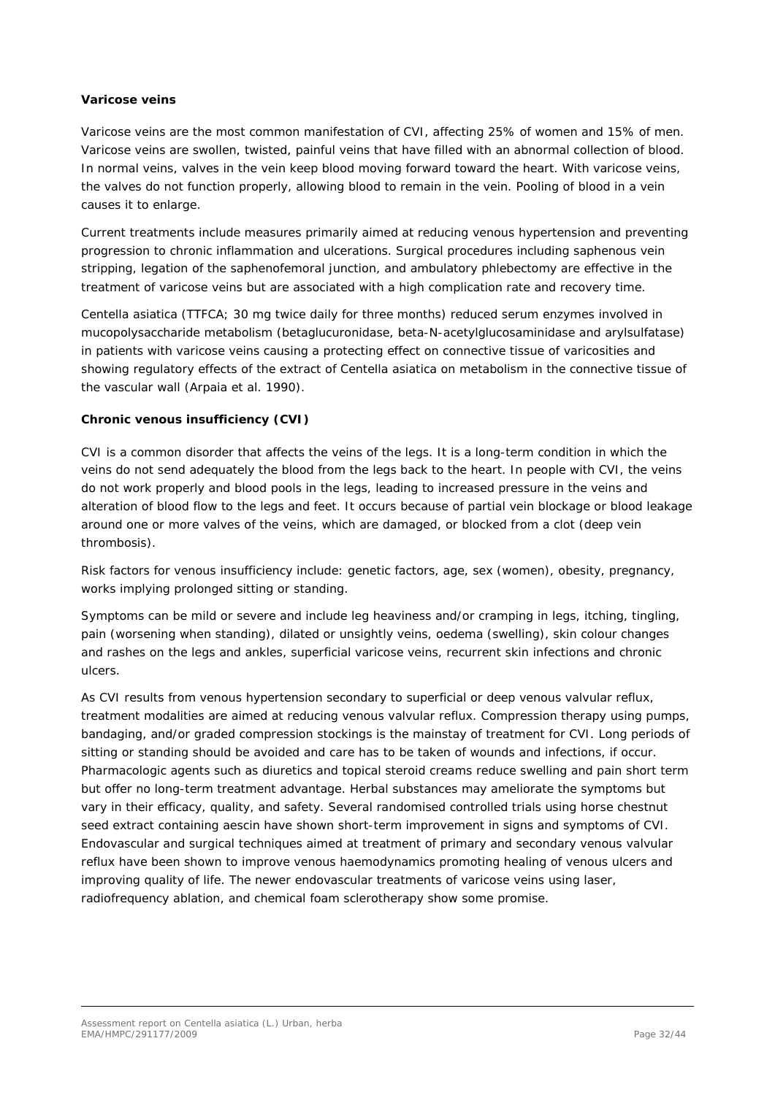#### **Varicose veins**

Varicose veins are the most common manifestation of CVI, affecting 25% of women and 15% of men. Varicose veins are swollen, twisted, painful veins that have filled with an abnormal collection of blood. In normal veins, valves in the vein keep blood moving forward toward the heart. With varicose veins, the valves do not function properly, allowing blood to remain in the vein. Pooling of blood in a vein causes it to enlarge.

Current treatments include measures primarily aimed at reducing venous hypertension and preventing progression to chronic inflammation and ulcerations. Surgical procedures including saphenous vein stripping, legation of the saphenofemoral junction, and ambulatory phlebectomy are effective in the treatment of varicose veins but are associated with a high complication rate and recovery time.

*Centella asiatica* (TTFCA; 30 mg twice daily for three months) reduced serum enzymes involved in mucopolysaccharide metabolism (betaglucuronidase, beta-N-acetylglucosaminidase and arylsulfatase) in patients with varicose veins causing a protecting effect on connective tissue of varicosities and showing regulatory effects of the extract of *Centella asiatica* on metabolism in the connective tissue of the vascular wall (Arpaia *et al.* 1990).

#### **Chronic venous insufficiency (CVI)**

CVI is a common disorder that affects the veins of the legs. It is a long-term condition in which the veins do not send adequately the blood from the legs back to the heart. In people with CVI, the veins do not work properly and blood pools in the legs, leading to increased pressure in the veins and alteration of blood flow to the legs and feet. It occurs because of partial vein blockage or blood leakage around one or more valves of the veins, which are damaged, or blocked from a clot (deep vein thrombosis).

Risk factors for venous insufficiency include: genetic factors, age, sex (women), obesity, pregnancy, works implying prolonged sitting or standing.

Symptoms can be mild or severe and include leg heaviness and/or cramping in legs, itching, tingling, pain (worsening when standing), dilated or unsightly veins, oedema (swelling), skin colour changes and rashes on the legs and ankles, superficial varicose veins, recurrent skin infections and chronic ulcers.

As CVI results from venous hypertension secondary to superficial or deep venous valvular reflux, treatment modalities are aimed at reducing venous valvular reflux. Compression therapy using pumps, bandaging, and/or graded compression stockings is the mainstay of treatment for CVI. Long periods of sitting or standing should be avoided and care has to be taken of wounds and infections, if occur. Pharmacologic agents such as diuretics and topical steroid creams reduce swelling and pain short term but offer no long-term treatment advantage. Herbal substances may ameliorate the symptoms but vary in their efficacy, quality, and safety. Several randomised controlled trials using horse chestnut seed extract containing aescin have shown short-term improvement in signs and symptoms of CVI. Endovascular and surgical techniques aimed at treatment of primary and secondary venous valvular reflux have been shown to improve venous haemodynamics promoting healing of venous ulcers and improving quality of life. The newer endovascular treatments of varicose veins using laser, radiofrequency ablation, and chemical foam sclerotherapy show some promise.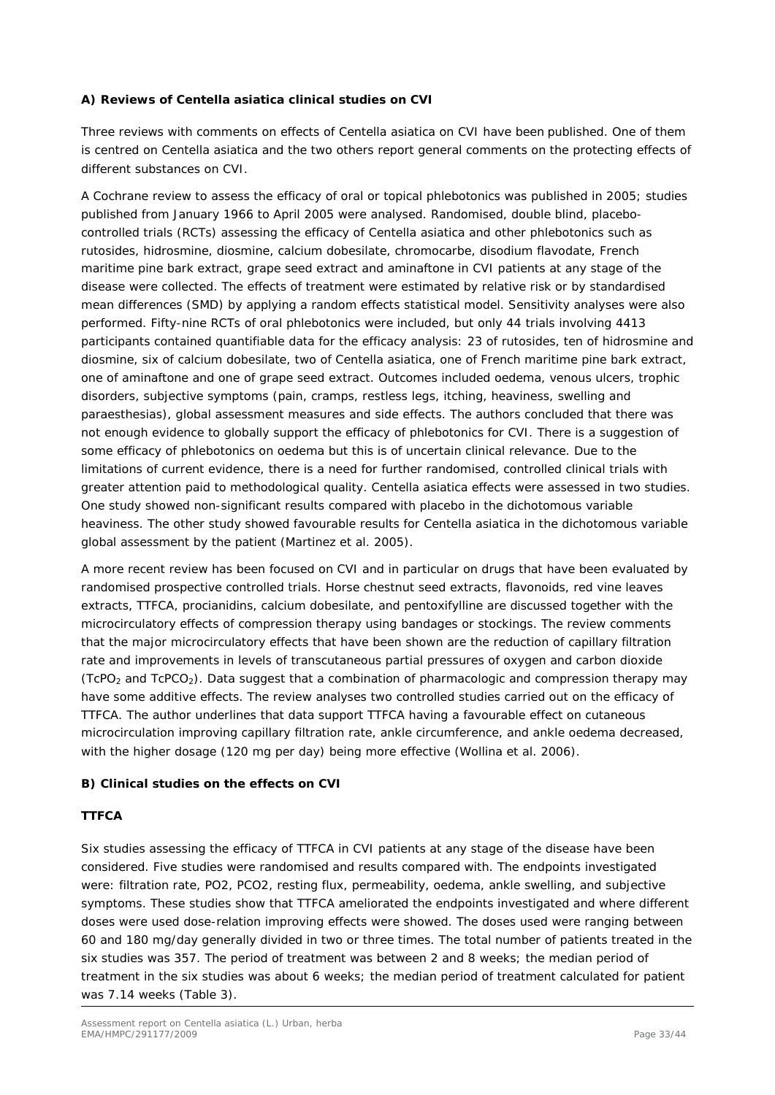#### **A) Reviews of** *Centella asiatica* **clinical studies on CVI**

Three reviews with comments on effects of *Centella asiatica* on CVI have been published. One of them is centred on *Centella asiatica* and the two others report general comments on the protecting effects of different substances on CVI.

A Cochrane review to assess the efficacy of oral or topical phlebotonics was published in 2005; studies published from January 1966 to April 2005 were analysed. Randomised, double blind, placebocontrolled trials (RCTs) assessing the efficacy of *Centella asiatica* and other phlebotonics such as rutosides, hidrosmine, diosmine, calcium dobesilate, chromocarbe, disodium flavodate, French maritime pine bark extract, grape seed extract and aminaftone in CVI patients at any stage of the disease were collected. The effects of treatment were estimated by relative risk or by standardised mean differences (SMD) by applying a random effects statistical model. Sensitivity analyses were also performed. Fifty-nine RCTs of oral phlebotonics were included, but only 44 trials involving 4413 participants contained quantifiable data for the efficacy analysis: 23 of rutosides, ten of hidrosmine and diosmine, six of calcium dobesilate, two of *Centella asiatica*, one of French maritime pine bark extract, one of aminaftone and one of grape seed extract. Outcomes included oedema, venous ulcers, trophic disorders, subjective symptoms (pain, cramps, restless legs, itching, heaviness, swelling and paraesthesias), global assessment measures and side effects. The authors concluded that there was not enough evidence to globally support the efficacy of phlebotonics for CVI. There is a suggestion of some efficacy of phlebotonics on oedema but this is of uncertain clinical relevance. Due to the limitations of current evidence, there is a need for further randomised, controlled clinical trials with greater attention paid to methodological quality. *Centella asiatica* effects were assessed in two studies. One study showed non-significant results compared with placebo in the dichotomous variable heaviness. The other study showed favourable results for *Centella asiatica* in the dichotomous variable global assessment by the patient [\(Martinez](http://www.ncbi.nlm.nih.gov/sites/entrez?Db=pubmed&Cmd=Search&Term=%22Martinez%20MJ%22%5BAuthor%5D&itool=EntrezSystem2.PEntrez.Pubmed.Pubmed_ResultsPanel.Pubmed_DiscoveryPanel.Pubmed_RVAbstractPlus) *et al.* 2005).

A more recent review has been focused on CVI and in particular on drugs that have been evaluated by randomised prospective controlled trials. Horse chestnut seed extracts, flavonoids, red vine leaves extracts, TTFCA, procianidins, calcium dobesilate, and pentoxifylline are discussed together with the microcirculatory effects of compression therapy using bandages or stockings. The review comments that the major microcirculatory effects that have been shown are the reduction of capillary filtration rate and improvements in levels of transcutaneous partial pressures of oxygen and carbon dioxide  $(TCPO<sub>2</sub>)$  and TcPCO<sub>2</sub>). Data suggest that a combination of pharmacologic and compression therapy may have some additive effects. The review analyses two controlled studies carried out on the efficacy of TTFCA. The author underlines that data support TTFCA having a favourable effect on cutaneous microcirculation improving capillary filtration rate, ankle circumference, and ankle oedema decreased, with the higher dosage (120 mg per day) being more effective (Wollina *et al.* 2006).

#### **B) Clinical studies on the effects on CVI**

#### **TTFCA**

Six studies assessing the efficacy of TTFCA in CVI patients at any stage of the disease have been considered. Five studies were randomised and results compared with. The endpoints investigated were: filtration rate, PO2, PCO2, resting flux, permeability, oedema, ankle swelling, and subjective symptoms. These studies show that TTFCA ameliorated the endpoints investigated and where different doses were used dose-relation improving effects were showed. The doses used were ranging between 60 and 180 mg/day generally divided in two or three times. The total number of patients treated in the six studies was 357. The period of treatment was between 2 and 8 weeks; the median period of treatment in the six studies was about 6 weeks; the median period of treatment calculated for patient was 7.14 weeks (Table 3).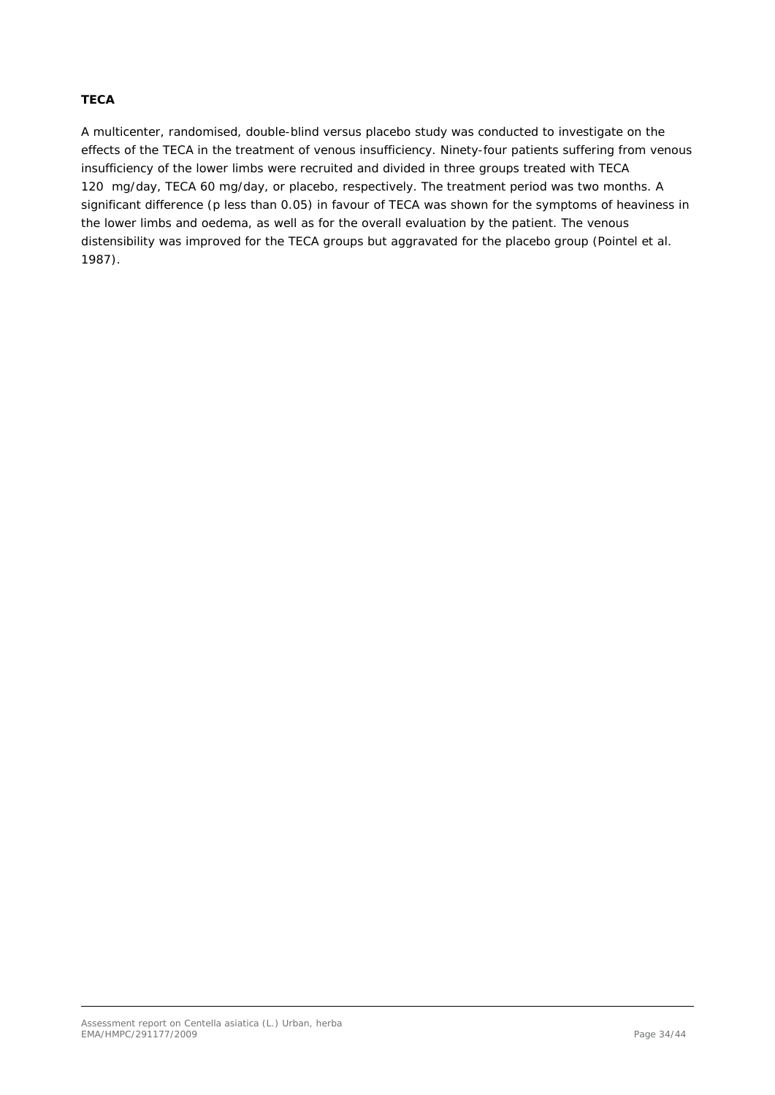#### **TECA**

A multicenter, randomised, double-blind versus placebo study was conducted to investigate on the effects of the TECA in the treatment of venous insufficiency. Ninety-four patients suffering from venous insufficiency of the lower limbs were recruited and divided in three groups treated with TECA 120 mg/day, TECA 60 mg/day, or placebo, respectively. The treatment period was two months. A significant difference (p less than 0.05) in favour of TECA was shown for the symptoms of heaviness in the lower limbs and oedema, as well as for the overall evaluation by the patient. The venous distensibility was improved for the TECA groups but aggravated for the placebo group [\(Pointel](http://www.ncbi.nlm.nih.gov/sites/entrez?Db=pubmed&Cmd=Search&Term=%22Pointel%20JP%22%5BAuthor%5D&itool=EntrezSystem2.PEntrez.Pubmed.Pubmed_ResultsPanel.Pubmed_DiscoveryPanel.Pubmed_RVAbstractPlus) *et al.* 1987).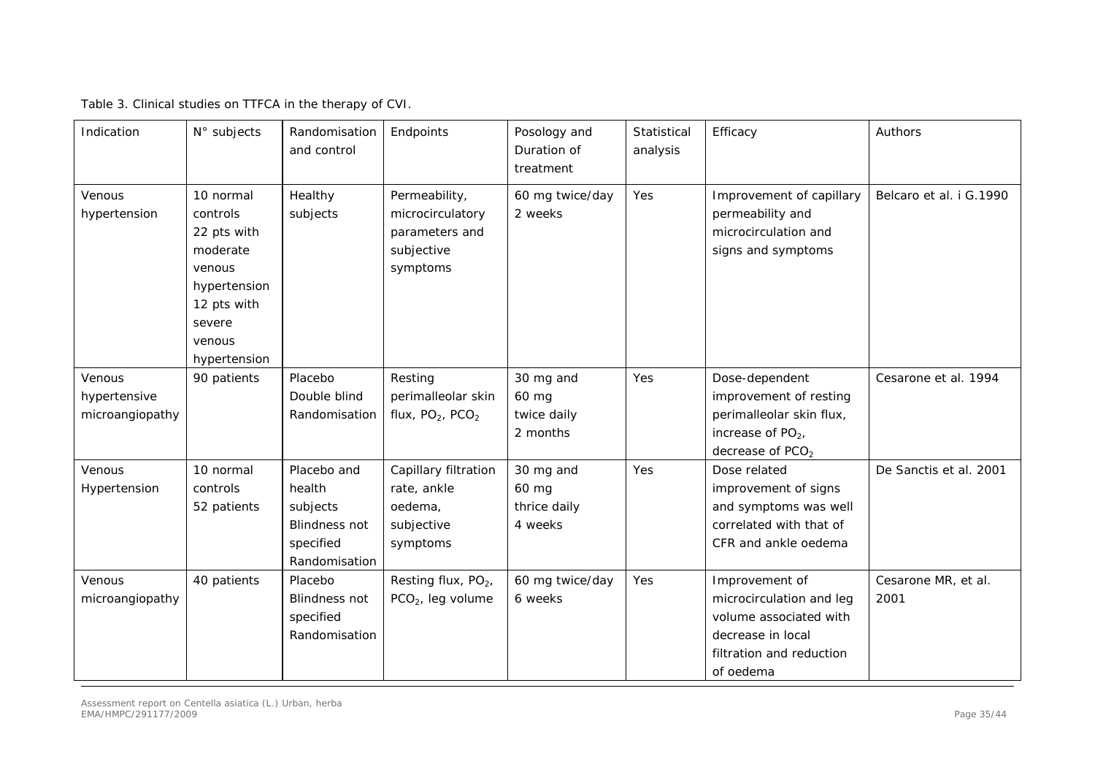Table 3. Clinical studies on TTFCA in the therapy of CVI.

| Indication                                | N° subjects                                                                                                                   | Randomisation<br>and control                                                            | Endpoints                                                                     | Posology and<br>Duration of<br>treatment      | Statistical<br>analysis | Efficacy                                                                                                                           | Authors                     |
|-------------------------------------------|-------------------------------------------------------------------------------------------------------------------------------|-----------------------------------------------------------------------------------------|-------------------------------------------------------------------------------|-----------------------------------------------|-------------------------|------------------------------------------------------------------------------------------------------------------------------------|-----------------------------|
| Venous<br>hypertension                    | 10 normal<br>controls<br>22 pts with<br>moderate<br>venous<br>hypertension<br>12 pts with<br>severe<br>venous<br>hypertension | Healthy<br>subjects                                                                     | Permeability,<br>microcirculatory<br>parameters and<br>subjective<br>symptoms | 60 mg twice/day<br>2 weeks                    | Yes                     | Improvement of capillary<br>permeability and<br>microcirculation and<br>signs and symptoms                                         | Belcaro et al. i G.1990     |
| Venous<br>hypertensive<br>microangiopathy | 90 patients                                                                                                                   | Placebo<br>Double blind<br>Randomisation                                                | Resting<br>perimalleolar skin<br>flux, $PO2$ , $PCO2$                         | 30 mg and<br>60 mg<br>twice daily<br>2 months | Yes                     | Dose-dependent<br>improvement of resting<br>perimalleolar skin flux,<br>increase of $PO2$ ,<br>decrease of PCO <sub>2</sub>        | Cesarone et al. 1994        |
| Venous<br>Hypertension                    | 10 normal<br>controls<br>52 patients                                                                                          | Placebo and<br>health<br>subjects<br><b>Blindness not</b><br>specified<br>Randomisation | Capillary filtration<br>rate, ankle<br>oedema,<br>subjective<br>symptoms      | 30 mg and<br>60 mg<br>thrice daily<br>4 weeks | Yes                     | Dose related<br>improvement of signs<br>and symptoms was well<br>correlated with that of<br>CFR and ankle oedema                   | De Sanctis et al. 2001      |
| Venous<br>microangiopathy                 | 40 patients                                                                                                                   | Placebo<br><b>Blindness not</b><br>specified<br>Randomisation                           | Resting flux, PO <sub>2</sub> ,<br>PCO <sub>2</sub> , leg volume              | 60 mg twice/day<br>6 weeks                    | Yes                     | Improvement of<br>microcirculation and leg<br>volume associated with<br>decrease in local<br>filtration and reduction<br>of oedema | Cesarone MR, et al.<br>2001 |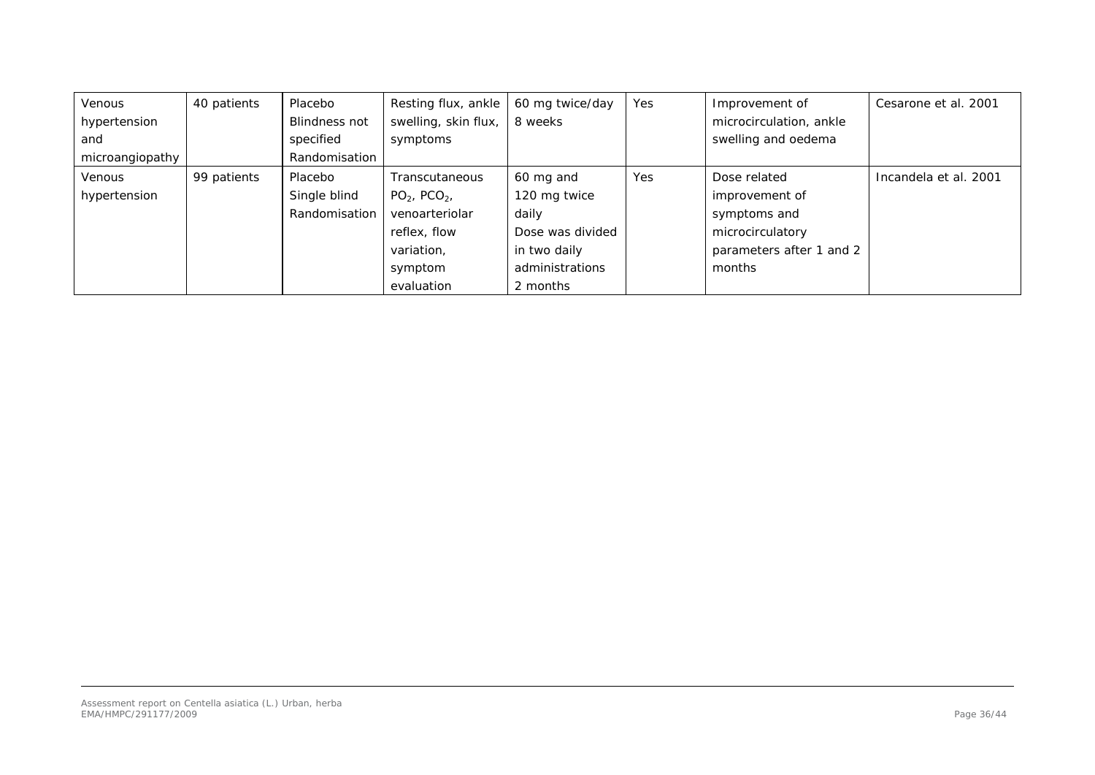| <b>Venous</b>   | 40 patients | Placebo              | Resting flux, ankle  | 60 mg twice/day  | Yes | Improvement of           | Cesarone et al. 2001  |
|-----------------|-------------|----------------------|----------------------|------------------|-----|--------------------------|-----------------------|
| hypertension    |             | <b>Blindness not</b> | swelling, skin flux, | 8 weeks          |     | microcirculation, ankle  |                       |
| and             |             | specified            | symptoms             |                  |     | swelling and oedema      |                       |
| microangiopathy |             | Randomisation        |                      |                  |     |                          |                       |
| <b>Venous</b>   | 99 patients | Placebo              | Transcutaneous       | 60 mg and        | Yes | Dose related             | Incandela et al. 2001 |
| hypertension    |             | Single blind         | $PO2$ , $PCO2$ ,     | 120 mg twice     |     | improvement of           |                       |
|                 |             | Randomisation        | venoarteriolar       | daily            |     | symptoms and             |                       |
|                 |             |                      | reflex, flow         | Dose was divided |     | microcirculatory         |                       |
|                 |             |                      | variation,           | in two daily     |     | parameters after 1 and 2 |                       |
|                 |             |                      | symptom              | administrations  |     | months                   |                       |
|                 |             |                      | evaluation           | 2 months         |     |                          |                       |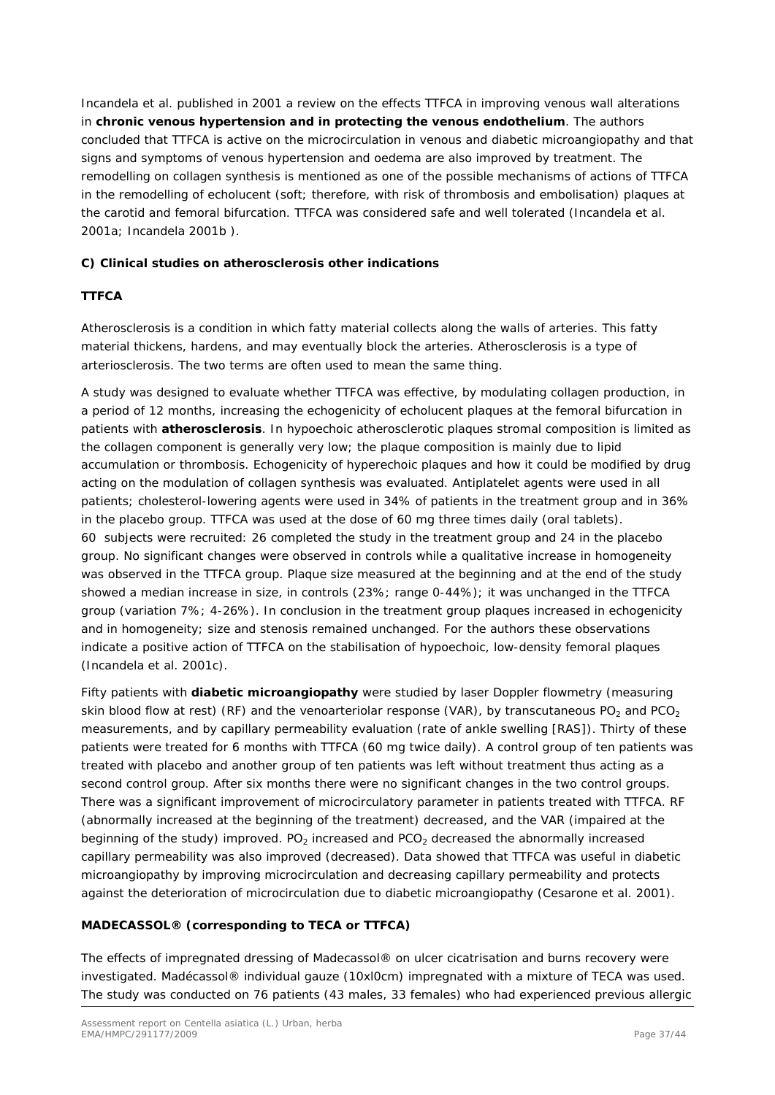Incandela *et al.* published in 2001 a review on the effects TTFCA in improving venous wall alterations in **chronic venous hypertension and in protecting the venous endothelium**. The authors concluded that TTFCA is active on the microcirculation in venous and diabetic microangiopathy and that signs and symptoms of venous hypertension and oedema are also improved by treatment. The remodelling on collagen synthesis is mentioned as one of the possible mechanisms of actions of TTFCA in the remodelling of echolucent (soft; therefore, with risk of thrombosis and embolisation) plaques at the carotid and femoral bifurcation. TTFCA was considered safe and well tolerated [\(Incandela](http://www.ncbi.nlm.nih.gov/sites/entrez?Db=pubmed&Cmd=Search&Term=%22Incandela%20L%22%5BAuthor%5D&itool=EntrezSystem2.PEntrez.Pubmed.Pubmed_ResultsPanel.Pubmed_DiscoveryPanel.Pubmed_RVAbstractPlus) *et al.* 2001a; Incandela 2001b ).

#### **C) Clinical studies on atherosclerosis other indications**

#### **TTFCA**

Atherosclerosis is a condition in which fatty material collects along the walls of arteries. This fatty material thickens, hardens, and may eventually block the arteries. Atherosclerosis is a type of arteriosclerosis. The two terms are often used to mean the same thing.

A study was designed to evaluate whether TTFCA was effective, by modulating collagen production, in a period of 12 months, increasing the echogenicity of echolucent plaques at the femoral bifurcation in patients with **atherosclerosis**. In hypoechoic atherosclerotic plaques stromal composition is limited as the collagen component is generally very low; the plaque composition is mainly due to lipid accumulation or thrombosis. Echogenicity of hyperechoic plaques and how it could be modified by drug acting on the modulation of collagen synthesis was evaluated. Antiplatelet agents were used in all patients; cholesterol-lowering agents were used in 34% of patients in the treatment group and in 36% in the placebo group. TTFCA was used at the dose of 60 mg three times daily (oral tablets). 60 subjects were recruited: 26 completed the study in the treatment group and 24 in the placebo group. No significant changes were observed in controls while a qualitative increase in homogeneity was observed in the TTFCA group. Plaque size measured at the beginning and at the end of the study showed a median increase in size, in controls (23%; range 0-44%); it was unchanged in the TTFCA group (variation 7%; 4-26%). In conclusion in the treatment group plaques increased in echogenicity and in homogeneity; size and stenosis remained unchanged. For the authors these observations indicate a positive action of TTFCA on the stabilisation of hypoechoic, low-density femoral plaques [\(Incandela](http://www.ncbi.nlm.nih.gov/sites/entrez?Db=pubmed&Cmd=Search&Term=%22Incandela%20L%22%5BAuthor%5D&itool=EntrezSystem2.PEntrez.Pubmed.Pubmed_ResultsPanel.Pubmed_DiscoveryPanel.Pubmed_RVAbstractPlus) *et al.* 2001c).

Fifty patients with **diabetic microangiopathy** were studied by laser Doppler flowmetry (measuring skin blood flow at rest) (RF) and the venoarteriolar response (VAR), by transcutaneous PO<sub>2</sub> and PCO<sub>2</sub> measurements, and by capillary permeability evaluation (rate of ankle swelling [RAS]). Thirty of these patients were treated for 6 months with TTFCA (60 mg twice daily). A control group of ten patients was treated with placebo and another group of ten patients was left without treatment thus acting as a second control group. After six months there were no significant changes in the two control groups. There was a significant improvement of microcirculatory parameter in patients treated with TTFCA. RF (abnormally increased at the beginning of the treatment) decreased, and the VAR (impaired at the beginning of the study) improved.  $PQ_2$  increased and  $PCO_2$  decreased the abnormally increased capillary permeability was also improved (decreased). Data showed that TTFCA was useful in diabetic microangiopathy by improving microcirculation and decreasing capillary permeability and protects against the deterioration of microcirculation due to diabetic microangiopathy (Cesarone *et al.* 2001).

### **MADECASSOL® (corresponding to TECA or TTFCA)**

The effects of impregnated dressing of Madecassol® on ulcer cicatrisation and burns recovery were investigated. Madécassol® individual gauze (10xl0cm) impregnated with a mixture of TECA was used. The study was conducted on 76 patients (43 males, 33 females) who had experienced previous allergic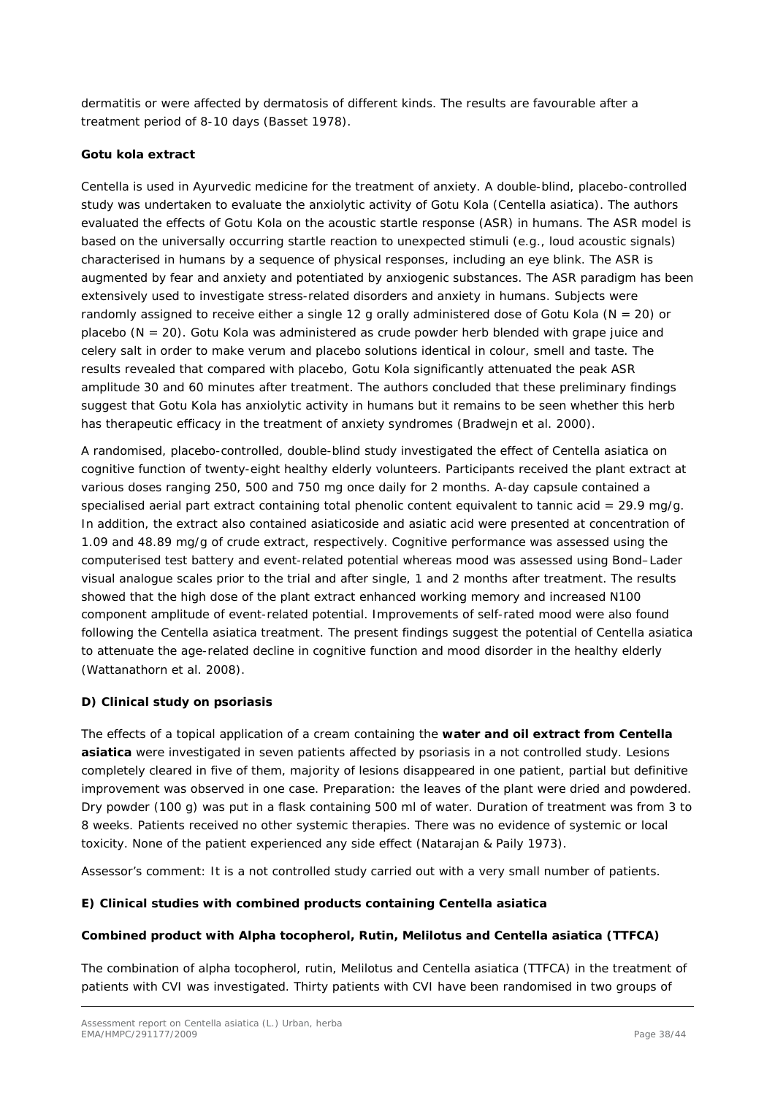dermatitis or were affected by dermatosis of different kinds. The results are favourable after a treatment period of 8-10 days (Basset 1978).

#### **Gotu kola extract**

*Centella* is used in Ayurvedic medicine for the treatment of anxiety. A double-blind, placebo-controlled study was undertaken to evaluate the anxiolytic activity of Gotu Kola (*Centella asiatica*). The authors evaluated the effects of Gotu Kola on the acoustic startle response (ASR) in humans. The ASR model is based on the universally occurring startle reaction to unexpected stimuli (e.g., loud acoustic signals) characterised in humans by a sequence of physical responses, including an eye blink. The ASR is augmented by fear and anxiety and potentiated by anxiogenic substances. The ASR paradigm has been extensively used to investigate stress-related disorders and anxiety in humans. Subjects were randomly assigned to receive either a single 12 g orally administered dose of Gotu Kola ( $N = 20$ ) or placebo ( $N = 20$ ). Gotu Kola was administered as crude powder herb blended with grape juice and celery salt in order to make *verum* and placebo solutions identical in colour, smell and taste. The results revealed that compared with placebo, Gotu Kola significantly attenuated the peak ASR amplitude 30 and 60 minutes after treatment. The authors concluded that these preliminary findings suggest that Gotu Kola has anxiolytic activity in humans but it remains to be seen whether this herb has therapeutic efficacy in the treatment of anxiety syndromes (Bradwejn *et al.* 2000).

A randomised, placebo-controlled, double-blind study investigated the effect of *Centella asiatica* on cognitive function of twenty-eight healthy elderly volunteers. Participants received the plant extract at various doses ranging 250, 500 and 750 mg once daily for 2 months. A-day capsule contained a specialised aerial part extract containing total phenolic content equivalent to tannic acid = 29.9 mg/g. In addition, the extract also contained asiaticoside and asiatic acid were presented at concentration of 1.09 and 48.89 mg/g of crude extract, respectively. Cognitive performance was assessed using the computerised test battery and event-related potential whereas mood was assessed using Bond–Lader visual analogue scales prior to the trial and after single, 1 and 2 months after treatment. The results showed that the high dose of the plant extract enhanced working memory and increased N100 component amplitude of event-related potential. Improvements of self-rated mood were also found following the *Centella asiatica* treatment. The present findings suggest the potential of *Centella asiatica*  to attenuate the age-related decline in cognitive function and mood disorder in the healthy elderly (Wattanathorn *et al.* 2008).

#### **D) Clinical study on psoriasis**

The effects of a topical application of a cream containing the **water and oil extract from** *Centella asiatica* were investigated in seven patients affected by psoriasis in a not controlled study. Lesions completely cleared in five of them, majority of lesions disappeared in one patient, partial but definitive improvement was observed in one case. Preparation: the leaves of the plant were dried and powdered. Dry powder (100 g) was put in a flask containing 500 ml of water. Duration of treatment was from 3 to 8 weeks. Patients received no other systemic therapies. There was no evidence of systemic or local toxicity. None of the patient experienced any side effect (Natarajan & Paily 1973).

Assessor's comment: It is a not controlled study carried out with a very small number of patients.

#### **E) Clinical studies with combined products containing** *Centella asiatica*

#### **Combined product with Alpha tocopherol, Rutin, Melilotus and** *Centella asiatica* **(TTFCA)**

The combination of alpha tocopherol, rutin, *Melilotus* and *Centella asiatica* (TTFCA) in the treatment of patients with CVI was investigated. Thirty patients with CVI have been randomised in two groups of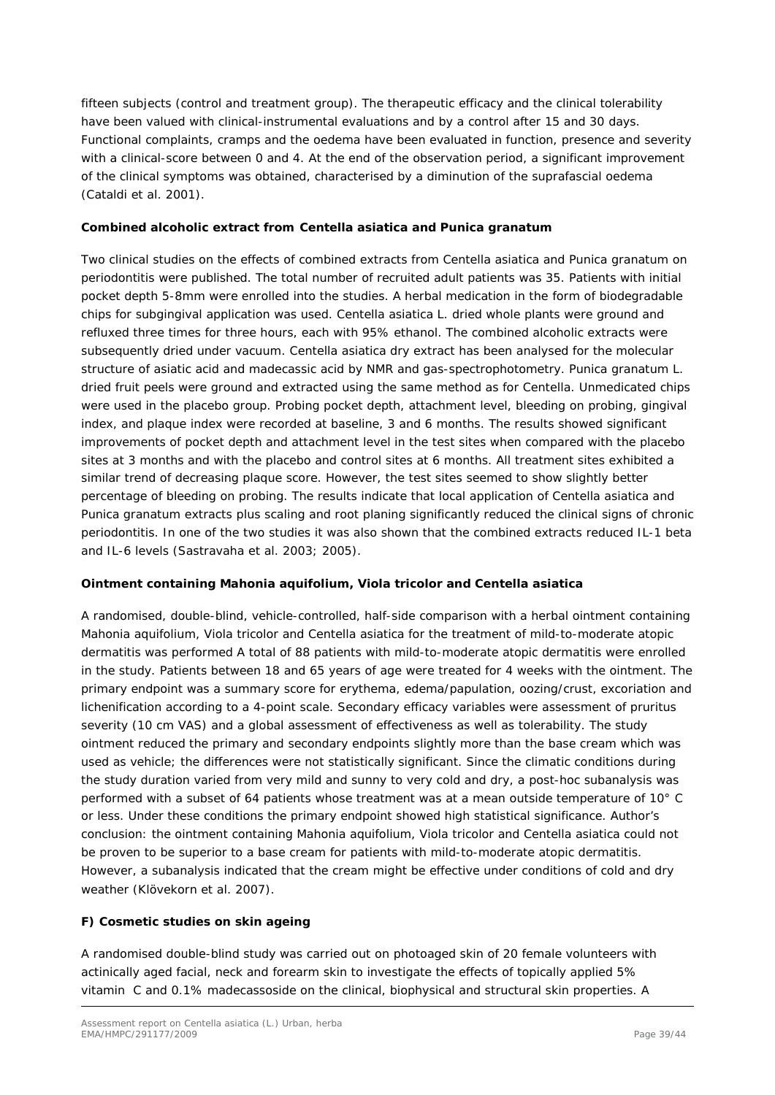fifteen subjects (control and treatment group). The therapeutic efficacy and the clinical tolerability have been valued with clinical-instrumental evaluations and by a control after 15 and 30 days. Functional complaints, cramps and the oedema have been evaluated in function, presence and severity with a clinical-score between 0 and 4. At the end of the observation period, a significant improvement of the clinical symptoms was obtained, characterised by a diminution of the suprafascial oedema [\(Cataldi](http://www.ncbi.nlm.nih.gov/sites/entrez?Db=pubmed&Cmd=Search&Term=%22Cataldi%20A%22%5BAuthor%5D&itool=EntrezSystem2.PEntrez.Pubmed.Pubmed_ResultsPanel.Pubmed_DiscoveryPanel.Pubmed_RVAbstractPlus) *et al.* 2001).

#### **Combined alcoholic extract from** *Centella asiatica* **and** *Punica granatum*

Two clinical studies on the effects of combined extracts from *Centella asiatica* and *Punica granatum* on periodontitis were published. The total number of recruited adult patients was 35. Patients with initial pocket depth 5-8mm were enrolled into the studies. A herbal medication in the form of biodegradable chips for subgingival application was used. *Centella asiatica* L. dried whole plants were ground and refluxed three times for three hours, each with 95% ethanol. The combined alcoholic extracts were subsequently dried under vacuum. *Centella asiatica* dry extract has been analysed for the molecular structure of asiatic acid and madecassic acid by NMR and gas-spectrophotometry. *Punica granatum* L. dried fruit peels were ground and extracted using the same method as for *Centella*. Unmedicated chips were used in the placebo group. Probing pocket depth, attachment level, bleeding on probing, gingival index, and plaque index were recorded at baseline, 3 and 6 months. The results showed significant improvements of pocket depth and attachment level in the test sites when compared with the placebo sites at 3 months and with the placebo and control sites at 6 months. All treatment sites exhibited a similar trend of decreasing plaque score. However, the test sites seemed to show slightly better percentage of bleeding on probing. The results indicate that local application of *Centella asiatica* and *Punica granatum* extracts plus scaling and root planing significantly reduced the clinical signs of chronic periodontitis. In one of the two studies it was also shown that the combined extracts reduced IL-1 beta and IL-6 levels (Sastravaha *et al.* 2003; 2005).

#### **Ointment containing** *Mahonia aquifolium***,** *Viola tricolor* **and** *Centella asiatica*

A randomised, double-blind, vehicle-controlled, half-side comparison with a herbal ointment containing *Mahonia aquifolium*, *Viola tricolor* and *Centella asiatica* for the treatment of mild-to-moderate atopic dermatitis was performed A total of 88 patients with mild-to-moderate atopic dermatitis were enrolled in the study. Patients between 18 and 65 years of age were treated for 4 weeks with the ointment. The primary endpoint was a summary score for erythema, edema/papulation, oozing/crust, excoriation and lichenification according to a 4-point scale. Secondary efficacy variables were assessment of pruritus severity (10 cm VAS) and a global assessment of effectiveness as well as tolerability. The study ointment reduced the primary and secondary endpoints slightly more than the base cream which was used as vehicle; the differences were not statistically significant. Since the climatic conditions during the study duration varied from very mild and sunny to very cold and dry, a post-hoc subanalysis was performed with a subset of 64 patients whose treatment was at a mean outside temperature of 10° C or less. Under these conditions the primary endpoint showed high statistical significance. Author's conclusion: the ointment containing *Mahonia aquifolium*, *Viola tricolor* and *Centella asiatica* could not be proven to be superior to a base cream for patients with mild-to-moderate atopic dermatitis. However, a subanalysis indicated that the cream might be effective under conditions of cold and dry weather [\(Klövekorn](http://www.ncbi.nlm.nih.gov/sites/entrez?Db=pubmed&Cmd=Search&Term=%22Kl%C3%B6vekorn%20W%22%5BAuthor%5D&itool=EntrezSystem2.PEntrez.Pubmed.Pubmed_ResultsPanel.Pubmed_DiscoveryPanel.Pubmed_RVAbstractPlus) *et al.* 2007).

#### **F) Cosmetic studies on skin ageing**

A randomised double-blind study was carried out on photoaged skin of 20 female volunteers with actinically aged facial, neck and forearm skin to investigate the effects of topically applied 5% vitamin C and 0.1% madecassoside on the clinical, biophysical and structural skin properties. A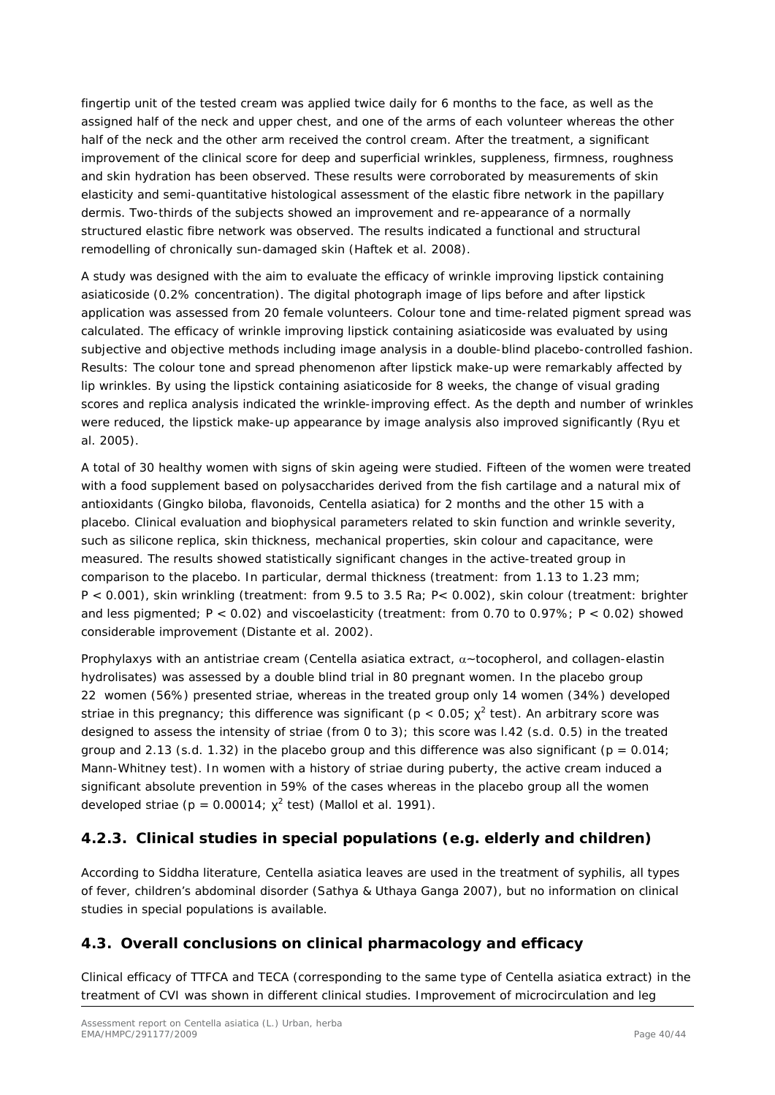fingertip unit of the tested cream was applied twice daily for 6 months to the face, as well as the assigned half of the neck and upper chest, and one of the arms of each volunteer whereas the other half of the neck and the other arm received the control cream. After the treatment, a significant improvement of the clinical score for deep and superficial wrinkles, suppleness, firmness, roughness and skin hydration has been observed. These results were corroborated by measurements of skin elasticity and semi-quantitative histological assessment of the elastic fibre network in the papillary dermis. Two-thirds of the subjects showed an improvement and re-appearance of a normally structured elastic fibre network was observed. The results indicated a functional and structural remodelling of chronically sun-damaged skin (Haftek *et al.* 2008).

A study was designed with the aim to evaluate the efficacy of wrinkle improving lipstick containing asiaticoside (0.2% concentration). The digital photograph image of lips before and after lipstick application was assessed from 20 female volunteers. Colour tone and time-related pigment spread was calculated. The efficacy of wrinkle improving lipstick containing asiaticoside was evaluated by using subjective and objective methods including image analysis in a double-blind placebo-controlled fashion. Results: The colour tone and spread phenomenon after lipstick make-up were remarkably affected by lip wrinkles. By using the lipstick containing asiaticoside for 8 weeks, the change of visual grading scores and replica analysis indicated the wrinkle-improving effect. As the depth and number of wrinkles were reduced, the lipstick make-up appearance by image analysis also improved significantly (Ryu *et al.* 2005).

A total of 30 healthy women with signs of skin ageing were studied. Fifteen of the women were treated with a food supplement based on polysaccharides derived from the fish cartilage and a natural mix of antioxidants (*Gingko biloba*, flavonoids, *Centella asiatica*) for 2 months and the other 15 with a placebo. Clinical evaluation and biophysical parameters related to skin function and wrinkle severity, such as silicone replica, skin thickness, mechanical properties, skin colour and capacitance, were measured. The results showed statistically significant changes in the active-treated group in comparison to the placebo. In particular, dermal thickness (treatment: from 1.13 to 1.23 mm; P < 0.001), skin wrinkling (treatment: from 9.5 to 3.5 Ra; P< 0.002), skin colour (treatment: brighter and less pigmented; P < 0.02) and viscoelasticity (treatment: from 0.70 to 0.97%; P < 0.02) showed considerable improvement (Distante *et al.* 2002).

Prophylaxys with an antistriae cream (*Centella asiatica* extract, α~tocopherol, and collagen-elastin hydrolisates) was assessed by a double blind trial in 80 pregnant women. In the placebo group 22 women (56%) presented striae, whereas in the treated group only 14 women (34%) developed striae in this pregnancy; this difference was significant ( $p < 0.05$ ;  $\chi^2$  test). An arbitrary score was designed to assess the intensity of striae (from 0 to 3); this score was l.42 (s.d. 0.5) in the treated group and 2.13 (s.d. 1.32) in the placebo group and this difference was also significant ( $p = 0.014$ ; Mann-Whitney test). In women with a history of striae during puberty, the active cream induced a significant absolute prevention in 59% of the cases whereas in the placebo group all the women developed striae  $(p = 0.00014; x^2 \text{ test})$  (Mallol *et al.* 1991).

### <span id="page-39-0"></span>**4.2.3. Clinical studies in special populations (e.g. elderly and children)**

According to Siddha literature, *Centella asiatica* leaves are used in the treatment of syphilis, all types of fever, children's abdominal disorder (Sathya & Uthaya Ganga 2007), but no information on clinical studies in special populations is available.

### <span id="page-39-1"></span>*4.3. Overall conclusions on clinical pharmacology and efficacy*

Clinical efficacy of TTFCA and TECA (corresponding to the same type of *Centella asiatica* extract) in the treatment of CVI was shown in different clinical studies. Improvement of microcirculation and leg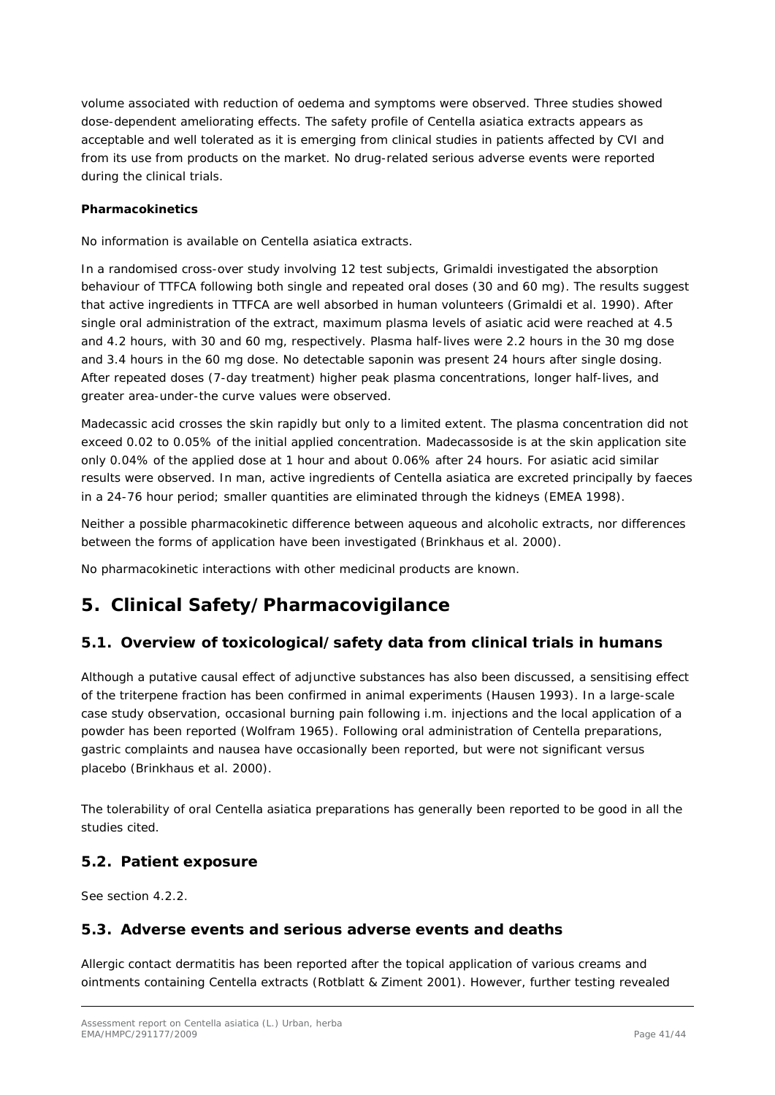volume associated with reduction of oedema and symptoms were observed. Three studies showed dose-dependent ameliorating effects. The safety profile of *Centella asiatica* extracts appears as acceptable and well tolerated as it is emerging from clinical studies in patients affected by CVI and from its use from products on the market. No drug-related serious adverse events were reported during the clinical trials.

#### **Pharmacokinetics**

No information is available on *Centella asiatica* extracts.

In a randomised cross-over study involving 12 test subjects, Grimaldi investigated the absorption behaviour of TTFCA following both single and repeated oral doses (30 and 60 mg). The results suggest that active ingredients in TTFCA are well absorbed in human volunteers (Grimaldi *et al.* 1990). After single oral administration of the extract, maximum plasma levels of asiatic acid were reached at 4.5 and 4.2 hours, with 30 and 60 mg, respectively. Plasma half-lives were 2.2 hours in the 30 mg dose and 3.4 hours in the 60 mg dose. No detectable saponin was present 24 hours after single dosing. After repeated doses (7-day treatment) higher peak plasma concentrations, longer half-lives, and greater area-under-the curve values were observed.

Madecassic acid crosses the skin rapidly but only to a limited extent. The plasma concentration did not exceed 0.02 to 0.05% of the initial applied concentration. Madecassoside is at the skin application site only 0.04% of the applied dose at 1 hour and about 0.06% after 24 hours. For asiatic acid similar results were observed. In man, active ingredients of *Centella asiatica* are excreted principally by faeces in a 24-76 hour period; smaller quantities are eliminated through the kidneys (EMEA 1998).

Neither a possible pharmacokinetic difference between aqueous and alcoholic extracts, nor differences between the forms of application have been investigated (Brinkhaus *et al.* 2000).

No pharmacokinetic interactions with other medicinal products are known.

# <span id="page-40-0"></span>**5. Clinical Safety/Pharmacovigilance**

### <span id="page-40-1"></span>*5.1. Overview of toxicological/safety data from clinical trials in humans*

Although a putative causal effect of adjunctive substances has also been discussed, a sensitising effect of the triterpene fraction has been confirmed in animal experiments (Hausen 1993). In a large-scale case study observation, occasional burning pain following i.m. injections and the local application of a powder has been reported (Wolfram 1965). Following oral administration of *Centella* preparations, gastric complaints and nausea have occasionally been reported, but were not significant versus placebo (Brinkhaus *et al.* 2000).

The tolerability of oral *Centella asiatica* preparations has generally been reported to be good in all the studies cited.

### <span id="page-40-2"></span>*5.2. Patient exposure*

See section 4.2.2.

### <span id="page-40-3"></span>*5.3. Adverse events and serious adverse events and deaths*

Allergic contact dermatitis has been reported after the topical application of various creams and ointments containing *Centella* extracts (Rotblatt & Ziment 2001). However, further testing revealed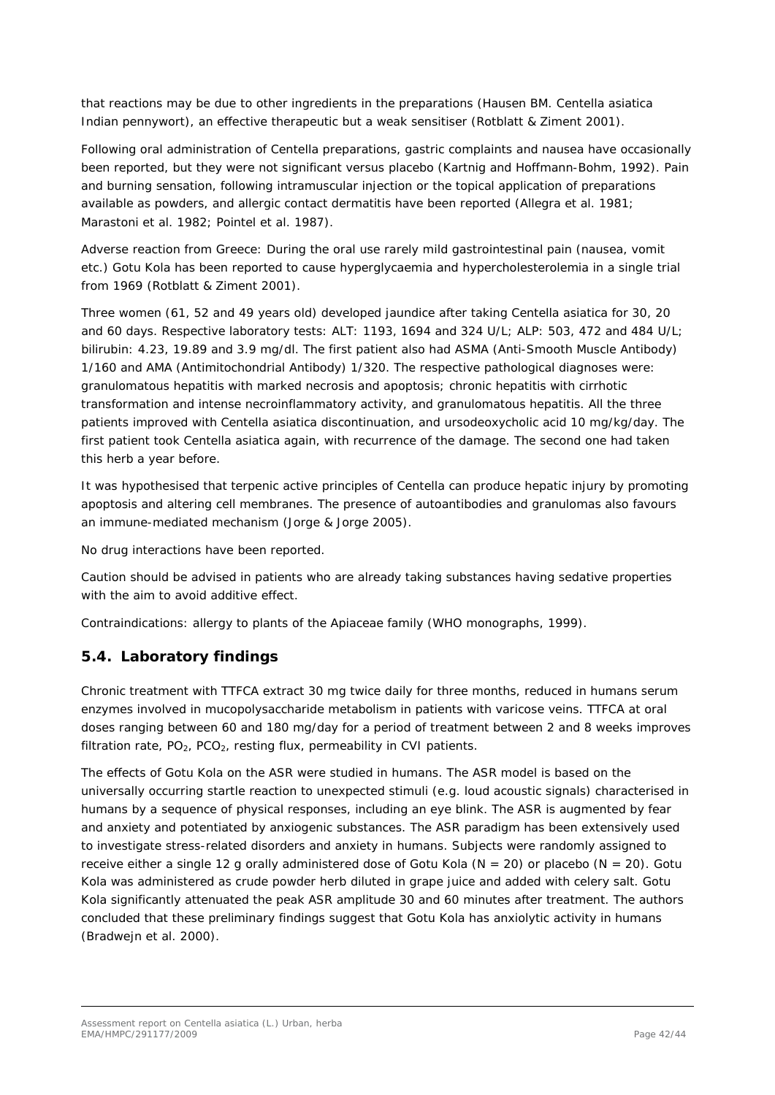that reactions may be due to other ingredients in the preparations (Hausen BM. *Centella asiatica*  Indian pennywort), an effective therapeutic but a weak sensitiser (Rotblatt & Ziment 2001).

Following oral administration of *Centella* preparations, gastric complaints and nausea have occasionally been reported, but they were not significant versus placebo (Kartnig and Hoffmann-Bohm, 1992). Pain and burning sensation, following intramuscular injection or the topical application of preparations available as powders, and allergic contact dermatitis have been reported (Allegra *et al.* 1981; Marastoni *et al.* 1982; Pointel *et al.* 1987).

Adverse reaction from Greece: During the oral use rarely mild gastrointestinal pain (nausea, vomit etc.) Gotu Kola has been reported to cause hyperglycaemia and hypercholesterolemia in a single trial from 1969 (Rotblatt & Ziment 2001).

Three women (61, 52 and 49 years old) developed jaundice after taking *Centella asiatica* for 30, 20 and 60 days. Respective laboratory tests: ALT: 1193, 1694 and 324 U/L; ALP: 503, 472 and 484 U/L; bilirubin: 4.23, 19.89 and 3.9 mg/dl. The first patient also had ASMA (Anti-Smooth Muscle Antibody) 1/160 and AMA (Antimitochondrial Antibody) 1/320. The respective pathological diagnoses were: granulomatous hepatitis with marked necrosis and apoptosis; chronic hepatitis with cirrhotic transformation and intense necroinflammatory activity, and granulomatous hepatitis. All the three patients improved with *Centella asiatica* discontinuation, and ursodeoxycholic acid 10 mg/kg/day. The first patient took *Centella asiatica* again, with recurrence of the damage. The second one had taken this herb a year before.

It was hypothesised that terpenic active principles of *Centella* can produce hepatic injury by promoting apoptosis and altering cell membranes. The presence of autoantibodies and granulomas also favours an immune-mediated mechanism (Jorge & Jorge 2005).

No drug interactions have been reported.

Caution should be advised in patients who are already taking substances having sedative properties with the aim to avoid additive effect.

Contraindications: allergy to plants of the *Apiaceae* family (WHO monographs, 1999).

### <span id="page-41-0"></span>*5.4. Laboratory findings*

Chronic treatment with TTFCA extract 30 mg twice daily for three months, reduced in humans serum enzymes involved in mucopolysaccharide metabolism in patients with varicose veins. TTFCA at oral doses ranging between 60 and 180 mg/day for a period of treatment between 2 and 8 weeks improves filtration rate,  $PO<sub>2</sub>$ ,  $PCO<sub>2</sub>$ , resting flux, permeability in CVI patients.

The effects of Gotu Kola on the ASR were studied in humans. The ASR model is based on the universally occurring startle reaction to unexpected stimuli (e.g. loud acoustic signals) characterised in humans by a sequence of physical responses, including an eye blink. The ASR is augmented by fear and anxiety and potentiated by anxiogenic substances. The ASR paradigm has been extensively used to investigate stress-related disorders and anxiety in humans. Subjects were randomly assigned to receive either a single 12 g orally administered dose of Gotu Kola ( $N = 20$ ) or placebo ( $N = 20$ ). Gotu Kola was administered as crude powder herb diluted in grape juice and added with celery salt. Gotu Kola significantly attenuated the peak ASR amplitude 30 and 60 minutes after treatment. The authors concluded that these preliminary findings suggest that Gotu Kola has anxiolytic activity in humans (Bradwejn *et al.* 2000).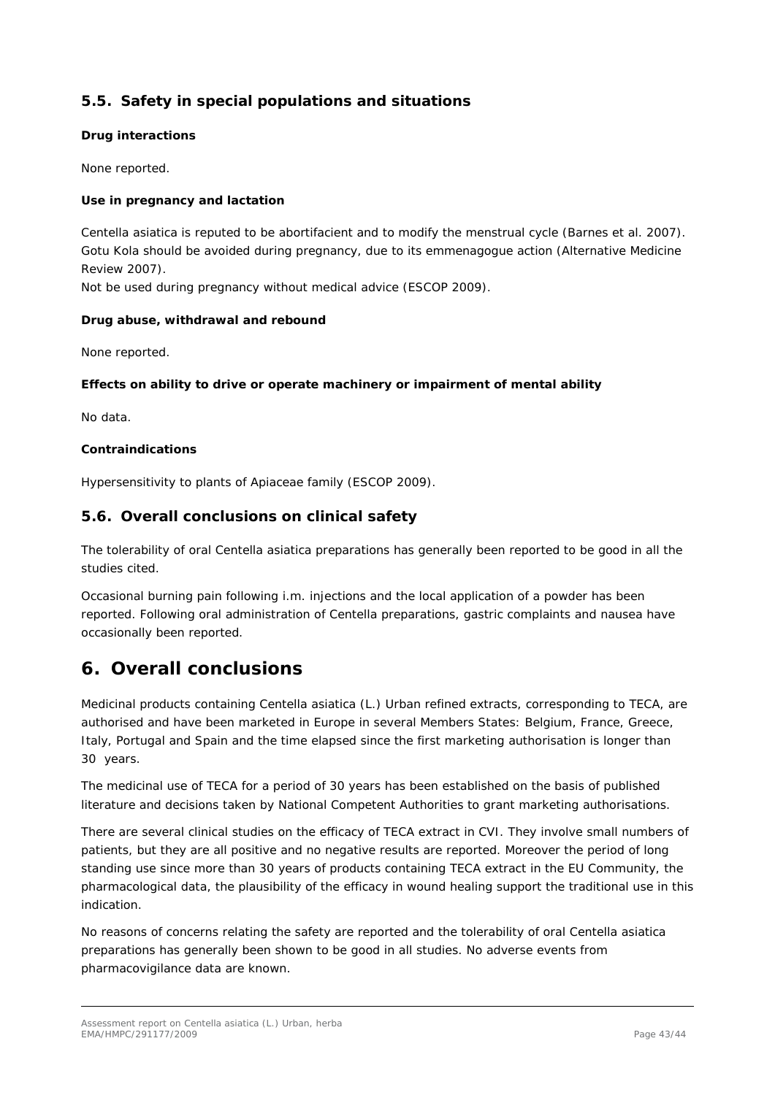### <span id="page-42-0"></span>*5.5. Safety in special populations and situations*

#### **Drug interactions**

None reported.

#### **Use in pregnancy and lactation**

*Centella asiatica* is reputed to be abortifacient and to modify the menstrual cycle (Barnes *et al.* 2007). Gotu Kola should be avoided during pregnancy, due to its emmenagogue action (Alternative Medicine Review 2007).

Not be used during pregnancy without medical advice (ESCOP 2009).

#### **Drug abuse, withdrawal and rebound**

None reported.

#### **Effects on ability to drive or operate machinery or impairment of mental ability**

No data.

#### **Contraindications**

Hypersensitivity to plants of *Apiaceae* family (ESCOP 2009).

### <span id="page-42-1"></span>*5.6. Overall conclusions on clinical safety*

The tolerability of oral *Centella asiatica* preparations has generally been reported to be good in all the studies cited.

Occasional burning pain following i.m. injections and the local application of a powder has been reported. Following oral administration of *Centella* preparations, gastric complaints and nausea have occasionally been reported.

## <span id="page-42-2"></span>**6. Overall conclusions**

Medicinal products containing *Centella asiatica* (L.) Urban refined extracts, corresponding to TECA, are authorised and have been marketed in Europe in several Members States: Belgium, France, Greece, Italy, Portugal and Spain and the time elapsed since the first marketing authorisation is longer than 30 years.

The medicinal use of TECA for a period of 30 years has been established on the basis of published literature and decisions taken by National Competent Authorities to grant marketing authorisations.

There are several clinical studies on the efficacy of TECA extract in CVI. They involve small numbers of patients, but they are all positive and no negative results are reported. Moreover the period of long standing use since more than 30 years of products containing TECA extract in the EU Community, the pharmacological data, the plausibility of the efficacy in wound healing support the traditional use in this indication.

No reasons of concerns relating the safety are reported and the tolerability of oral *Centella asiatica*  preparations has generally been shown to be good in all studies. No adverse events from pharmacovigilance data are known.